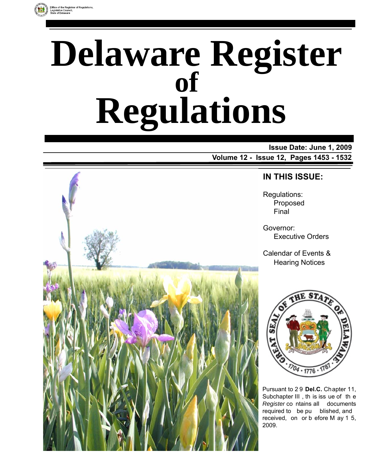

# **Delaware Register Regulations of**

**Issue Date: June 1, 2009 Volume 12 - Issue 12, Pages 1453 - 1532** 



### **IN THIS ISSUE:**

Regulations: Proposed Final

Governor: Executive Orders

Calendar of Events & Hearing Notices



Pursuant to 2 9 **Del.C.** Chapter 11, Subchapter III , th is iss ue of th e *Register* co ntains all documents required to be pu blished, and received, on or b efore M ay 1 5, 2009.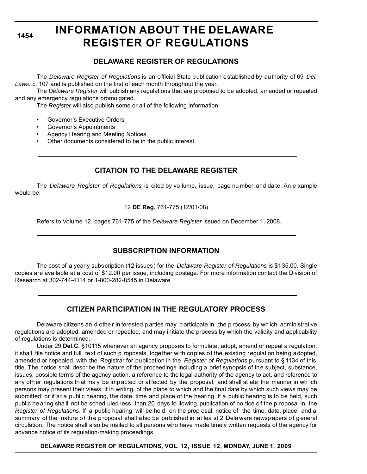# **INFORMATION ABOUT THE DELAWARE REGISTER OF REGULATIONS**

### **DELAWARE REGISTER OF REGULATIONS**

The *Delaware Register of Regulations* is an official State publication established by authority of 69 *Del. Laws*, c. 107 and is published on the first of each month throughout the year.

The *Delaware Register* will publish any regulations that are proposed to be adopted, amended or repealed and any emergency regulations promulgated.

The *Register* will also publish some or all of the following information:

- Governor's Executive Orders
- Governor's Appointments
- Agency Hearing and Meeting Notices
- Other documents considered to be in the public interest.

### **CITATION TO THE DELAWARE REGISTER**

The *Delaware Register of Regulations* is cited by vo lume, issue, page nu mber and da te. An e xample would be:

#### 12 **DE Reg.** 761-775 (12/01/08)

Refers to Volume 12, pages 761-775 of the *Delaware Register* issued on December 1, 2008.

### **SUBSCRIPTION INFORMATION**

The cost of a yearly subscription (12 issues) for the *Delaware Register of Regulations* is \$135.00. Single copies are available at a cost of \$12.00 per issue, including postage. For more information contact the Division of Research at 302-744-4114 or 1-800-282-8545 in Delaware.

### **CITIZEN PARTICIPATION IN THE REGULATORY PROCESS**

Delaware citizens an d othe r in terested p arties may p articipate in the p rocess by wh ich administrative regulations are adopted, amended or repealed, and may initiate the process by which the validity and applicability of regulations is determined.

Under 29 **Del.C.** §10115 whenever an agency proposes to formulate, adopt, amend or repeal a regulation, it shall file notice and full text of such p roposals, together with copies of the existing regulation being adopted, amended or repealed, with the Registrar for publication in the *Register of Regulations* pursuant to § 1134 of this title. The notice shall describe the nature of the proceedings including a brief synopsis of the subject, substance, issues, possible terms of the agency action, a reference to the legal authority of the agency to act, and reference to any oth er regulations th at ma y be imp acted or af fected by the proposal, and shall st ate the manner in wh ich persons may present their views; if in writing, of the place to which and the final date by which such views may be submitted; or if at a public hearing, the date, time and place of the hearing. If a public hearing is to be held, such public he aring shall not be sched uled less than 20 days fo llowing publication of no tice of the p roposal in the *Register of Regulations*. If a public hearing will be held on the prop osal, notice of the time, date, place and a summary of the nature of the p roposal shall a lso be pu blished in at lea st 2 Dela ware newsp apers of general circulation. The notice shall also be mailed to all persons who have made timely written requests of the agency for advance notice of its regulation-making proceedings.

**DELAWARE REGISTER OF REGULATIONS, VOL. 12, ISSUE 12, MONDAY, JUNE 1, 2009**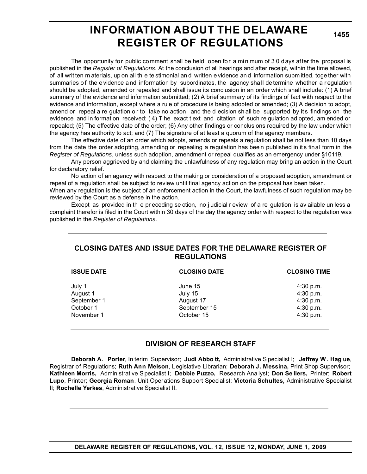# **INFORMATION ABOUT THE DELAWARE REGISTER OF REGULATIONS**

**1455**

The opportunity for public comment shall be held open for a minimum of 3 0 days after the proposal is published in the *Register of Regulations*. At the conclusion of all hearings and after receipt, within the time allowed, of all writ ten m aterials, up on all th e te stimonial an d written e vidence an d information subm itted, toge ther with summaries of the e vidence and information by subordinates, the agency shall de termine whether a regulation should be adopted, amended or repealed and shall issue its conclusion in an order which shall include: (1) A brief summary of the evidence and information submitted; (2) A brief summary of its findings of fact with respect to the evidence and information, except where a rule of procedure is being adopted or amended; (3) A decision to adopt, amend or repeal a re gulation or to take no action and the d ecision sh all be supported by its findings on the evidence and in formation received; ( 4) T he exact t ext and citation of such re gulation ad opted, am ended or repealed; (5) The effective date of the order; (6) Any other findings or conclusions required by the law under which the agency has authority to act; and (7) The signature of at least a quorum of the agency members.

The effective date of an order which adopts, amends or repeals a regulation shall be not less than 10 days from the date the order adopting, amending or repealing a regulation has bee n published in it s final form in the *Register of Regulations*, unless such adoption, amendment or repeal qualifies as an emergency under §10119.

Any person aggrieved by and claiming the unlawfulness of any regulation may bring an action in the Court for declaratory relief.

No action of an agency with respect to the making or consideration of a proposed adoption, amendment or repeal of a regulation shall be subject to review until final agency action on the proposal has been taken.

When any regulation is the subject of an enforcement action in the Court, the lawfulness of such regulation may be reviewed by the Court as a defense in the action.

Except as provided in th e pr eceding se ction, no j udicial r eview of a re gulation is av ailable un less a complaint therefor is filed in the Court within 30 days of the day the agency order with respect to the regulation was published in the *Register of Regulations*.

### **CLOSING DATES AND ISSUE DATES FOR THE DELAWARE REGISTER OF REGULATIONS**

| <b>ISSUE DATE</b> | <b>CLOSING DATE</b> | <b>CLOSING TIME</b> |
|-------------------|---------------------|---------------------|
| July 1            | June 15             | $4:30$ p.m.         |
| August 1          | July 15             | 4:30 p.m.           |
| September 1       | August 17           | 4:30 p.m.           |
| October 1         | September 15        | 4:30 p.m.           |
| November 1        | October 15          | 4:30 p.m.           |

### **DIVISION OF RESEARCH STAFF**

**Deborah A. Porter**, In terim Supervisor; **Judi Abbo tt,** Administrative S pecialist I; **Jeffrey W . Hag ue**, Registrar of Regulations; **Ruth Ann Melson**, Legislative Librarian; **Deborah J. Messina,** Print Shop Supervisor; **Kathleen Morris,** Administrative Specialist I; **Debbie Puzzo,** Research Ana lyst; **Don Se llers,** Printer; **Robert Lupo**, Printer; **Georgia Roman**, Unit Operations Support Specialist; **Victoria Schultes,** Administrative Specialist II; **Rochelle Yerkes**, Administrative Specialist II.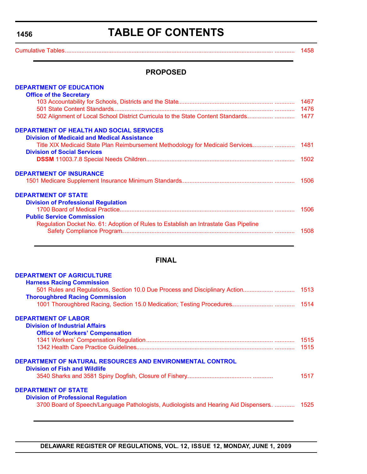# **TABLE OF CONTENTS**

<span id="page-3-0"></span>[Cumulative Tables............................................................................................................................. ............ 1458](#page-5-0)

### **PROPOSED**

| <b>DEPARTMENT OF EDUCATION</b>                                                      |      |
|-------------------------------------------------------------------------------------|------|
| <b>Office of the Secretary</b>                                                      |      |
|                                                                                     | 1467 |
|                                                                                     | 1476 |
|                                                                                     |      |
| <b>DEPARTMENT OF HEALTH AND SOCIAL SERVICES</b>                                     |      |
| <b>Division of Medicaid and Medical Assistance</b>                                  |      |
| Title XIX Medicaid State Plan Reimbursement Methodology for Medicaid Services       | 1481 |
| <b>Division of Social Services</b>                                                  |      |
|                                                                                     |      |
| <b>DEPARTMENT OF INSURANCE</b>                                                      |      |
|                                                                                     | 1506 |
| <b>DEPARTMENT OF STATE</b>                                                          |      |
| <b>Division of Professional Regulation</b>                                          |      |
|                                                                                     | 1506 |
| <b>Public Service Commission</b>                                                    |      |
| Regulation Docket No. 61: Adoption of Rules to Establish an Intrastate Gas Pipeline |      |
|                                                                                     | 1508 |
|                                                                                     |      |
|                                                                                     |      |

### **FINAL**

| <b>DEPARTMENT OF AGRICULTURE</b><br><b>Harness Racing Commission</b>                 |      |
|--------------------------------------------------------------------------------------|------|
| 501 Rules and Regulations, Section 10.0 Due Process and Disciplinary Action          | 1513 |
| <b>Thoroughbred Racing Commission</b>                                                |      |
| <b>DEPARTMENT OF LABOR</b>                                                           |      |
| <b>Division of Industrial Affairs</b>                                                |      |
| <b>Office of Workers' Compensation</b>                                               |      |
|                                                                                      | 1515 |
|                                                                                      | 1515 |
| DEPARTMENT OF NATURAL RESOURCES AND ENVIRONMENTAL CONTROL                            |      |
| <b>Division of Fish and Wildlife</b>                                                 |      |
|                                                                                      | 1517 |
| <b>DEPARTMENT OF STATE</b>                                                           |      |
| <b>Division of Professional Regulation</b>                                           |      |
| 3700 Board of Speech/Language Pathologists, Audiologists and Hearing Aid Dispensers. | 1525 |
|                                                                                      |      |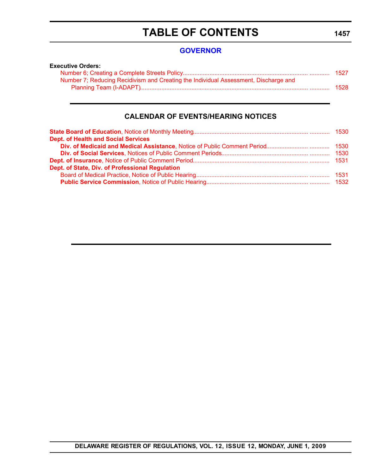# **TABLE OF CONTENTS**

### **[GOVERNOR](http://governor.delaware.gov/)**

| <b>Executive Orders:</b>                                                            |        |
|-------------------------------------------------------------------------------------|--------|
|                                                                                     | - 1527 |
| Number 7; Reducing Recidivism and Creating the Individual Assessment, Discharge and |        |
|                                                                                     | 1528   |

### **CALENDAR OF EVENTS/HEARING NOTICES**

| <b>Dept. of Health and Social Services</b>      |  |
|-------------------------------------------------|--|
|                                                 |  |
|                                                 |  |
|                                                 |  |
| Dept. of State, Div. of Professional Regulation |  |
|                                                 |  |
|                                                 |  |

#### **1457**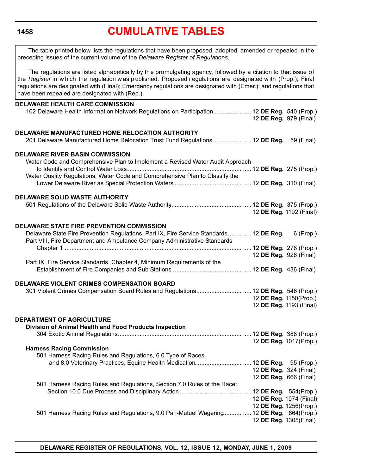# **[CUMULATIVE TABLES](#page-3-0)**

<span id="page-5-0"></span>

| The table printed below lists the regulations that have been proposed, adopted, amended or repealed in the<br>preceding issues of the current volume of the Delaware Register of Regulations.                                                                                                                                                                                                      |                         |           |
|----------------------------------------------------------------------------------------------------------------------------------------------------------------------------------------------------------------------------------------------------------------------------------------------------------------------------------------------------------------------------------------------------|-------------------------|-----------|
| The regulations are listed alphabetically by the promulgating agency, followed by a citation to that issue of<br>the Register in which the regulation was published. Proposed regulations are designated with (Prop.); Final<br>regulations are designated with (Final); Emergency regulations are designated with (Emer.); and regulations that<br>have been repealed are designated with (Rep.). |                         |           |
| <b>DELAWARE HEALTH CARE COMMISSION</b>                                                                                                                                                                                                                                                                                                                                                             |                         |           |
| 102 Delaware Health Information Network Regulations on Participation 12 DE Reg. 540 (Prop.)                                                                                                                                                                                                                                                                                                        | 12 DE Reg. 979 (Final)  |           |
|                                                                                                                                                                                                                                                                                                                                                                                                    |                         |           |
| DELAWARE MANUFACTURED HOME RELOCATION AUTHORITY<br>201 Delaware Manufactured Home Relocation Trust Fund Regulations 12 DE Reg. 59 (Final)                                                                                                                                                                                                                                                          |                         |           |
| <b>DELAWARE RIVER BASIN COMMISSION</b>                                                                                                                                                                                                                                                                                                                                                             |                         |           |
| Water Code and Comprehensive Plan to Implement a Revised Water Audit Approach                                                                                                                                                                                                                                                                                                                      |                         |           |
|                                                                                                                                                                                                                                                                                                                                                                                                    |                         |           |
|                                                                                                                                                                                                                                                                                                                                                                                                    |                         |           |
| Water Quality Regulations, Water Code and Comprehensive Plan to Classify the                                                                                                                                                                                                                                                                                                                       |                         |           |
|                                                                                                                                                                                                                                                                                                                                                                                                    |                         |           |
|                                                                                                                                                                                                                                                                                                                                                                                                    |                         |           |
| <b>DELAWARE SOLID WASTE AUTHORITY</b>                                                                                                                                                                                                                                                                                                                                                              |                         |           |
|                                                                                                                                                                                                                                                                                                                                                                                                    |                         |           |
|                                                                                                                                                                                                                                                                                                                                                                                                    |                         |           |
|                                                                                                                                                                                                                                                                                                                                                                                                    | 12 DE Reg. 1192 (Final) |           |
|                                                                                                                                                                                                                                                                                                                                                                                                    |                         |           |
| <b>DELAWARE STATE FIRE PREVENTION COMMISSION</b>                                                                                                                                                                                                                                                                                                                                                   |                         |           |
| Delaware State Fire Prevention Regulations, Part IX, Fire Service Standards  12 DE Reg.                                                                                                                                                                                                                                                                                                            |                         | 6 (Prop.) |
| Part VIII, Fire Department and Ambulance Company Administrative Standards                                                                                                                                                                                                                                                                                                                          |                         |           |
|                                                                                                                                                                                                                                                                                                                                                                                                    |                         |           |
|                                                                                                                                                                                                                                                                                                                                                                                                    | 12 DE Reg. 926 (Final)  |           |
| Part IX, Fire Service Standards, Chapter 4, Minimum Requirements of the                                                                                                                                                                                                                                                                                                                            |                         |           |
|                                                                                                                                                                                                                                                                                                                                                                                                    |                         |           |
|                                                                                                                                                                                                                                                                                                                                                                                                    |                         |           |
|                                                                                                                                                                                                                                                                                                                                                                                                    |                         |           |
| DELAWARE VIOLENT CRIMES COMPENSATION BOARD                                                                                                                                                                                                                                                                                                                                                         |                         |           |
| 301 Violent Crimes Compensation Board Rules and Regulations 12 DE Reg. 546 (Prop.)                                                                                                                                                                                                                                                                                                                 |                         |           |
|                                                                                                                                                                                                                                                                                                                                                                                                    | 12 DE Reg. 1150(Prop.)  |           |
|                                                                                                                                                                                                                                                                                                                                                                                                    | 12 DE Reg. 1193 (Final) |           |
|                                                                                                                                                                                                                                                                                                                                                                                                    |                         |           |
| DEPARTMENT OF AGRICULTURE                                                                                                                                                                                                                                                                                                                                                                          |                         |           |
| Division of Animal Health and Food Products Inspection                                                                                                                                                                                                                                                                                                                                             |                         |           |
|                                                                                                                                                                                                                                                                                                                                                                                                    |                         |           |
|                                                                                                                                                                                                                                                                                                                                                                                                    |                         |           |
|                                                                                                                                                                                                                                                                                                                                                                                                    | 12 DE Reg. 1017(Prop.)  |           |
| <b>Harness Racing Commission</b>                                                                                                                                                                                                                                                                                                                                                                   |                         |           |
| 501 Harness Racing Rules and Regulations, 6.0 Type of Races                                                                                                                                                                                                                                                                                                                                        |                         |           |
|                                                                                                                                                                                                                                                                                                                                                                                                    |                         |           |
|                                                                                                                                                                                                                                                                                                                                                                                                    | 12 DE Reg. 324 (Final)  |           |
|                                                                                                                                                                                                                                                                                                                                                                                                    | 12 DE Reg. 666 (Final)  |           |
| 501 Harness Racing Rules and Regulations, Section 7.0 Rules of the Race;                                                                                                                                                                                                                                                                                                                           |                         |           |
|                                                                                                                                                                                                                                                                                                                                                                                                    |                         |           |
|                                                                                                                                                                                                                                                                                                                                                                                                    |                         |           |
|                                                                                                                                                                                                                                                                                                                                                                                                    | 12 DE Reg. 1074 (Final) |           |
|                                                                                                                                                                                                                                                                                                                                                                                                    | 12 DE Reg. 1256(Prop.)  |           |
| 501 Harness Racing Rules and Regulations, 9.0 Pari-Mutuel Wagering  12 DE Reg. 864(Prop.)                                                                                                                                                                                                                                                                                                          |                         |           |
|                                                                                                                                                                                                                                                                                                                                                                                                    | 12 DE Reg. 1305(Final)  |           |
|                                                                                                                                                                                                                                                                                                                                                                                                    |                         |           |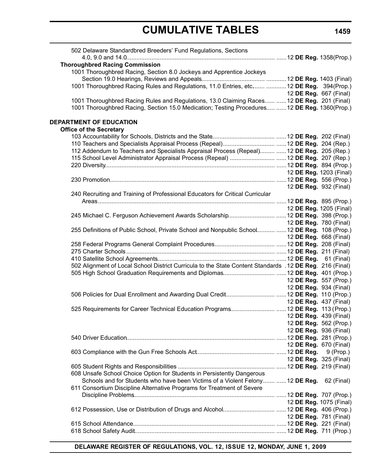| 502 Delaware Standardbred Breeders' Fund Regulations, Sections                                           |                               |
|----------------------------------------------------------------------------------------------------------|-------------------------------|
|                                                                                                          |                               |
| <b>Thoroughbred Racing Commission</b>                                                                    |                               |
| 1001 Thoroughbred Racing, Section 8.0 Jockeys and Apprentice Jockeys                                     |                               |
|                                                                                                          |                               |
| 1001 Thoroughbred Racing Rules and Regulations, 11.0 Entries, etc  12 DE Reg. 394(Prop.)                 |                               |
|                                                                                                          | 12 <b>DE Reg.</b> 667 (Final) |
| 1001 Thoroughbred Racing Rules and Regulations, 13.0 Claiming Races  12 DE Reg. 201 (Final)              |                               |
| 1001 Thoroughbred Racing, Section 15.0 Medication; Testing Procedures  12 DE Reg. 1360(Prop.)            |                               |
| DEPARTMENT OF EDUCATION                                                                                  |                               |
| <b>Office of the Secretary</b>                                                                           |                               |
|                                                                                                          |                               |
|                                                                                                          |                               |
| 112 Addendum to Teachers and Specialists Appraisal Process (Repeal)  12 DE Reg. 205 (Rep.)               |                               |
|                                                                                                          |                               |
| 115 School Level Administrator Appraisal Process (Repeal)  12 DE Reg. 207 (Rep.)                         |                               |
|                                                                                                          |                               |
|                                                                                                          | 12 DE Reg. 1203 (Final)       |
|                                                                                                          |                               |
|                                                                                                          | 12 DE Reg. 932 (Final)        |
| 240 Recruiting and Training of Professional Educators for Critical Curricular                            |                               |
|                                                                                                          |                               |
|                                                                                                          | 12 DE Reg. 1205 (Final)       |
|                                                                                                          |                               |
|                                                                                                          | 12 <b>DE Reg.</b> 780 (Final) |
| 255 Definitions of Public School, Private School and Nonpublic School  12 DE Reg. 108 (Prop.)            |                               |
|                                                                                                          | 12 DE Reg. 668 (Final)        |
|                                                                                                          |                               |
|                                                                                                          |                               |
|                                                                                                          |                               |
| 502 Alignment of Local School District Curricula to the State Content Standards . 12 DE Reg. 216 (Final) |                               |
|                                                                                                          |                               |
|                                                                                                          | 12 DE Reg. 557 (Prop.)        |
|                                                                                                          | 12 DE Reg. 934 (Final)        |
|                                                                                                          |                               |
|                                                                                                          | 12 <b>DE Reg.</b> 437 (Final) |
| 525 Requirements for Career Technical Education Programs 12 DE Reg. 113 (Prop.)                          |                               |
|                                                                                                          | 12 <b>DE Reg.</b> 439 (Final) |
|                                                                                                          | 12 DE Reg. 562 (Prop.)        |
|                                                                                                          | 12 DE Reg. 936 (Final)        |
|                                                                                                          |                               |
|                                                                                                          |                               |
|                                                                                                          | 12 DE Reg. 670 (Final)        |
|                                                                                                          |                               |
|                                                                                                          | 12 DE Reg. 325 (Final)        |
|                                                                                                          |                               |
| 608 Unsafe School Choice Option for Students in Persistently Dangerous                                   |                               |
| Schools and for Students who have been Victims of a Violent Felony  12 DE Reg.                           | 62 (Final)                    |
| 611 Consortium Discipline Alternative Programs for Treatment of Severe                                   |                               |
|                                                                                                          |                               |
|                                                                                                          | 12 DE Reg. 1075 (Final)       |
|                                                                                                          |                               |
|                                                                                                          | 12 DE Reg. 781 (Final)        |
|                                                                                                          |                               |
|                                                                                                          |                               |
|                                                                                                          |                               |

**DELAWARE REGISTER OF REGULATIONS, VOL. 12, ISSUE 12, MONDAY, JUNE 1, 2009**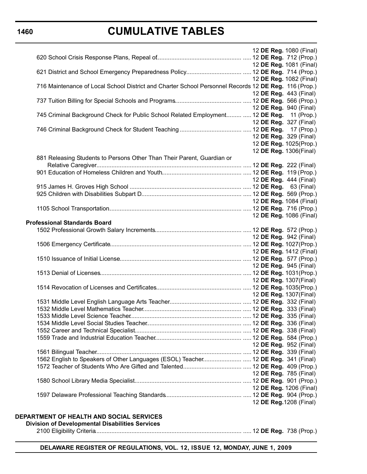### **CUMULATIVE TABLES**

|                                                                                                      |  | 12 DE Reg. 1080 (Final) |  |
|------------------------------------------------------------------------------------------------------|--|-------------------------|--|
|                                                                                                      |  | 12 DE Reg. 1081 (Final) |  |
|                                                                                                      |  |                         |  |
|                                                                                                      |  | 12 DE Reg. 1082 (Final) |  |
| 716 Maintenance of Local School District and Charter School Personnel Records 12 DE Reg. 116 (Prop.) |  |                         |  |
|                                                                                                      |  | 12 DE Reg. 443 (Final)  |  |
|                                                                                                      |  |                         |  |
|                                                                                                      |  | 12 DE Reg. 940 (Final)  |  |
| 745 Criminal Background Check for Public School Related Employment  12 DE Reg. 11 (Prop.)            |  |                         |  |
|                                                                                                      |  | 12 DE Reg. 327 (Final)  |  |
|                                                                                                      |  |                         |  |
|                                                                                                      |  | 12 DE Reg. 329 (Final)  |  |
|                                                                                                      |  | 12 DE Reg. 1025(Prop.)  |  |
|                                                                                                      |  | 12 DE Reg. 1306(Final)  |  |
| 881 Releasing Students to Persons Other Than Their Parent, Guardian or                               |  |                         |  |
|                                                                                                      |  |                         |  |
|                                                                                                      |  |                         |  |
|                                                                                                      |  | 12 DE Reg. 444 (Final)  |  |
|                                                                                                      |  |                         |  |
|                                                                                                      |  |                         |  |
|                                                                                                      |  | 12 DE Reg. 1084 (Final) |  |
|                                                                                                      |  |                         |  |
|                                                                                                      |  | 12 DE Reg. 1086 (Final) |  |
| <b>Professional Standards Board</b>                                                                  |  |                         |  |
|                                                                                                      |  |                         |  |
|                                                                                                      |  | 12 DE Reg. 942 (Final)  |  |
|                                                                                                      |  | 12 DE Reg. 1412 (Final) |  |
|                                                                                                      |  |                         |  |
|                                                                                                      |  | 12 DE Reg. 945 (Final)  |  |
|                                                                                                      |  |                         |  |
|                                                                                                      |  | 12 DE Reg. 1307(Final)  |  |
|                                                                                                      |  |                         |  |
|                                                                                                      |  | 12 DE Reg. 1307(Final)  |  |
|                                                                                                      |  |                         |  |
|                                                                                                      |  |                         |  |
|                                                                                                      |  |                         |  |
|                                                                                                      |  |                         |  |
|                                                                                                      |  |                         |  |
|                                                                                                      |  |                         |  |
|                                                                                                      |  | 12 DE Reg. 952 (Final)  |  |
|                                                                                                      |  |                         |  |
| 1562 English to Speakers of Other Languages (ESOL) Teacher 12 DE Reg. 341 (Final)                    |  |                         |  |
|                                                                                                      |  |                         |  |
|                                                                                                      |  | 12 DE Reg. 785 (Final)  |  |
|                                                                                                      |  |                         |  |
|                                                                                                      |  | 12 DE Reg. 1206 (Final) |  |
|                                                                                                      |  |                         |  |
|                                                                                                      |  | 12 DE Reg. 1208 (Final) |  |
|                                                                                                      |  |                         |  |

### **DEPARTMENT OF HEALTH AND SOCIAL SERVICES**

**Division of Developmental Disabilities Services**

2100 Eligibility Criteria........................................................................................ ..... 12 **DE Reg.** 738 (Prop.)

**DELAWARE REGISTER OF REGULATIONS, VOL. 12, ISSUE 12, MONDAY, JUNE 1, 2009**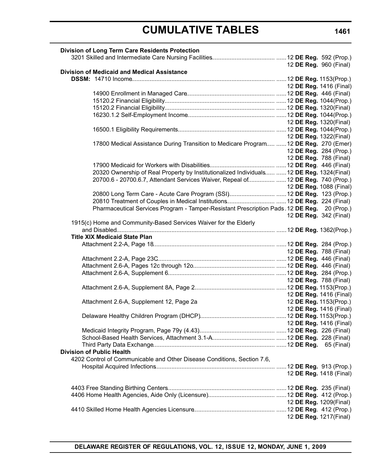| <b>Division of Long Term Care Residents Protection</b>                                      |                         |
|---------------------------------------------------------------------------------------------|-------------------------|
|                                                                                             |                         |
|                                                                                             | 12 DE Reg. 960 (Final)  |
| <b>Division of Medicaid and Medical Assistance</b>                                          |                         |
|                                                                                             |                         |
|                                                                                             | 12 DE Reg. 1416 (Final) |
|                                                                                             |                         |
|                                                                                             |                         |
|                                                                                             |                         |
|                                                                                             |                         |
|                                                                                             | 12 DE Reg. 1320(Final)  |
|                                                                                             |                         |
|                                                                                             | 12 DE Reg. 1322(Final)  |
| 17800 Medical Assistance During Transition to Medicare Program  12 DE Reg. 270 (Emer)       |                         |
|                                                                                             | 12 DE Reg. 284 (Prop.)  |
|                                                                                             | 12 DE Reg. 788 (Final)  |
|                                                                                             |                         |
| 20320 Ownership of Real Property by Institutionalized Individuals  12 DE Reg. 1324(Final)   |                         |
| 20700.6 - 20700.6.7, Attendant Services Waiver, Repeal of  12 DE Reg. 740 (Prop.)           |                         |
|                                                                                             | 12 DE Reg. 1088 (Final) |
| 20800 Long Term Care - Acute Care Program (SSI) 12 DE Reg. 123 (Prop.)                      |                         |
|                                                                                             |                         |
| Pharmaceutical Services Program - Tamper-Resistant Prescription Pads. 12 DE Reg. 20 (Prop.) |                         |
|                                                                                             | 12 DE Reg. 342 (Final)  |
| 1915(c) Home and Community-Based Services Waiver for the Elderly                            |                         |
|                                                                                             |                         |
|                                                                                             |                         |
| <b>Title XIX Medicaid State Plan</b>                                                        |                         |
|                                                                                             |                         |
|                                                                                             | 12 DE Reg. 788 (Final)  |
|                                                                                             |                         |
|                                                                                             |                         |
|                                                                                             |                         |
|                                                                                             | 12 DE Reg. 788 (Final)  |
|                                                                                             |                         |
|                                                                                             | 12 DE Reg. 1416 (Final) |
| Attachment 2.6-A, Supplement 12, Page 2a                                                    | 12 DE Reg. 1153(Prop.)  |
|                                                                                             | 12 DE Reg. 1416 (Final) |
|                                                                                             |                         |
|                                                                                             | 12 DE Reg. 1416 (Final) |
|                                                                                             |                         |
|                                                                                             |                         |
|                                                                                             |                         |
| <b>Division of Public Health</b>                                                            |                         |
| 4202 Control of Communicable and Other Disease Conditions, Section 7.6,                     |                         |
|                                                                                             |                         |
|                                                                                             | 12 DE Reg. 1418 (Final) |
|                                                                                             |                         |
|                                                                                             |                         |
|                                                                                             |                         |
|                                                                                             | 12 DE Reg. 1209(Final)  |
|                                                                                             |                         |
|                                                                                             | 12 DE Reg. 1217(Final)  |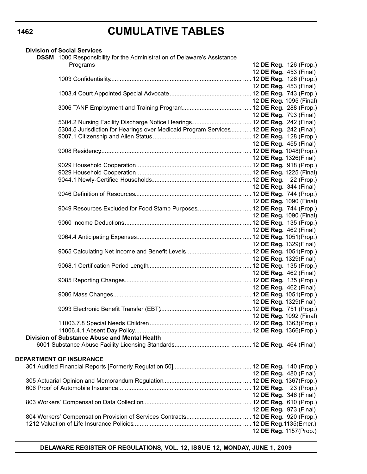| <b>Division of Social Services</b>                                                      |  |                                |
|-----------------------------------------------------------------------------------------|--|--------------------------------|
| <b>DSSM</b> 1000 Responsibility for the Administration of Delaware's Assistance         |  |                                |
| Programs                                                                                |  | 12 DE Reg. 126 (Prop.)         |
|                                                                                         |  | 12 DE Reg. 453 (Final)         |
|                                                                                         |  |                                |
|                                                                                         |  | 12 DE Reg. 453 (Final)         |
|                                                                                         |  |                                |
|                                                                                         |  | 12 <b>DE Reg.</b> 1095 (Final) |
|                                                                                         |  |                                |
|                                                                                         |  | 12 <b>DE Reg.</b> 793 (Final)  |
|                                                                                         |  |                                |
| 5304.5 Jurisdiction for Hearings over Medicaid Program Services  12 DE Reg. 242 (Final) |  |                                |
|                                                                                         |  |                                |
|                                                                                         |  | 12 <b>DE Reg.</b> 455 (Final)  |
|                                                                                         |  |                                |
|                                                                                         |  | 12 <b>DE Reg.</b> 1326(Final)  |
|                                                                                         |  |                                |
|                                                                                         |  |                                |
|                                                                                         |  |                                |
|                                                                                         |  | 12 DE Reg. 344 (Final)         |
|                                                                                         |  |                                |
|                                                                                         |  | 12 <b>DE Reg.</b> 1090 (Final) |
| 9049 Resources Excluded for Food Stamp Purposes 12 DE Reg. 744 (Prop.)                  |  |                                |
|                                                                                         |  | 12 DE Reg. 1090 (Final)        |
|                                                                                         |  |                                |
|                                                                                         |  | 12 DE Reg. 462 (Final)         |
|                                                                                         |  |                                |
|                                                                                         |  | 12 DE Reg. 1329(Final)         |
|                                                                                         |  |                                |
|                                                                                         |  | 12 DE Reg. 1329(Final)         |
|                                                                                         |  |                                |
|                                                                                         |  | 12 DE Reg. 462 (Final)         |
|                                                                                         |  |                                |
|                                                                                         |  |                                |
|                                                                                         |  | 12 <b>DE Reg.</b> 462 (Final)  |
|                                                                                         |  |                                |
|                                                                                         |  | 12 DE Reg. 1329(Final)         |
| 12 DE Reg. 1092 (Final)                                                                 |  |                                |
|                                                                                         |  |                                |
|                                                                                         |  |                                |
|                                                                                         |  |                                |
| Division of Substance Abuse and Mental Health                                           |  |                                |
|                                                                                         |  |                                |
|                                                                                         |  |                                |
| DEPARTMENT OF INSURANCE                                                                 |  |                                |
|                                                                                         |  |                                |
|                                                                                         |  | 12 DE Reg. 480 (Final)         |
|                                                                                         |  |                                |
|                                                                                         |  |                                |
|                                                                                         |  | 12 DE Reg. 346 (Final)         |
|                                                                                         |  |                                |
|                                                                                         |  | 12 DE Reg. 973 (Final)         |
|                                                                                         |  |                                |
|                                                                                         |  |                                |
|                                                                                         |  | 12 DE Reg. 1157(Prop.)         |

**DELAWARE REGISTER OF REGULATIONS, VOL. 12, ISSUE 12, MONDAY, JUNE 1, 2009**

### **1462**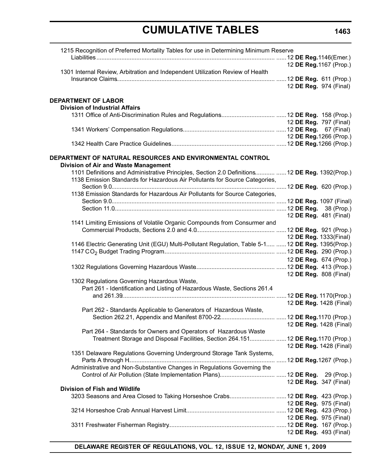| 1215 Recognition of Preferred Mortality Tables for use in Determining Minimum Reserve                                                                 |                         |
|-------------------------------------------------------------------------------------------------------------------------------------------------------|-------------------------|
|                                                                                                                                                       | 12 DE Reg. 1167 (Prop.) |
| 1301 Internal Review, Arbitration and Independent Utilization Review of Health                                                                        |                         |
|                                                                                                                                                       |                         |
|                                                                                                                                                       | 12 DE Reg. 974 (Final)  |
| <b>DEPARTMENT OF LABOR</b>                                                                                                                            |                         |
| <b>Division of Industrial Affairs</b>                                                                                                                 |                         |
|                                                                                                                                                       |                         |
|                                                                                                                                                       | 12 DE Reg. 797 (Final)  |
|                                                                                                                                                       |                         |
|                                                                                                                                                       | 12 DE Reg. 1266 (Prop.) |
|                                                                                                                                                       |                         |
| DEPARTMENT OF NATURAL RESOURCES AND ENVIRONMENTAL CONTROL<br><b>Division of Air and Waste Management</b>                                              |                         |
| 1101 Definitions and Administrative Principles, Section 2.0 Definitions  12 DE Reg. 1392(Prop.)                                                       |                         |
| 1138 Emission Standards for Hazardous Air Pollutants for Source Categories,                                                                           |                         |
| 1138 Emission Standards for Hazardous Air Pollutants for Source Categories,                                                                           |                         |
|                                                                                                                                                       |                         |
|                                                                                                                                                       |                         |
|                                                                                                                                                       | 12 DE Reg. 481 (Final)  |
| 1141 Limiting Emissions of Volatile Organic Compounds from Consurmer and                                                                              |                         |
|                                                                                                                                                       |                         |
|                                                                                                                                                       | 12 DE Reg. 1333(Final)  |
| 1146 Electric Generating Unit (EGU) Multi-Pollutant Regulation, Table 5-1  12 DE Reg. 1395(Prop.)                                                     |                         |
|                                                                                                                                                       |                         |
|                                                                                                                                                       | 12 DE Reg. 674 (Prop.)  |
|                                                                                                                                                       | 12 DE Reg. 808 (Final)  |
| 1302 Regulations Governing Hazardous Waste,                                                                                                           |                         |
| Part 261 - Identification and Listing of Hazardous Waste, Sections 261.4                                                                              |                         |
|                                                                                                                                                       |                         |
|                                                                                                                                                       | 12 DE Reg. 1428 (Final) |
| Part 262 - Standards Applicable to Generators of Hazardous Waste,                                                                                     |                         |
|                                                                                                                                                       |                         |
|                                                                                                                                                       | 12 DE Reg. 1428 (Final) |
| Part 264 - Standards for Owners and Operators of Hazardous Waste<br>Treatment Storage and Disposal Facilities, Section 264.151 12 DE Reg.1170 (Prop.) |                         |
|                                                                                                                                                       | 12 DE Reg. 1428 (Final) |
| 1351 Delaware Regulations Governing Underground Storage Tank Systems,                                                                                 |                         |
|                                                                                                                                                       |                         |
| Administrative and Non-Substantive Changes in Regulations Governing the                                                                               |                         |
|                                                                                                                                                       |                         |
|                                                                                                                                                       | 12 DE Reg. 347 (Final)  |
| <b>Division of Fish and Wildlife</b>                                                                                                                  |                         |
| 3203 Seasons and Area Closed to Taking Horseshoe Crabs 12 DE Reg. 423 (Prop.)                                                                         | 12 DE Reg. 975 (Final)  |
|                                                                                                                                                       |                         |
|                                                                                                                                                       | 12 DE Reg. 975 (Final)  |
|                                                                                                                                                       |                         |
|                                                                                                                                                       | 12 DE Reg. 493 (Final)  |
|                                                                                                                                                       |                         |

**DELAWARE REGISTER OF REGULATIONS, VOL. 12, ISSUE 12, MONDAY, JUNE 1, 2009**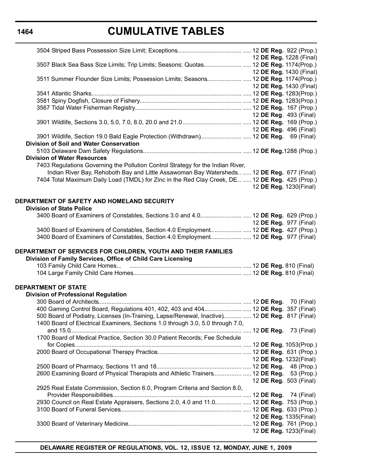# **CUMULATIVE TABLES**

|                                                                                                                                                                              | 12 DE Reg. 1228 (Final)       |
|------------------------------------------------------------------------------------------------------------------------------------------------------------------------------|-------------------------------|
| 3507 Black Sea Bass Size Limits; Trip Limits; Seasons; Quotas 12 DE Reg. 1174(Prop.)                                                                                         |                               |
|                                                                                                                                                                              | 12 DE Reg. 1430 (Final)       |
| 3511 Summer Flounder Size Limits; Possession Limits; Seasons 12 DE Reg. 1174(Prop.)                                                                                          |                               |
|                                                                                                                                                                              | 12 DE Reg. 1430 (Final)       |
|                                                                                                                                                                              |                               |
|                                                                                                                                                                              |                               |
|                                                                                                                                                                              |                               |
|                                                                                                                                                                              |                               |
|                                                                                                                                                                              | 12 DE Reg. 493 (Final)        |
|                                                                                                                                                                              |                               |
|                                                                                                                                                                              | 12 <b>DE Reg.</b> 496 (Final) |
| 3901 Wildlife, Section 19.0 Bald Eagle Protection (Withdrawn) 12 DE Reg. 69 (Final)                                                                                          |                               |
| Division of Soil and Water Conservation                                                                                                                                      |                               |
|                                                                                                                                                                              |                               |
| <b>Division of Water Resources</b>                                                                                                                                           |                               |
| 7403 Regulations Governing the Pollution Control Strategy for the Indian River,                                                                                              |                               |
| Indian River Bay, Rehoboth Bay and Little Assawoman Bay Watersheds  12 DE Reg. 677 (Final)                                                                                   |                               |
| 7404 Total Maximum Daily Load (TMDL) for Zinc in the Red Clay Creek, DE  12 DE Reg. 425 (Prop.)                                                                              |                               |
|                                                                                                                                                                              |                               |
|                                                                                                                                                                              | 12 DE Reg. 1230(Final)        |
|                                                                                                                                                                              |                               |
| DEPARTMENT OF SAFETY AND HOMELAND SECURITY                                                                                                                                   |                               |
| <b>Division of State Police</b>                                                                                                                                              |                               |
|                                                                                                                                                                              |                               |
| 3400 Board of Examiners of Constables, Sections 3.0 and 4.0 12 DE Reg. 629 (Prop.)                                                                                           |                               |
|                                                                                                                                                                              |                               |
|                                                                                                                                                                              | 12 DE Reg. 977 (Final)        |
| 3400 Board of Examiners of Constables, Section 4.0 Employment 12 DE Reg. 427 (Prop.)<br>3400 Board of Examiners of Constables, Section 4.0 Employment 12 DE Reg. 977 (Final) |                               |
| DEPARTMENT OF SERVICES FOR CHILDREN, YOUTH AND THEIR FAMILIES<br>Division of Family Services, Office of Child Care Licensing                                                 |                               |
|                                                                                                                                                                              |                               |
|                                                                                                                                                                              |                               |
| <b>DEPARTMENT OF STATE</b>                                                                                                                                                   |                               |
|                                                                                                                                                                              |                               |
| <b>Division of Professional Regulation</b>                                                                                                                                   |                               |
|                                                                                                                                                                              |                               |
| 400 Gaming Control Board, Regulations 401, 402, 403 and 404 12 DE Reg. 357 (Final)                                                                                           |                               |
| 500 Board of Podiatry, Licenses (In-Training, Lapse/Renewal, Inactive)  12 DE Reg. 817 (Final)                                                                               |                               |
| 1400 Board of Electrical Examiners, Sections 1.0 through 3.0, 5.0 through 7.0,                                                                                               |                               |
|                                                                                                                                                                              | 73 (Final)                    |
| 1700 Board of Medical Practice, Section 30.0 Patient Records; Fee Schedule                                                                                                   |                               |
|                                                                                                                                                                              |                               |
|                                                                                                                                                                              |                               |
|                                                                                                                                                                              | 12 DE Reg. 1232(Final)        |
|                                                                                                                                                                              |                               |
| 2600 Examining Board of Physical Therapists and Athletic Trainers 12 DE Reg. 53 (Prop.)                                                                                      |                               |
|                                                                                                                                                                              | 12 DE Reg. 503 (Final)        |
| 2925 Real Estate Commission, Section 6.0, Program Criteria and Section 8.0,                                                                                                  |                               |
|                                                                                                                                                                              |                               |
| 2930 Council on Real Estate Appraisers, Sections 2.0, 4.0 and 11.0 12 DE Reg. 753 (Prop.)                                                                                    |                               |
|                                                                                                                                                                              |                               |
|                                                                                                                                                                              | 12 DE Reg. 1335(Final)        |
|                                                                                                                                                                              |                               |
|                                                                                                                                                                              | 12 DE Reg. 1233(Final)        |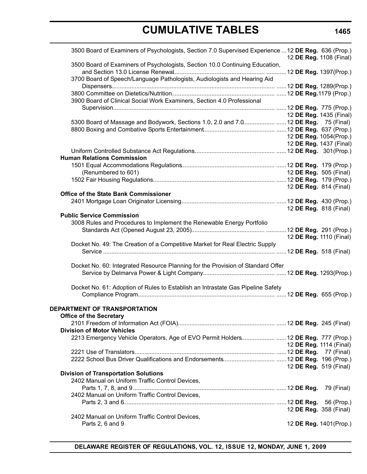| 3500 Board of Examiners of Psychologists, Section 7.0 Supervised Experience  12 DE Reg. 636 (Prop.) |  | 12 DE Reg. 1108 (Final)        |  |
|-----------------------------------------------------------------------------------------------------|--|--------------------------------|--|
| 3500 Board of Examiners of Psychologists, Section 10.0 Continuing Education,                        |  |                                |  |
| 3700 Board of Speech/Language Pathologists, Audiologists and Hearing Aid                            |  |                                |  |
|                                                                                                     |  |                                |  |
|                                                                                                     |  |                                |  |
| 3900 Board of Clinical Social Work Examiners, Section 4.0 Professional                              |  |                                |  |
|                                                                                                     |  |                                |  |
|                                                                                                     |  | 12 DE Reg. 1435 (Final)        |  |
| 5300 Board of Massage and Bodywork, Sections 1.0, 2.0 and 7.0 12 DE Reg. 75 (Final)                 |  |                                |  |
|                                                                                                     |  |                                |  |
|                                                                                                     |  | 12 DE Reg. 1054(Prop.)         |  |
|                                                                                                     |  | 12 DE Reg. 1437 (Final)        |  |
|                                                                                                     |  |                                |  |
| <b>Human Relations Commission</b>                                                                   |  |                                |  |
|                                                                                                     |  |                                |  |
| (Renumbered to 601)                                                                                 |  | 12 DE Reg. 505 (Final)         |  |
|                                                                                                     |  |                                |  |
|                                                                                                     |  | 12 DE Reg. 814 (Final)         |  |
| <b>Office of the State Bank Commissioner</b>                                                        |  |                                |  |
|                                                                                                     |  |                                |  |
| <b>Public Service Commission</b>                                                                    |  | 12 DE Reg. 818 (Final)         |  |
| 3008 Rules and Procedures to Implement the Renewable Energy Portfolio                               |  |                                |  |
|                                                                                                     |  |                                |  |
|                                                                                                     |  | 12 DE Reg. 1110 (Final)        |  |
| Docket No. 49: The Creation of a Competitive Market for Real Electric Supply                        |  |                                |  |
|                                                                                                     |  |                                |  |
|                                                                                                     |  |                                |  |
| Docket No. 60: Integrated Resource Planning for the Provision of Standard Offer                     |  |                                |  |
|                                                                                                     |  |                                |  |
|                                                                                                     |  |                                |  |
| Docket No. 61: Adoption of Rules to Establish an Intrastate Gas Pipeline Safety                     |  |                                |  |
|                                                                                                     |  |                                |  |
| DEPARTMENT OF TRANSPORTATION                                                                        |  |                                |  |
| <b>Office of the Secretary</b>                                                                      |  |                                |  |
|                                                                                                     |  |                                |  |
| <b>Division of Motor Vehicles</b>                                                                   |  |                                |  |
| 2213 Emergency Vehicle Operators, Age of EVO Permit Holders 12 DE Reg. 777 (Prop.)                  |  |                                |  |
|                                                                                                     |  | 12 <b>DE Reg.</b> 1114 (Final) |  |
|                                                                                                     |  |                                |  |
|                                                                                                     |  |                                |  |
|                                                                                                     |  | 12 DE Reg. 519 (Final)         |  |
| <b>Division of Transportation Solutions</b>                                                         |  |                                |  |
| 2402 Manual on Uniform Traffic Control Devices,                                                     |  |                                |  |
|                                                                                                     |  | 79 (Final)                     |  |
| 2402 Manual on Uniform Traffic Control Devices,                                                     |  |                                |  |
|                                                                                                     |  |                                |  |
|                                                                                                     |  | 12 DE Reg. 358 (Final)         |  |
| 2402 Manual on Uniform Traffic Control Devices,                                                     |  |                                |  |
| Parts 2, 6 and 9                                                                                    |  | 12 DE Reg. 1401(Prop.)         |  |

### **1465**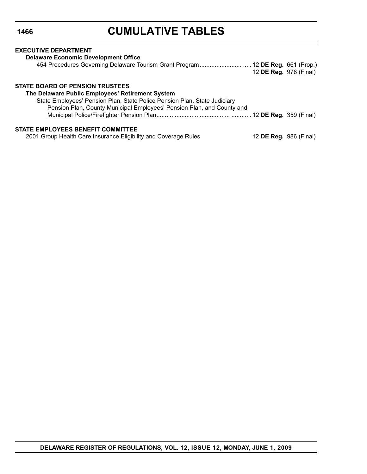| <b>EXECUTIVE DEPARTMENT</b>                                                    |                               |  |
|--------------------------------------------------------------------------------|-------------------------------|--|
| <b>Delaware Economic Development Office</b>                                    |                               |  |
| 454 Procedures Governing Delaware Tourism Grant Program 12 DE Reg. 661 (Prop.) | 12 DE Reg. 978 (Final)        |  |
| STATE BOARD OF PENSION TRUSTEES                                                |                               |  |
| The Delaware Public Employees' Retirement System                               |                               |  |
| State Employees' Pension Plan, State Police Pension Plan, State Judiciary      |                               |  |
| Pension Plan, County Municipal Employees' Pension Plan, and County and         |                               |  |
|                                                                                |                               |  |
| <b>STATE EMPLOYEES BENEFIT COMMITTEE</b>                                       |                               |  |
| 2001 Group Health Care Insurance Eligibility and Coverage Rules                | 12 <b>DE Reg.</b> 986 (Final) |  |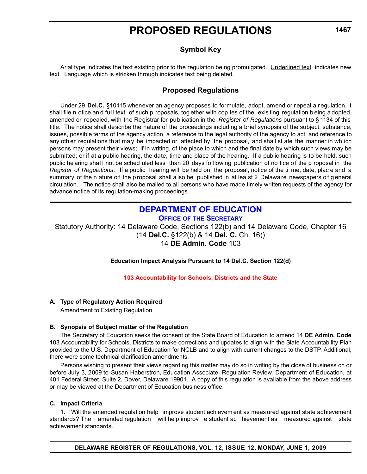### **Symbol Key**

<span id="page-14-0"></span>Arial type indicates the text existing prior to the regulation being promulgated. Underlined text indicates new text. Language which is stricken through indicates text being deleted.

### **Proposed Regulations**

Under 29 **Del.C.** §10115 whenever an agency proposes to formulate, adopt, amend or repeal a regulation, it shall file n otice an d fu ll text of such p roposals, tog ether with cop ies of the exis ting regulation b eing a dopted, amended or repealed, with the Registrar for publication in the *Register of Regulations* pursuant to § 1134 of this title. The notice shall describe the nature of the proceedings including a brief synopsis of the subject, substance, issues, possible terms of the agency action, a reference to the legal authority of the agency to act, and reference to any oth er regulations th at ma y be impacted or affected by the proposal, and shall st ate the manner in wh ich persons may present their views; if in writing, of the place to which and the final date by which such views may be submitted; or if at a public hearing, the date, time and place of the hearing. If a public hearing is to be held, such public he aring shall not be sched uled less than 20 days fo llowing publication of no tice of the p roposal in the *Register of Regulations*. If a public hearing will be held on the proposal, notice of the ti me, date, plac e and a summary of the n ature of the p roposal shall a lso be published in at lea st 2 Delawa re newspapers of general circulation. The notice shall also be mailed to all persons who have made timely written requests of the agency for advance notice of its regulation-making proceedings.

# **[DEPARTMENT OF EDUCATION](http://www.doe.k12.de.us/)**

**OFFICE OF [THE SECRETARY](http://www.doe.k12.de.us/)**

Statutory Authority: 14 Delaware Code, Sections 122(b) and 14 Delaware Code, Chapter 16 (14 **Del.C.** §122(b) & 14 **Del. C.** Ch. 16)) 14 **DE Admin. Code** 103

**Education Impact Analysis Pursuant to 14 Del.C**. **Section 122(d)**

#### **[103 Accountability for Schools, Districts and the State](#page-3-0)**

#### **A. Type of Regulatory Action Required**

Amendment to Existing Regulation

#### **B. Synopsis of Subject matter of the Regulation**

The Secretary of Education seeks the consent of the State Board of Education to amend 14 **DE Admin. Code**  103 Accountability for Schools, Districts to make corrections and updates to align with the State Accountability Plan provided to the U.S. Department of Education for NCLB and to align with current changes to the DSTP. Additional, there were some technical clarification amendments.

Persons wishing to present their views regarding this matter may do so in writing by the close of business on or before July 3, 2009 to Susan Haberstroh, Education Associate, Regulation Review, Department of Education, at 401 Federal Street, Suite 2, Dover, Delaware 19901. A copy of this regulation is available from the above address or may be viewed at the Department of Education business office.

#### **C. Impact Criteria**

1. Will the amended regulation help improve student achievem ent as meas ured against state achievement standards? The amended regulation will help improv e student ac hievement as measured against state achievement standards.

**1467**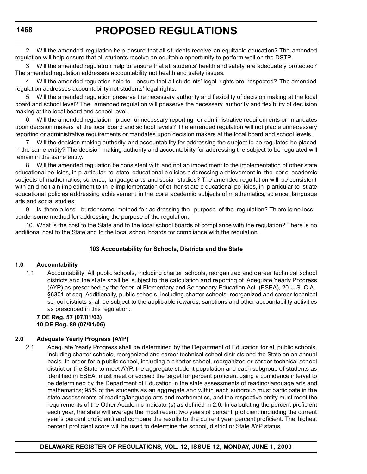2. Will the amended regulation help ensure that all students receive an equitable education? The amended regulation will help ensure that all students receive an equitable opportunity to perform well on the DSTP.

3. Will the amended regulation help to ensure that all students' health and safety are adequately protected? The amended regulation addresses accountability not health and safety issues.

4. Will the amended regulation help to ensure that all stude nts' legal rights are respected? The amended regulation addresses accountability not students' legal rights.

5. Will the amended regulation preserve the necessary authority and flexibility of decision making at the local board and school level? The amended regulation will pr eserve the necessary authority and flexibility of dec ision making at the local board and school level.

Will the amended regulation place unnecessary reporting or admi nistrative requirem ents or mandates upon decision makers at the local board and sc hool levels? The amended regulation will not plac e unnecessary reporting or administrative requirements or mandates upon decision makers at the local board and school levels.

7. Will the decision making authority and accountability for addressing the subject to be regulated be placed in the same entity? The decision making authority and accountability for addressing the subject to be regulated will remain in the same entity.

8. Will the amended regulation be consistent with and not an impediment to the implementation of other state educational po licies, in p articular to state educational p olicies a ddressing a chievement in the cor e academic subjects of mathematics, sc ience, language arts and social studies? The amended regu lation will be consistent with an d no t a n imp ediment to th e imp lementation of ot her st ate e ducational po licies, in p articular to st ate educational policies addressing achievement in the core academic subjects of m athematics, science, language arts and social studies.

9. Is there a less burdensome method fo r ad dressing the purpose of the reg ulation? Th ere is no less burdensome method for addressing the purpose of the regulation.

10. What is the cost to the State and to the local school boards of compliance with the regulation? There is no additional cost to the State and to the local school boards for compliance with the regulation.

#### **103 Accountability for Schools, Districts and the State**

#### **1.0 Accountability**

1.1 Accountability: All public schools, including charter schools, reorganized and c areer technical school districts and the st ate shall be subject to the calculation and reporting of Adequate Yearly Progress (AYP) as prescribed by the feder al Elementary and Se condary Education Act (ESEA), 20 U.S. C.A. §6301 et seq. Additionally, public schools, including charter schools, reorganized and career technical school districts shall be subject to the applicable rewards, sanctions and other accountability activities as prescribed in this regulation.

**7 DE Reg. 57 (07/01/03) 10 DE Reg. 89 (07/01/06)**

#### **2.0 Adequate Yearly Progress (AYP)**

2.1 Adequate Yearly Progress shall be determined by the Department of Education for all public schools, including charter schools, reorganized and career technical school districts and the State on an annual basis. In order for a public school, including a c harter school, reorganized or career technical school district or the State to meet AYP, the aggregate student population and each subgroup of students as identified in ESEA, must meet or exceed the target for percent proficient using a confidence interval to be determined by the Department of Education in the state assessments of reading/language arts and mathematics; 95% of the students as an aggregate and within each subgroup must participate in the state assessments of reading/language arts and mathematics, and the respective entity must meet the requirements of the Other Academic Indicator(s) as defined in 2.6. In calculating the percent proficient each year, the state will average the most recent two years of percent proficient (including the current year's percent proficient) and compare the results to the current year percent proficient. The highest percent proficient score will be used to determine the school, district or State AYP status.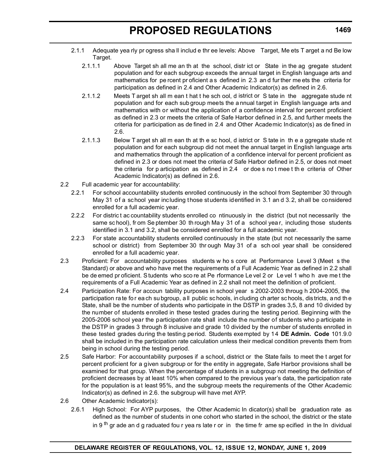- 2.1.1 Adequate yea rly pr ogress sha ll includ e thr ee levels: Above Target, Me ets T arget a nd Be low Target.
	- 2.1.1.1 Above Target sh all me an th at the school, distr ict or State in the ag gregate student population and for each subgroup exceeds the annual target in English language arts and mathematics for pe rcent pr oficient a s defined in 2.3 an d fur ther me ets the criteria for participation as defined in 2.4 and Other Academic Indicator(s) as defined in 2.6.
	- 2.1.1.2 Meets T arget sh all m ean t hat t he sch ool, d istrict or S tate in the aggregate stude nt population and for each sub group meets the a nnual target in English language arts and mathematics with or without the application of a confidence interval for percent proficient as defined in 2.3 or meets the criteria of Safe Harbor defined in 2.5, and further meets the criteria for participation as de fined in 2.4 and Other Academic Indicator(s) as de fined in 2.6.
	- 2.1.1.3 Below T arget sh all m ean th at th e sc hool, d istrict or S tate in the a ggregate stude nt population and for each subgroup did not meet the annual target in English language arts and mathematics through the application of a confidence interval for percent proficient as defined in 2.3 or does not meet the criteria of Safe Harbor defined in 2.5, or does not meet the criteria for p articipation as defined in 2.4 or doe s no t mee t th e criteria of Other Academic Indicator(s) as defined in 2.6.
- 2.2 Full academic year for accountability:
	- 2.2.1 For school accountability students enrolled continuously in the school from September 30 through May 31 of a school year including those students identified in 3.1 an d 3.2, shall be considered enrolled for a full academic year.
	- 2.2.2 For distric t ac countability students enrolled co ntinuously in the district (but not necessarily the same sc hool), from Se ptember 30 th rough Ma y 31 of a school year, including those students identified in 3.1 and 3.2, shall be considered enrolled for a full academic year.
	- 2.2.3 For state accountability students enrolled continuously in the state (but not necessarily the same school or district) from September 30 thr ough May 31 of a sch ool year shall be considered enrolled for a full academic year.
- 2.3 Proficient: For accountability purposes students w ho s core at Performance Level 3 (Meet s the Standard) or above and who have met the requirements of a Full Academic Year as defined in 2.2 shall be de emed pr oficient. Students who sco re at Pe rformance Le vel 2 or Le vel 1 who h ave me t the requirements of a Full Academic Year as defined in 2.2 shall not meet the definition of proficient.
- 2.4 Participation Rate: For accoun tability purposes in school year s 2002-2003 throug h 2004-2005, the participation rate for each subgroup, all public schools, in cluding charter schools, districts, and the State, shall be the number of students who participate in the DSTP in grades 3,5, 8 and 10 divided by the number of students enrolled in these tested grades during the testing period. Beginning with the 2005-2006 school year the participation rate shall include the number of students who p articipate in the DSTP in grades 3 through 8 inclusive and grade 10 divided by the number of students enrolled in these tested grades during the testing period. Students exempted by 14 **DE Admin. Code** 101.9.0 shall be included in the participation rate calculation unless their medical condition prevents them from being in school during the testing period.
- 2.5 Safe Harbor: For accountability purposes if a school, district or the State fails to meet the t arget for percent proficient for a given subgroup or for the entity in aggregate, Safe Harbor provisions shall be examined for that group. When the percentage of students in a subgroup not meeting the definition of proficient decreases by at least 10% when compared to the previous year's data, the participation rate for the population is at least 95%, and the subgroup meets the requirements of the Other Academic Indicator(s) as defined in 2.6. the subgroup will have met AYP.
- 2.6 Other Academic Indicator(s):
	- 2.6.1 High School: For AYP purposes, the Other Academic In dicator(s) shall be graduation rate as defined as the number of students in one cohort who started in the school, the district or the state in 9<sup>th</sup> gr ade an d g raduated fou r yea rs late r or in the time fr ame sp ecified in the In dividual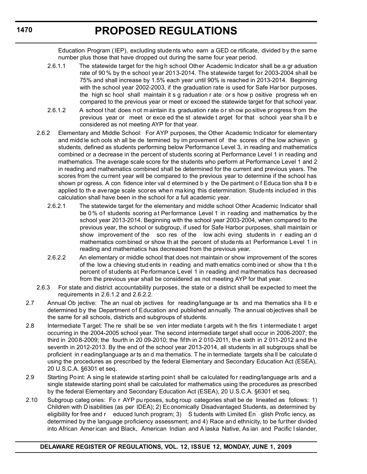Education Program (IEP), excluding students who earn a GED ce rtificate, divided by the same number plus those that have dropped out during the same four year period.

- 2.6.1.1 The statewide target for the hig h school Other Academic Indicator shall be a gr aduation rate of 90 % by th e school year 2013-2014. The statewide target for 2003-2004 shall be 75% and shall increase by 1.5% each year until 90% is reached in 2013-2014. Beginning with the school year 2002-2003, if the graduation rate is used for Safe Har bor purposes, the high sc hool shall maintain it s g raduation r ate or s how p ositive progress wh en compared to the previous year or meet or exceed the statewide target for that school year.
- 2.6.1.2 A school that does n ot m aintain its graduation rate or show po sitive progress from the previous year or meet or exce ed the st atewide t arget for that school year sha ll b e considered as not meeting AYP for that year.
- 2.6.2 Elementary and Middle School: For AYP purposes, the Other Academic Indicator for elementary and midd le sch ools sh all be de termined by im provement of the scores of the low achievin g students, defined as students performing below Performance Level 3, in reading and mathematics combined or a decrease in the percent of students scoring at Performance Level 1 in reading and mathematics. The average scale score for the students who perform at Performance Level 1 and 2 in reading and mathematics combined shall be determined for the current and previous years. The scores from the current year will be compared to the previous year to determine if the school has shown pr ogress. A con fidence inter val d etermined b y the De partment o f Educa tion sha ll b e applied to th e average scale scores when making this determination. Students included in this calculation shall have been in the school for a full academic year.
	- 2.6.2.1 The statewide target for the elementary and middle school Other Academic Indicator shall be 0% of students scoring at Performance Level 1 in reading and mathematics by the school year 2013-2014. Beginning with the school year 2003-2004, when compared to the previous year, the school or subgroup, if used for Safe Harbor purposes, shall maintain or show improvement of the sco res of the low achi eving students in r eading an d mathematics combined or show th at the percent of students at Performance Level 1 in reading and mathematics has decreased from the previous year.
	- 2.6.2.2 An elementary or middle school that does not maintain or show improvement of the scores of the low a chieving stud ents in r eading and math ematics comb ined or show tha t th e percent of students at Performance Level 1 in reading and mathematics has decreased from the previous year shall be considered as not meeting AYP for that year.
- 2.6.3 For state and district accountability purposes, the state or a district shall be expected to meet the requirements in 2.6.1.2 and 2.6.2.2.
- 2.7 Annual Ob jective: The an nual ob jectives for reading/language ar ts and ma thematics sha II b e determined by the Department of Education and published annually. The annual objectives shall be the same for all schools, districts and subgroups of students.
- 2.8 Intermediate T arget: The re shall be se ven inter mediate t argets wit h the firs t intermediate t arget occurring in the 2004-2005 school year. The second intermediate target shall occur in 2006-2007; the third in 2008-2009; the fourth in 20 09-2010; the fifth in 2 010-2011, the sixth in 2 011-2012 and the seventh in 2012-2013. By the end of the school year 2013-2014, all students in all subgroups shall be proficient in r eading/language ar ts an d ma thematics. T he in termediate targets sha ll be calculate d using the procedures as prescribed by the federal Elementary and Secondary Education Act (ESEA), 20 U.S.C.A. §6301 et seq.
- 2.9 Starting Point: A sing le statewide starting point shall be calculated for reading/language arts and a single statewide starting point shall be calculated for mathematics using the procedures as prescribed by the federal Elementary and Secondary Education Act (ESEA), 20 U.S.C.A. §6301 et seq.
- 2.10 Subgroup categ ories: Fo r AYP pu rposes, subg roup categories shall be de lineated as follows: 1) Children with D isabilities (as per IDEA); 2) Ec onomically Disadvantaged Students, as determined by eligibility for free and r educed lunch program; 3) S tudents with Limited En glish Profic iency, as determined by the language proficiency assessment; and 4) Race and ethnicity, to be further divided into African Amer ican and Black, American Indian and A laska Native, As ian and Pacific I slander,

### **DELAWARE REGISTER OF REGULATIONS, VOL. 12, ISSUE 12, MONDAY, JUNE 1, 2009**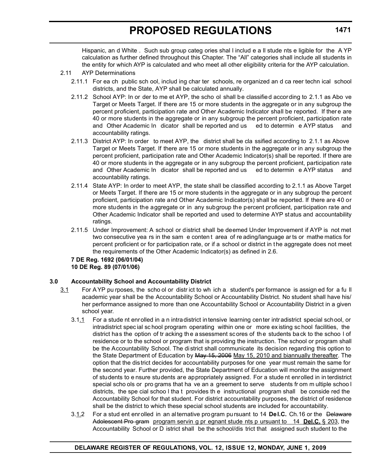Hispanic, an d White . Such sub group categ ories shal l includ e a ll stude nts e ligible for the A YP calculation as further defined throughout this Chapter. The "All" categories shall include all students in the entity for which AYP is calculated and who meet all other eligibility criteria for the AYP calculation.

#### 2.11 AYP Determinations

- 2.11.1 For ea ch public sch ool, includ ing char ter schools, re organized an d ca reer techn ical school districts, and the State, AYP shall be calculated annually.
- 2.11.2 School AYP: In or der to me et AYP, the scho ol shall be classified according to 2.1.1 as Abo ve Target or Meets Target. If there are 15 or more students in the aggregate or in any subgroup the percent proficient, participation rate and Other Academic Indicator shall be reported. If there are 40 or more students in the aggregate or in any subgroup the percent proficient, participation rate and Other Academic In dicator shall be reported and us ed to determin e AYP status and accountability ratings.
- 2.11.3 District AYP: In order to meet AYP, the district shall be cla ssified according to 2.1.1 as Above Target or Meets Target. If there are 15 or more students in the aggregate or in any subgroup the percent proficient, participation rate and Other Academic Indicator(s) shall be reported. If there are 40 or more students in the aggregate or in any subgroup the percent proficient, participation rate and Other Academic In dicator shall be reported and us ed to determin e AYP status and accountability ratings.
- 2.11.4 State AYP: In order to meet AYP, the state shall be classified according to 2.1.1 as Above Target or Meets Target. If there are 15 or more students in the aggregate or in any subgroup the percent proficient, participation rate and Other Academic Indicator(s) shall be reported. If there are 40 or more students in the aggregate or in any subgroup the percent proficient, participation rate and Other Academic Indicator shall be reported and used to determine AYP status and accountability ratings.
- 2.11.5 Under Improvement: A school or district shall be deemed Under Improvement if AYP is not met two consecutive yea rs in the sam e conten t area of re ading/language ar ts or mathe matics for percent proficient or for participation rate, or if a school or district in the aggregate does not meet the requirements of the Other Academic Indicator(s) as defined in 2.6.

**7 DE Reg. 1692 (06/01/04) 10 DE Reg. 89 (07/01/06)**

#### **3.0 Accountability School and Accountability District**

- 3.1 For A YP pu rposes, the scho ol or distr ict to wh ich a student's per formance is assign ed for a fu ll academic year shall be the Accountability School or Accountability District. No student shall have his/ her performance assigned to more than one Accountability School or Accountability District in a given school year.
	- 3.1.1 For a stude nt enrolled in a n intradistrict intensive learning center intradistrict special school, or intradistrict spec ial sc hool program operating within one or more ex isting sc hool facilities, the district has the option of tr acking the assessment scores of the students back to the schoo l of residence or to the school or program that is providing the instruction. The school or program shall be the Accountability School. The district shall communicate its decision regarding this option to the State Department of Education by May 15, 2006 May 15, 2010 and biannually thereafter. The option that the district decides for accountability purposes for one year must remain the same for the second year. Further provided, the State Department of Education will monitor the assignment of students to e nsure students are appropriately assigned. For a stude nt enrolled in in terdistrict special scho ols or pro grams that ha ve an a greement to serve students from m ultiple schoo I districts, the spe cial schoo l tha t provides th e instructional program shall be conside red the Accountability School for that student. For district accountability purposes, the district of residence shall be the district to which these special school students are included for accountability.
	- 3.1.2 For a stud ent enrolled in an alternative program pursuant to 14 **Del.C.** Ch.16 or the Delaware Adolescent Pro gram program servin g pr egnant stude nts p ursuant to 14 **Del.C.** § 203, the Accountability School or D istrict shall be the school/dis trict that assigned such student to the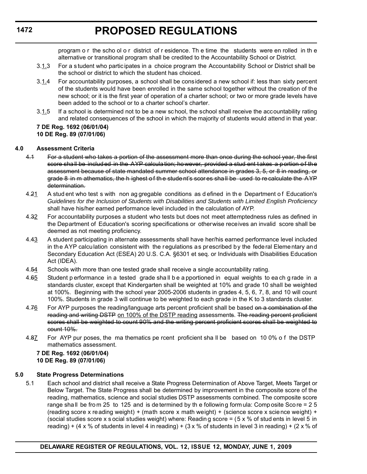# **PROPOSED REGULATIONS**

program o r the scho ol o r district of r esidence. Th e time the students were en rolled in th e alternative or transitional program shall be credited to the Accountability School or District.

- 3.1.3 For a student who partic ipates in a choice program the Accountability School or District shall be the school or district to which the student has choiced.
- 3.1.4 For accountability purposes, a school shall be considered a new school if: less than sixty percent of the students would have been enrolled in the same school together without the creation of the new school; or it is the first year of operation of a charter school; or two or more grade levels have been added to the school or to a charter school's charter.
- 3.1.5 If a school is determined not to be a new school, the school shall receive the accountability rating and related consequences of the school in which the majority of students would attend in that year.

#### **7 DE Reg. 1692 (06/01/04) 10 DE Reg. 89 (07/01/06)**

#### **4.0 Assessment Criteria**

- 4.1 For a student who takes a portion of the assessment more than once during the school year, the first score shall be included in the AYP calculation; however, provided a stud ent takes a portion of the assessment because of state mandated summer school attendance in grades 3, 5, or 8 in reading, or grade 8 in m athematics, the h ighest of the stude nt's scor es shall be used to recalculate the AYP determination.
- 4.21 A stud ent who test s with non ag gregable conditions as d efined in the Department of Education's *Guidelines for the Inclusion of Students with Disabilities and Students with Limited English Proficiency*  shall have his/her earned performance level included in the calculation of AYP.
- 4.32 For accountability purposes a student who tests but does not meet attemptedness rules as defined in the Department of Education's scoring specifications or otherwise receives an invalid score shall be deemed as not meeting proficiency.
- 4.43 A student participating in alternate assessments shall have her/his earned performance level included in the AYP calculation consistent with the regulations as prescribed by the federal Elementary and Secondary Education Act (ESEA) 20 U.S. C.A. §6301 et seq. or Individuals with Disabilities Education Act (IDEA).
- 4.54 Schools with more than one tested grade shall receive a single accountability rating.
- 4.65 Student p erformance in a tested grade shall be a pportioned in equal weights to each grade in a standards cluster, except that Kindergarten shall be weighted at 10% and grade 10 shall be weighted at 100%. Beginning with the school year 2005-2006 students in grades 4, 5, 6, 7, 8, and 10 will count 100%. Students in grade 3 will continue to be weighted to each grade in the K to 3 standards cluster.
- 4.76 For AYP purposes the reading/language arts percent proficient shall be based on a combination of the reading and writing DSTP on 100% of the DSTP reading assessments. The reading percent proficient scores shall be weighted to count 90% and the writing percent proficient scores shall be weighted to count 10%.
- 4.87 For AYP pur poses, the ma thematics pe rcent proficient sha ll be based on 10 0% o f the DSTP mathematics assessment.

#### **7 DE Reg. 1692 (06/01/04) 10 DE Reg. 89 (07/01/06)**

#### **5.0 State Progress Determinations**

5.1 Each school and district shall receive a State Progress Determination of Above Target, Meets Target or Below Target. The State Progress shall be determined by improvement in the composite score of the reading, mathematics, science and social studies DSTP assessments combined. The composite score range shall be from 25 to 125 and is de termined by the following formula: Composite Score = 2 5 (reading score x reading weight) + (math score x math weight) + (science score x science weight) + (social studies score x s ocial studies weight) where: Readin g score =  $(5 \times \%)$  of stud ents in level 5 in reading) + (4 x % of students in level 4 in reading) + (3 x % of students in level 3 in reading) + (2 x % of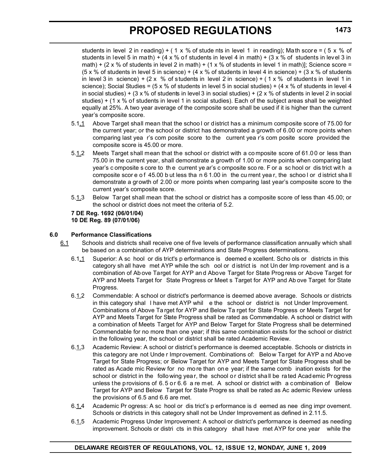students in level 2 in reading) + (1 x % of stude nts in level 1 in reading); Math score = (5 x % of students in level 5 in math) +  $(4 \times \%$  of students in level 4 in math) +  $(3 \times \%$  of students in level 3 in math) + (2 x % of students in level 2 in math) + (1 x % of students in level 1 in math)]; Science score = (5 x % of students in level 5 in science) + (4 x % of students in level 4 in science) + (3 x % of students in level 3 in science) + (2 x % of students in level 2 in science) + (1 x % of students in level 1 in science); Social Studies =  $(5 \times \%)$  of students in level 5 in social studies) +  $(4 \times \%$  of students in level 4 in social studies) + (3 x % of students in level 3 in social studies) + (2 x % of students in level 2 in social studies) + (1 x % of students in level 1 in social studies). Each of the subject areas shall be weighted equally at 25%. A two year average of the composite score shall be used if it is higher than the current year's composite score.

- 5.1.1 Above Target shall mean that the schoo l or district has a minimum composite score of 75.00 for the current year; or the school or district has demonstrated a growth of 6.00 or more points when comparing last yea r's com posite score to the current yea r's com posite score provided the composite score is 45.00 or more.
- 5.1.2 Meets Target shall mean that the school or district with a composite score of 61.00 or less than 75.00 in the current year, shall demonstrate a growth of 1.00 or more points when comparing last year's c omposite s core to th e current ye ar's c omposite sco re. F or a sc hool or dis trict wit h a composite scor e o f 45.00 b ut less tha n 6 1.00 in the cu rrent year, the school or district shall demonstrate a growth of 2.00 or more points when comparing last year's composite score to the current year's composite score.
- 5.1.3 Below Target shall mean that the school or district has a composite score of less than 45.00; or the school or district does not meet the criteria of 5.2.

**7 DE Reg. 1692 (06/01/04) 10 DE Reg. 89 (07/01/06)** 

#### **6.0 Performance Classifications**

- 6.1 Schools and districts shall receive one of five levels of performance classification annually which shall be based on a combination of AYP determinations and State Progress determinations.
	- 6.1.1 Superior: A sc hool or dis trict's p erformance is deemed e xcellent. Scho ols or districts in this category sh all have met AYP while the sch ool or d istrict is not Un der Imp rovement and is a combination of Ab ove Target for AYP an d Above Target for State Prog ress or Above Target for AYP and Meets Target for State Progress or Meet s Target for AYP and Ab ove Target for State Progress.
	- 6.1.2 Commendable: A school or district's performance is deemed above average. Schools or districts in this category shal l have met AYP whil e the school or district is not Under Improvement. Combinations of Above Ta rget for AYP and Below Ta rget for State Progress or Meets Target for AYP and Meets Target for State Progress shall be rated as Commendable. A school or district with a combination of Meets Target for AYP and Below Target for State Progress shall be determined Commendable for no more than one year; if this same combination exists for the school or district in the following year, the school or district shall be rated Academic Review.
	- 6.1.3 Academic Review: A school or district's performance is deemed acceptable. Schools or districts in this category are not Unde r Improvement. Combinations of: Below Target for AYP a nd Above Target for State Progress; or Below Target for AYP and Meets Target for State Progress shall be rated as Acade mic Review for no mo re than on e year; if the same comb ination exists for the school or district in the follo wing year, the school or district shall be rated Academic Progress unless the provisions of 6.5 or 6.6 a re met. A school or district with a combination of Below Target for AYP and Below Target for State Progre ss shall be rated as Ac ademic Review unless the provisions of 6.5 and 6.6 are met.
	- 6.1.4 Academic Pr ogress: A sc hool or dis trict's p erformance is d eemed as nee ding impr ovement. Schools or districts in this category shall not be Under Improvement as defined in 2.11.5.
	- 6.1.5 Academic Progress Under Improvement: A school or district's performance is deemed as needing improvement. Schools or distri cts in this category shall have met AYP for one year while the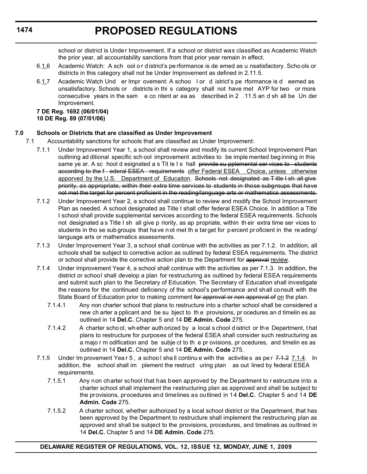school or district is Under Improvement. If a school or district was classified as Academic Watch the prior year, all accountability sanctions from that prior year remain in effect.

- 6.1.6 Academic Watch: A sch ool o r d istrict's pe rformance is de emed as u nsatisfactory. Scho ols or districts in this category shall not be Under Improvement as defined in 2.11.5.
- 6.1.7 Academic Watch Und er Impr ovement: A schoo l or d istrict's pe rformance is d eemed as unsatisfactory. Schools or districts in thi s category shall not have met AYP for two or more consecutive years in the sam e co ntent ar ea as described in 2 .11.5 an d sh all be Un der Improvement.

#### **7 DE Reg. 1692 (06/01/04) 10 DE Reg. 89 (07/01/06)**

#### **7.0 Schools or Districts that are classified as Under Improvement**

- 7.1 Accountability sanctions for schools that are classified as Under Improvement:
	- 7.1.1 Under Improvement Year 1, a school shall review and modify its current School Improvement Plan outlining ad ditional specific sch ool improvement activities to be imple mented beg inning in this same ye ar. A sc hool d esignated a s Tit le I s hall provide su pplemental ser vices to students according to the f ederal ESEA requirements offer Federal ESEA Choice, unless otherwise apporved by the U.S. Department of Educaiton. Schools not designated as Title I sh all give priority, as appropriate, within their extra time services to students in those subgroups that have not met the target for percent proficient in the reading/language arts or mathematics assessments.
	- 7.1.2 Under Improvement Year 2, a school shall continue to review and modify the School Improvement Plan as needed. A school designated as Title I shall offer federal ESEA Choice. In addition a Title I school shall provide supplemental services according to the federal ESEA requirements. Schools not designated a s Title I sh all give p riority, as ap propriate, within th eir extra time ser vices to students in tho se sub groups that ha ve n ot met th e tar get for p ercent pr oficient in the re ading/ language arts or mathematics assessments.
	- 7.1.3 Under Improvement Year 3, a school shall continue with the activities as per 7.1.2. In addition, all schools shall be subject to corrective action as outlined by federal ESEA requirements. The district or school shall provide the corrective action plan to the Department for approval review.
	- 7.1.4 Under Improvement Year 4, a school shall continue with the activities as per 7.1.3. In addition, the district or school shall develop a plan for restructuring as outlined by federal ESEA requirements and submit such plan to the Secretary of Education. The Secretary of Education shall investigate the reasons for the continued deficiency of the school's performance and shall consult with the State Board of Education prior to making comment for approval or non approval of on the plan.
		- 7.1.4.1 Any non charter school that plans to restructure into a charter school shall be considered a new ch arter a pplicant and be su bject to th e provisions, pr ocedures an d timelin es as outlined in 14 **Del.C.** Chapter 5 and 14 **DE Admin. Code** 275.
		- 7.1.4.2 A charter scho ol, wh ether auth orized by a local s chool d istrict or th e Department, t hat plans to restructure for purposes of the federal ESEA shall consider such restructuring as a majo r m odification and be subje ct to th e pr ovisions, pr ocedures, and timelin es as outlined in 14 **Del.C.** Chapter 5 and 14 **DE Admin. Code** 275.
	- 7.1.5 Under Im provement Year 5, a school shall continue with the activitie s as per 7.1.2 7.1.4. In addition, the school shall im plement the restruct uring plan as out lined by federal ESEA requirements.
		- 7.1.5.1 Any non charter school that has been approved by the Department to r estructure into a charter school shall implement the restructuring plan as approved and shall be subject to the provisions, procedures and timelines as outlined in 14 **Del.C.** Chapter 5 and 14 **DE Admin. Code** 275.
		- 7.1.5.2 A charter school, whether authorized by a local school district or the Department, that has been approved by the Department to restructure shall implement the restructuring plan as approved and shall be subject to the provisions, procedures, and timelines as outlined in 14 **Del.C.** Chapter 5 and 14 **DE Admin. Code** 275.

**1474**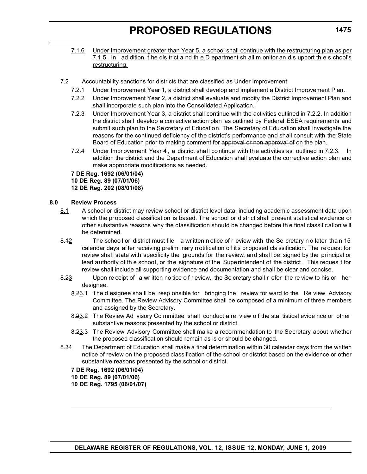- 7.1.6 Under Improvement greater than Year 5, a school shall continue with the restructuring plan as per 7.1.5. In ad dition, t he dis trict a nd th e D epartment sh all m onitor an d s upport th e s chool's restructuring.
- 7.2 Accountability sanctions for districts that are classified as Under Improvement:
	- 7.2.1 Under Improvement Year 1, a district shall develop and implement a District Improvement Plan.
	- 7.2.2 Under Improvement Year 2, a district shall evaluate and modify the District Improvement Plan and shall incorporate such plan into the Consolidated Application.
	- 7.2.3 Under Improvement Year 3, a district shall continue with the activities outlined in 7.2.2. In addition the district shall develop a corrective action plan as outlined by Federal ESEA requirements and submit such plan to the Se cretary of Education. The Secretary of Education shall investigate the reasons for the continued deficiency of the district's performance and shall consult with the State Board of Education prior to making comment for approval or non approval of on the plan.
	- 7.2.4 Under Improvement Year 4, a district shall continue with the activities as outlined in 7.2.3. In addition the district and the Department of Education shall evaluate the corrective action plan and make appropriate modifications as needed.

**7 DE Reg. 1692 (06/01/04) 10 DE Reg. 89 (07/01/06) 12 DE Reg. 202 (08/01/08)**

#### **8.0 Review Process**

- 8.1 A school or district may review school or district level data, including academic assessment data upon which the proposed classification is based. The school or district shall present statistical evidence or other substantive reasons why the classification should be changed before th e final classification will be determined.
- 8.42 The school or district must file a wr itten n otice of r eview with the Se cretary n o later than 15 calendar days af ter receiving prelim inary n otification o f it s pr oposed cla ssification. The re quest for review shall state with specificity the grounds for the review, and shall be signed by the principal or lead authority of th e school, or the signature of the Superintendent of the district . This reques t for review shall include all supporting evidence and documentation and shall be clear and concise.
- 8.23 Upon re ceipt of a wr itten no tice o f r eview, the Se cretary shall r efer the re view to his or her designee.
	- 8.23.1 The d esignee sha ll be resp onsible for bringing the review for ward to the Re view Advisory Committee. The Review Advisory Committee shall be composed of a minimum of three members and assigned by the Secretary.
	- 8.23.2 The Review Ad visory Co mmittee shall conduct a re view of the sta tistical evide nce or other substantive reasons presented by the school or district.
	- 8.23.3 The Review Advisory Committee shall ma ke a recommendation to the Secretary about whether the proposed classification should remain as is or should be changed.
- 8.34 The Department of Education shall make a final determination within 30 calendar days from the written notice of review on the proposed classification of the school or district based on the evidence or other substantive reasons presented by the school or district.

**7 DE Reg. 1692 (06/01/04) 10 DE Reg. 89 (07/01/06) 10 DE Reg. 1795 (06/01/07)**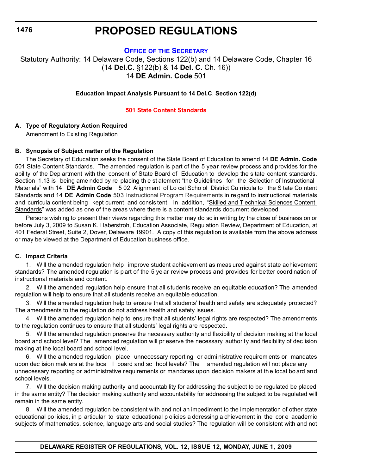### **PROPOSED REGULATIONS**

#### **OFFICE OF [THE SECRETARY](http://www.doe.k12.de.us/)**

<span id="page-23-0"></span>Statutory Authority: 14 Delaware Code, Sections 122(b) and 14 Delaware Code, Chapter 16 (14 **Del.C.** §122(b) & 14 **Del. C.** Ch. 16)) 14 **DE Admin. Code** 501

#### **Education Impact Analysis Pursuant to 14 Del.C**. **Section 122(d)**

#### **[501 State Content Standards](#page-3-0)**

#### **A. Type of Regulatory Action Required**

Amendment to Existing Regulation

#### **B. Synopsis of Subject matter of the Regulation**

The Secretary of Education seeks the consent of the State Board of Education to amend 14 **DE Admin. Code**  501 State Content Standards. The amended regulation is part of the 5 year review process and provides for the ability of the Dep artment with the consent of State Board of Education to develop the s tate content standards. Section 1.13 is being ame nded by re placing th e st atement "the Guidelines for the Selection of Instructional Materials" with 14 **DE Admin Code** 5 02 Alignment of Lo cal Scho ol District Cu rricula to the S tate Co ntent Standards and 14 **DE Admin Code** 503 Instructional Program Requirements in re gard to instr uctional materials and curricula content being kept current and consis tent. In addition, "Skilled and T echnical Sciences Content Standards" was added as one of the areas where there is a content standards document developed.

Persons wishing to present their views regarding this matter may do so in writing by the close of business on or before July 3, 2009 to Susan K. Haberstroh, Education Associate, Regulation Review, Department of Education, at 401 Federal Street, Suite 2, Dover, Delaware 19901. A copy of this regulation is available from the above address or may be viewed at the Department of Education business office.

#### **C. Impact Criteria**

1. Will the amended regulation help improve student achievem ent as meas ured against state achievement standards? The amended regulation is p art of the 5 ye ar review process and provides for better coordination of instructional materials and content.

2. Will the amended regulation help ensure that all students receive an equitable education? The amended regulation will help to ensure that all students receive an equitable education.

3. Will the amended regulation help to ensure that all students' health and safety are adequately protected? The amendments to the regulation do not address health and safety issues.

4. Will the amended regulation help to ensure that all students' legal rights are respected? The amendments to the regulation continues to ensure that all students' legal rights are respected.

5. Will the amended regulation preserve the necessary authority and flexibility of decision making at the local board and school level? The amended regulation will pr eserve the necessary authority and flexibility of dec ision making at the local board and school level.

6. Will the amended regulation place unnecessary reporting or admi nistrative requirem ents or mandates upon dec ision mak ers at the loca l board and sc hool levels? The amended regulation will not place any unnecessary reporting or administrative requirements or mandates upon decision makers at the local bo ard and school levels.

7. Will the decision making authority and accountability for addressing the subject to be regulated be placed in the same entity? The decision making authority and accountability for addressing the subject to be regulated will remain in the same entity.

8. Will the amended regulation be consistent with and not an impediment to the implementation of other state educational po licies, in p articular to state educational p olicies a ddressing a chievement in the cor e academic subjects of mathematics, science, language arts and social studies? The regulation will be consistent with and not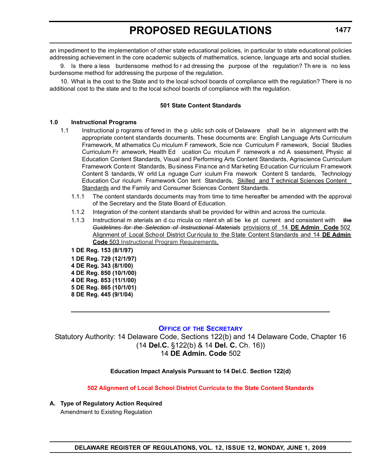<span id="page-24-0"></span>an impediment to the implementation of other state educational policies, in particular to state educational policies addressing achievement in the core academic subjects of mathematics, science, language arts and social studies.

9. Is there a less burdensome method fo r ad dressing the purpose of the regulation? Th ere is no less burdensome method for addressing the purpose of the regulation.

10. What is the cost to the State and to the local school boards of compliance with the regulation? There is no additional cost to the state and to the local school boards of compliance with the regulation.

#### **501 State Content Standards**

#### **1.0 Instructional Programs**

- 1.1 Instructional p rograms of fered in the p ublic sch ools of Delaware shall be in alignment with the appropriate content standards documents. These documents are: English Language Arts Curriculum Framework, M athematics Cu rriculum F ramework, Scie nce Curriculum F ramework, Social Studies Curriculum Fr amework, Health Ed ucation Cu rriculum F ramework a nd A ssessment, Physic al Education Content Standards, Visual and Performing Arts Content Standards, Agriscience Curriculum Framework Conte nt Standards, Bu siness Fina nce an d Mar keting Ed ucation Cur riculum Fr amework Content S tandards, W orld La nguage Curr iculum Fra mework Content S tandards, Technology Education Cur riculum Framework Con tent Standards, Skilled and T echnical Sciences Content Standards and the Family and Consumer Sciences Content Standards.
	- 1.1.1 The content standards documents may from time to time hereafter be amended with the approval of the Secretary and the State Board of Education.
	- 1.1.2 Integration of the content standards shall be provided for within and across the curricula.
	- 1.1.3 Instructional m aterials an d cu rricula co ntent sh all be ke pt current and consistent with the *Guidelines for the Selection of Instructional Materials* provisions of 14 **DE Admin Code** 502 Alignment of Local School District Curricula to the State Content Standards and 14 **DE Admin Code** 503 Instructional Program Requirements.

**1 DE Reg. 153 (8/1/97) 1 DE Reg. 729 (12/1/97) 4 DE Reg. 343 (8/1/00) 4 DE Reg. 850 (10/1/00) 4 DE Reg. 853 (11/1/00) 5 DE Reg. 865 (10/1/01) 8 DE Reg. 445 (9/1/04)**

#### **OFFICE OF [THE SECRETARY](http://www.doe.k12.de.us/)**

Statutory Authority: 14 Delaware Code, Sections 122(b) and 14 Delaware Code, Chapter 16 (14 **Del.C.** §122(b) & 14 **Del. C.** Ch. 16)) 14 **DE Admin. Code** 502

#### **Education Impact Analysis Pursuant to 14 Del.C**. **Section 122(d)**

**[502 Alignment of Local School District Curricula to the State Content Standards](#page-3-0)**

**A. Type of Regulatory Action Required** Amendment to Existing Regulation

**1477**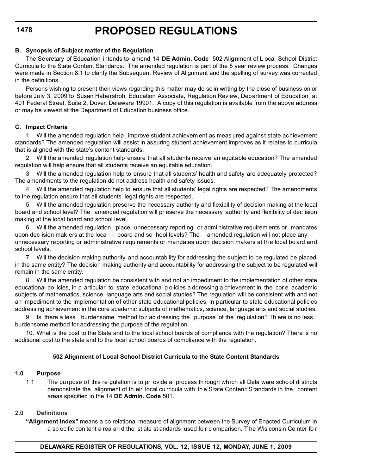#### **B. Synopsis of Subject matter of the Regulation**

The Secretary of Education intends to amend 14 **DE Admin. Code** 502 Alignment of L ocal School District Curricula to the State Content Standards. The amended regulation is part of the 5 year review process. Changes were made in Section 8.1 to clarify the Subsequent Review of Alignment and the spelling of survey was corrected in the definitions.

Persons wishing to present their views regarding this matter may do so in writing by the close of business on or before July 3, 2009 to Susan Haberstroh, Education Associate, Regulation Review, Department of Education, at 401 Federal Street, Suite 2, Dover, Delaware 19901. A copy of this regulation is available from the above address or may be viewed at the Department of Education business office.

#### **C. Impact Criteria**

1. Will the amended regulation help improve student achievem ent as meas ured against state achievement standards? The amended regulation will assist in assuring student achievement improves as it relates to curricula that is aligned with the state's content standards.

2. Will the amended regulation help ensure that all students receive an equitable education? The amended regulation will help ensure that all students receive an equitable education.

3. Will the amended regulation help to ensure that all students' health and safety are adequately protected? The amendments to the regulation do not address health and safety issues.

4. Will the amended regulation help to ensure that all students' legal rights are respected? The amendments to the regulation ensure that all students' legal rights are respected.

5. Will the amended regulation preserve the necessary authority and flexibility of decision making at the local board and school level? The amended regulation will pr eserve the necessary authority and flexibility of dec ision making at the local board and school level.

6. Will the amended regulation place unnecessary reporting or admi nistrative requirem ents or mandates upon dec ision mak ers at the loca l board and sc hool levels? The amended regulation will not place any unnecessary reporting or administrative requirements or mandates upon decision makers at the local bo ard and school levels.

7. Will the decision making authority and accountability for addressing the subject to be regulated be placed in the same entity? The decision making authority and accountability for addressing the subject to be regulated will remain in the same entity.

8. Will the amended regulation be consistent with and not an impediment to the implementation of other state educational po licies, in p articular to state educational p olicies a ddressing a chievement in the cor e academic subjects of mathematics, science, language arts and social studies? The regulation will be consistent with and not an impediment to the implementation of other state educational policies, in particular to state educational policies addressing achievement in the core academic subjects of mathematics, science, language arts and social studies.

9. Is there a less burdensome method fo r ad dressing the purpose of the reg ulation? Th ere is no less burdensome method for addressing the purpose of the regulation.

10. What is the cost to the State and to the local school boards of compliance with the regulation? There is no additional cost to the state and to the local school boards of compliance with the regulation.

#### **502 Alignment of Local School District Curricula to the State Content Standards**

#### **1.0 Purpose**

1.1 The pu rpose o f this re gulation is to pr ovide a process th rough wh ich all Dela ware scho ol di stricts demonstrate the alignment of th eir local cu rricula with th e State Conten t Standards in the content areas specified in the 14 **DE Admin. Code** 501.

#### **2.0 Definitions**

**"Alignment Index"** means a co relational measure of alignment between the Survey of Enacted Curriculum in a sp ecific con tent a rea an d the st ate st andards used fo r c omparison. T he Wis consin Ce nter fo r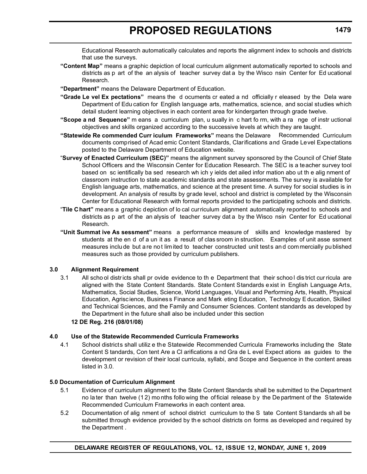Educational Research automatically calculates and reports the alignment index to schools and districts that use the surveys.

- **"Content Map"** means a graphic depiction of local curriculum alignment automatically reported to schools and districts as p art of the an alysis of teacher survey dat a by the Wisco nsin Center for Ed ucational Research.
- **"Department"** means the Delaware Department of Education.
- **"Grade Le vel Ex pectations"** means the d ocuments cr eated a nd officially r eleased by the Dela ware Department of Edu cation for English language arts, mathematics, science, and social studies which detail student learning objectives in each content area for kindergarten through grade twelve.
- **"Scope a nd Sequence"** m eans a curriculum plan, u sually in c hart fo rm, with a ra nge of instr uctional objectives and skills organized according to the successive levels at which they are taught.
- "Statewide Re commended Curr iculum Frameworks" means the Delaware Recommended Curriculum documents comprised of Acad emic Content Standards, Clarifications and Grade Level Expectations posted to the Delaware Department of Education website.
- "**Survey of Enacted Curriculum (SEC)"** means the alignment survey sponsored by the Council of Chief State School Officers and the Wisconsin Center for Education Research. The SEC is a teacher survey tool based on sc ientifically ba sed research wh ich y ields det ailed infor mation abo ut th e alig nment of classroom instruction to state academic standards and state assessments. The survey is available for English language arts, mathematics, and science at the present time. A survey for social studies is in development. An analysis of results by grade level, school and district is completed by the Wisconsin Center for Educational Research with formal reports provided to the participating schools and districts.
- "**Tile Chart"** means a graphic depiction of lo cal curriculum alignment automatically reported to schools and districts as p art of the an alysis of teacher survey dat a by the Wisco nsin Center for Ed ucational Research.
- **"Unit Summat ive As sessment"** means a performance measure of skills and knowledge mastered by students at the en d of a un it as a result of clas sroom in struction. Examples of unit asse ssment measures inclu de but a re no t lim ited to teacher constructed unit tests an d com mercially pu blished measures such as those provided by curriculum publishers.

#### **3.0 Alignment Requirement**

3.1 All scho ol distr icts shall pr ovide evidence to th e Department that their schoo l dis trict cur ricula are aligned with the State Content Standards. State Content Standards exist in English Language Arts, Mathematics, Social Studies, Science, World Languages, Visual and Performing Arts, Health, Physical Education, Agrisc ience, Busines s Finance and Mark eting Education, Technology E ducation, Skilled and Technical Sciences, and the Family and Consumer Sciences. Content standards as developed by the Department in the future shall also be included under this section

#### **12 DE Reg. 216 (08/01/08)**

### **4.0 Use of the Statewide Recommended Curricula Frameworks**

4.1 School districts shall utiliz e the Statewide Recommended Curricula Frameworks including the State Content S tandards, Con tent Are a Cl arifications a nd Gra de L evel Expect ations as guides to the development or revision of their local curricula, syllabi, and Scope and Sequence in the content areas listed in 3.0.

### **5.0 Documentation of Curriculum Alignment**

- 5.1 Evidence of curriculum alignment to the State Content Standards shall be submitted to the Department no la ter than twelve (1 2) mo nths follo wing the of ficial release b y the De partment of the Statewide Recommended Curriculum Frameworks in each content area.
- 5.2 Documentation of alig nment of school district curriculum to the S tate Content S tandards sh all be submitted through evidence provided by th e school districts on forms as developed and required by the Department .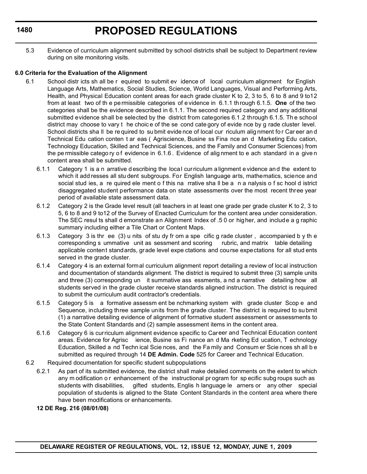5.3 Evidence of curriculum alignment submitted by school districts shall be subject to Department review during on site monitoring visits.

#### **6.0 Criteria for the Evaluation of the Alignment**

- 6.1 School distr icts sh all be r equired to submit ev idence of local curriculum alignment for English Language Arts, Mathematics, Social Studies, Science, World Languages, Visual and Performing Arts, Health, and Physical Education content areas for each grade cluster K to 2, 3 to 5, 6 to 8 and 9 to12 from at least two of th e pe rmissible categories of e vidence in 6.1.1 th rough 6.1.5. **One** of the two categories shall be the evidence described in 6.1.1. The second required category and any additional submitted evidence shall be selected by the district from categories 6.1.2 through 6.1.5. The school district may choose to vary t he choic e of the se cond cate gory of evide nce by g rade cluster level. School districts sha II be re quired to su bmit evide nce of local cur riculum alig nment for Car eer an d Technical Edu cation conten t ar eas ( Agriscience, Busine ss Fina nce an d Marketing Edu cation, Technology Education, Skilled and Technical Sciences, and the Family and Consumer Sciences) from the pe rmissible catego ry o f evidence in 6.1.6 . Evidence of alig nment to e ach standard in a give n content area shall be submitted.
	- 6.1.1 Category 1 is a n arrative describing the loca l curriculum a lignment e vidence an d the extent to which it add resses all stu dent subgroups. For English language arts, mathematics, science and social stud ies, a re quired ele ment o f this na rrative sha ll be a n a nalysis o f sc hool d istrict disaggregated student performance data on state assessments over the most recent three year period of available state assessment data.
	- 6.1.2 Category 2 is the Grade level result (all teachers in at least one grade per grade cluster K to 2, 3 to 5, 6 to 8 and 9 to12 of the Survey of Enacted Curriculum for the content area under consideration. The SEC resul ts shall d emonstrate an Alignment Index of .5 0 or higher, and include a g raphic summary including either a Tile Chart or Content Maps.
	- 6.1.3 Category 3 is thr ee (3) u nits of stu dy fr om a spe cific g rade cluster , accompanied b y th e corresponding s ummative unit as sessment and scoring rubric, and matrix table detailing applicable content standards, grade level expe ctations and course expectations for all stud ents served in the grade cluster.
	- 6.1.4 Category 4 is an external formal curriculum alignment report detailing a review of local instruction and documentation of standards alignment. The district is required to submit three (3) sample units and three (3) corresponding un it summative ass essments, a nd a narrative detailing how all students served in the grade cluster receive standards aligned instruction. The district is required to submit the curriculum audit contractor's credentials.
	- 6.1.5 Category 5 is a formative assessm ent be nchmarking system with grade cluster Scop e and Sequence, including three sample units from the grade cluster. The district is required to su bmit (1) a narrative detailing evidence of alignment of formative student assessment or assessments to the State Content Standards and (2) sample assessment items in the content area.
	- 6.1.6 Category 6 is curriculum alignment evidence specific to Career and Technical Education content areas. Evidence for Agrisc ience, Busine ss Fi nance an d Ma rketing Ed ucation, T echnology Education, Skilled a nd Techn ical Scie nces, and the Fa mily and Consum er Scie nces sh all b e submitted as required through 14 **DE Admin. Code** 525 for Career and Technical Education.
- 6.2 Required documentation for specific student subpopulations
	- 6.2.1 As part of its submitted evidence, the district shall make detailed comments on the extent to which any m odification o r enhancement of the instructional pr ogram for sp ecific subg roups such as students with disabilities, gifted students, Englis h language le arners or any other special population of students is aligned to the State Content Standards in the content area where there have been modifications or enhancements.
	- **12 DE Reg. 216 (08/01/08)**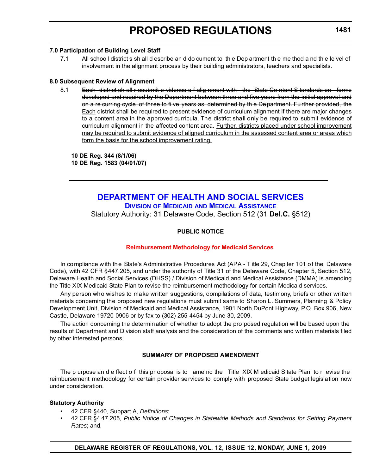#### <span id="page-28-0"></span>**7.0 Participation of Building Level Staff**

7.1 All schoo l district s sh all d escribe an d do cument to th e Dep artment th e me thod a nd th e le vel of involvement in the alignment process by their building administrators, teachers and specialists.

#### **8.0 Subsequent Review of Alignment**

8.1 Each district sh all r esubmit e vidence o f alig nment with the State Co ntent S tandards on forms developed and required by the Department between three and five years from the initial approval and on a re curring cycle of three to fi ve years as determined by th e Department. Further provided, the Each district shall be required to present evidence of curriculum alignment if there are major changes to a content area in the approved curricula. The district shall only be required to submit evidence of curriculum alignment in the affected content area. Further, districts placed under school improvement may be required to submit evidence of aligned curriculum in the assessed content area or areas which form the basis for the school improvement rating.

**10 DE Reg. 344 (8/1/06) 10 DE Reg. 1583 (04/01/07)**

> **[DEPARTMENT OF HEALTH AND SOCIAL SERVICES](http://www.dhss.delaware.gov/dhss/index.html) DIVISION OF MEDICAID [AND MEDICAL ASSISTANCE](http://www.dhss.delaware.gov/dhss/dmma/)** Statutory Authority: 31 Delaware Code, Section 512 (31 **Del.C.** §512)

#### **PUBLIC NOTICE**

#### **[Reimbursement Methodology for Medicaid Services](#page-3-0)**

In compliance with the State's Administrative Procedures Act (APA - T itle 29, Chap ter 101 of the Delaware Code), with 42 CFR §447.205, and under the authority of Title 31 of the Delaware Code, Chapter 5, Section 512, Delaware Health and Social Services (DHSS) / Division of Medicaid and Medical Assistance (DMMA) is amending the Title XIX Medicaid State Plan to revise the reimbursement methodology for certain Medicaid services.

Any person who wishes to make written suggestions, compilations of data, testimony, briefs or other written materials concerning the proposed new regulations must submit same to Sharon L. Summers, Planning & Policy Development Unit, Division of Medicaid and Medical Assistance, 1901 North DuPont Highway, P.O. Box 906, New Castle, Delaware 19720-0906 or by fax to (302) 255-4454 by June 30, 2009.

The action concerning the determination of whether to adopt the pro posed regulation will be based upon the results of Department and Division staff analysis and the consideration of the comments and written materials filed by other interested persons.

#### **SUMMARY OF PROPOSED AMENDMENT**

The p urpose an d e ffect o f this pr oposal is to ame nd the Title XIX M edicaid S tate Plan to r evise the reimbursement methodology for certain provider services to comply with proposed State budget legislation now under consideration.

#### **Statutory Authority**

- 42 CFR §440, Subpart A, *Definitions*;
- 42 CFR §4 47.205, *Public Notice of Changes in Statewide Methods and Standards for Setting Payment Rates*; and,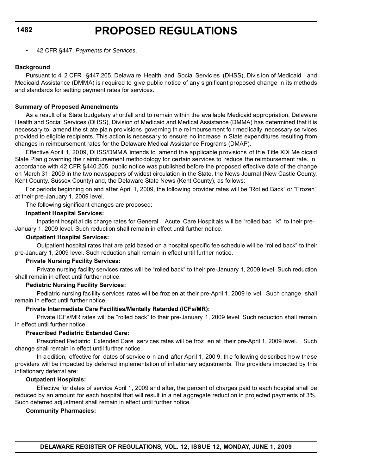• 42 CFR §447, *Payments for Services*.

#### **Background**

Pursuant to 4 2 CFR §447.205, Delawa re Health and Social Servic es (DHSS), Divis ion of Medicaid and Medicaid Assistance (DMMA) is required to give public notice of any significant proposed change in its methods and standards for setting payment rates for services.

#### **Summary of Proposed Amendments**

As a result of a State budgetary shortfall and to remain within the available Medicaid appropriation, Delaware Health and Social Services (DHSS), Division of Medicaid and Medical Assistance (DMMA) has determined that it is necessary to amend the st ate pla n pro visions governing th e re imbursement fo r med ically necessary se rvices provided to eligible recipients. This action is necessary to ensure no increase in State expenditures resulting from changes in reimbursement rates for the Delaware Medical Assistance Programs (DMAP).

Effective April 1, 2009, DHSS/DMMA intends to amend the applicable provisions of the Title XIX Me dicaid State Plan g overning the r eimbursement methodology for certain services to reduce the reimbursement rate. In accordance with 42 CFR §440.205, public notice was published before the proposed effective date of the change on March 31, 2009 in the two newspapers of widest circulation in the State, the News Journal (New Castle County, Kent County, Sussex County) and, the Delaware State News (Kent County), as follows:

For periods beginning on and after April 1, 2009, the following provider rates will be "Rolled Back" or "Frozen" at their pre-January 1, 2009 level.

The following significant changes are proposed:

#### **Inpatient Hospital Services:**

Inpatient hospit al dis charge rates for General Acute Care Hospit als will be "rolled bac k" to their pre-January 1, 2009 level. Such reduction shall remain in effect until further notice.

#### **Outpatient Hospital Services:**

Outpatient hospital rates that are paid based on a hospital specific fee schedule will be "rolled back" to their pre-January 1, 2009 level. Such reduction shall remain in effect until further notice.

#### **Private Nursing Facility Services:**

Private nursing facility services rates will be "rolled back" to their pre-January 1, 2009 level. Such reduction shall remain in effect until further notice.

#### **Pediatric Nursing Facility Services:**

Pediatric nursing fac ility services rates will be froz en at their pre-April 1, 2009 le vel. Such change shall remain in effect until further notice.

#### **Private Intermediate Care Facilities/Mentally Retarded (ICFs/MR):**

Private ICFs/MR rates will be "rolled back" to their pre-January 1, 2009 level. Such reduction shall remain in effect until further notice.

#### **Prescribed Pediatric Extended Care:**

Prescribed Pediatric Extended Care services rates will be froz en at their pre-April 1, 2009 level. Such change shall remain in effect until further notice.

In addition, effective for dates of service o n and after April 1, 200 9, the following describes how these providers will be impacted by deferred implementation of inflationary adjustments. The providers impacted by this inflationary deferral are:

#### **Outpatient Hospitals:**

Effective for dates of service April 1, 2009 and after, the percent of charges paid to each hospital shall be reduced by an amount for each hospital that will result in a net aggregate reduction in projected payments of 3%. Such deferred adjustment shall remain in effect until further notice.

#### **Community Pharmacies:**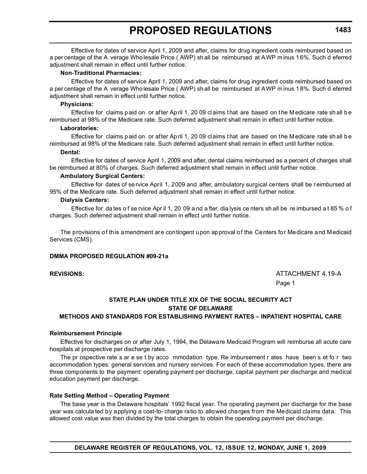Effective for dates of service April 1, 2009 and after, claims for drug ingredient costs reimbursed based on a per centage of the A verage Who lesale Price ( AWP) sh all be reimbursed at AWP m inus 1 6%. Such d eferred adjustment shall remain in effect until further notice.

#### **Non-Traditional Pharmacies:**

Effective for dates of service April 1, 2009 and after, claims for drug ingredient costs reimbursed based on a per centage of the A verage Who lesale Price ( AWP) sh all be reimbursed at AWP m inus 1 8%. Such d eferred adjustment shall remain in effect until further notice.

#### **Physicians:**

Effective for claims paid on or after April 1, 20 09 claims that are based on the Medicare rate shall be reimbursed at 98% of the Medicare rate. Such deferred adjustment shall remain in effect until further notice.

#### **Laboratories:**

Effective for claims paid on or after April 1, 20 09 claims that are based on the Medicare rate shall be reimbursed at 98% of the Medicare rate. Such deferred adjustment shall remain in effect until further notice.

#### **Dental:**

Effective for dates of service April 1, 2009 and after, dental claims reimbursed as a percent of charges shall be reimbursed at 80% of charges. Such deferred adjustment shall remain in effect until further notice.

#### **Ambulatory Surgical Centers:**

Effective for dates of se rvice April 1, 2009 and after, ambulatory surgical centers shall be r eimbursed at 95% of the Medicare rate. Such deferred adjustment shall remain in effect until further notice.

#### **Dialysis Centers:**

Effective for da tes o f se rvice Apr il 1, 20 09 a nd a fter, dia lysis ce nters sh all be re imbursed a t 85 % o f charges. Such deferred adjustment shall remain in effect until further notice.

The provisions of this amendment are contingent upon approval of the Centers for Medicare and Medicaid Services (CMS).

#### **DMMA PROPOSED REGULATION #09-21a**

**REVISIONS:** ATTACHMENT 4.19-A Page 1

### **STATE PLAN UNDER TITLE XIX OF THE SOCIAL SECURITY ACT STATE OF DELAWARE**

#### **METHODS AND STANDARDS FOR ESTABLISHING PAYMENT RATES – INPATIENT HOSPITAL CARE**

#### **Reimbursement Principle**

Effective for discharges on or after July 1, 1994, the Delaware Medicaid Program will reimburse all acute care hospitals at prospective per discharge rates.

The pr ospective rate s ar e se t by acco mmodation type. Re imbursement r ates have been s et fo r two accommodation types: general services and nursery services. For each of these accommodation types, there are three components to the payment: operating payment per discharge, capital payment per discharge and medical education payment per discharge.

#### **Rate Setting Method – Operating Payment**

The base year is the Delaware hospitals' 1992 fiscal year. The operating payment per discharge for the base year was calcula ted by applying a cost-to- charge ratio to allowed charges from the Medicaid claims data. This allowed cost value was then divided by the total charges to obtain the operating payment per discharge.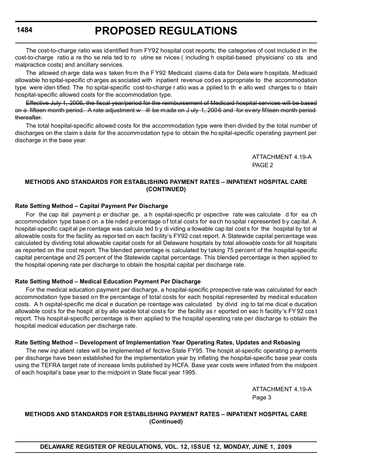## **PROPOSED REGULATIONS**

The cost-to-charge ratio was identified from FY92 hospital cost reports; the categories of cost included in the cost-to-charge ratio a re tho se rela ted to ro utine se rvices ( including h ospital-based physicians' co sts and malpractice costs) and ancillary services.

The allowed charge data was taken from the FY92 Medicaid claims data for Delaware hospitals. Medicaid allowable ho spital-specific ch arges as sociated with inpatient revenue cod es a ppropriate to the accommodation type were iden tified. The ho spital-specific cost-to-charge r atio was a pplied to th e allo wed charges to o btain hospital-specific allowed costs for the accommodation type.

Effective July 1, 2006, the fiscal year/period for the reimbursement of Medicaid hospital services will be based on a fifteen month period. A rate adjustment w ill be made on J uly 1, 2006 and for every fifteen month period thereafter.

The total hospital-specific allowed costs for the accommodation type were then divided by the total number of discharges on the claim s date for the accommodation type to obtain the ho spital-specific operating payment per discharge in the base year.

> ATTACHMENT 4.19-A PAGE 2

#### **METHODS AND STANDARDS FOR ESTABLISHING PAYMENT RATES – INPATIENT HOSPITAL CARE (CONTINUED)**

#### **Rate Setting Method – Capital Payment Per Discharge**

For the cap ital payment p er dischar ge, a h ospital-specific pr ospective rate was calculate d for ea ch accommodation type based on a ble nded percentage of total costs for each hospital represented by capital. A hospital-specific capit al pe rcentage was calcula ted b y di viding a llowable cap ital cost s for the hospital by tot al allowable costs for the facility as repor ted on each facility's FY92 cost report. A Statewide capital percentage was calculated by dividing total allowable capital costs for all Delaware hospitals by total allowable costs for all hospitals as reported on the cost report. The blended percentage is calculated by taking 75 percent of the hospital-specific capital percentage and 25 percent of the Statewide capital percentage. This blended percentage is then applied to the hospital opening rate per discharge to obtain the hospital capital per discharge rate.

#### **Rate Setting Method – Medical Education Payment Per Discharge**

For the medical education payment per discharge, a hospital-specific prospective rate was calculated for each accommodation type based on the percentage of total costs for each hospital represented by medical education costs. A h ospital-specific me dical e ducation pe rcentage was calculated by divid ing to tal me dical e ducation allowable costs for the hospit al by allo wable total costs for the facility as r eported on eac h facility 's FY 92 cos t report. This hospital-specific percentage is then applied to the hospital operating rate per discharge to obtain the hospital medical education per discharge rate.

#### **Rate Setting Method – Development of Implementation Year Operating Rates, Updates and Rebasing**

The new inp atient rates will be implemented ef fective State FY95. The hospit al-specific operating p ayments per discharge have been established for the implementation year by inflating the hospital-specific base year costs using the TEFRA target rate of increase limits published by HCFA. Base year costs were inflated from the midpoint of each hospital's base year to the midpoint in State fiscal year 1995.

> ATTACHMENT 4.19-A Page 3

#### **METHODS AND STANDARDS FOR ESTABLISHING PAYMENT RATES – INPATIENT HOSPITAL CARE (Continued)**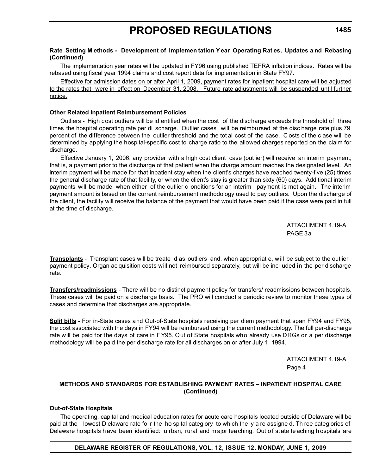#### **Rate Setting M ethods - Development of Implemen tation Y ear Operating Rat es, Updates a nd Rebasing (Continued)**

The implementation year rates will be updated in FY96 using published TEFRA inflation indices. Rates will be rebased using fiscal year 1994 claims and cost report data for implementation in State FY97.

Effective for admission dates on or after April 1, 2009, payment rates for inpatient hospital care will be adjusted to the rates that were in effect on December 31, 2008. Future rate adjustments will be suspended until further notice.

#### **Other Related Inpatient Reimbursement Policies**

Outliers - High cost outliers will be id entified when the cost of the discharge exceeds the threshold of three times the hospital operating rate per di scharge. Outlier cases will be reimbursed at the disc harge rate plus 79 percent of the difference between the outlier threshold and the tot al cost of the case. C osts of the c ase will be determined by applying the hospital-specific cost to charge ratio to the allowed charges reported on the claim for discharge.

Effective January 1, 2006, any provider with a high cost client case (outlier) will receive an interim payment; that is, a payment prior to the discharge of that patient when the charge amount reaches the designated level. An interim payment will be made for that inpatient stay when the client's charges have reached twenty-five (25) times the general discharge rate of that facility, or when the client's stay is greater than sixty (60) days. Additional interim payments will be made when either of the outlier c onditions for an interim payment is met again. The interim payment amount is based on the current reimbursement methodology used to pay outliers. Upon the discharge of the client, the facility will receive the balance of the payment that would have been paid if the case were paid in full at the time of discharge.

> ATTACHMENT 4.19-A PAGE 3a

**Transplants** - Transplant cases will be treate d as outliers and, when appropriat e, w ill be subject to the outlier payment policy. Organ ac quisition costs will not reimbursed separately, but will be incl uded in the per discharge rate.

**Transfers/readmissions** - There will be no distinct payment policy for transfers/ readmissions between hospitals. These cases will be paid on a discharge basis. The PRO will conduct a periodic review to monitor these types of cases and determine that discharges are appropriate.

**Split bills** - For in-State cases and Out-of-State hospitals receiving per diem payment that span FY94 and FY95, the cost associated with the days in FY94 will be reimbursed using the current methodology. The full per-discharge rate will be paid for the days of care in FY95. Out of State hospitals who already use DRGs or a per discharge methodology will be paid the per discharge rate for all discharges on or after July 1, 1994.

> ATTACHMENT 4.19-A Page 4

#### **METHODS AND STANDARDS FOR ESTABLISHING PAYMENT RATES – INPATIENT HOSPITAL CARE (Continued)**

#### **Out-of-State Hospitals**

The operating, capital and medical education rates for acute care hospitals located outside of Delaware will be paid at the lowest D elaware rate fo r the ho spital categ ory to which the y a re assigne d. Th ree categ ories of Delaware ho spitals h ave been identified: u rban, rural and m ajor tea ching. Out of state te aching h ospitals are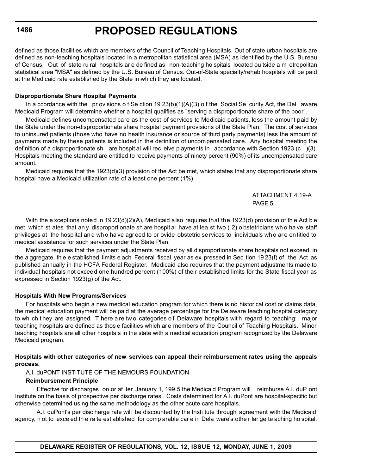defined as those facilities which are members of the Council of Teaching Hospitals. Out of state urban hospitals are defined as non-teaching hospitals located in a metropolitan statistical area (MSA) as identified by the U.S. Bureau of Census. Out of state ru ral hospitals ar e de fined as non-teaching ho spitals located ou tside a m etropolitan statistical area "MSA" as defined by the U.S. Bureau of Census. Out-of-State specialty/rehab hospitals will be paid at the Medicaid rate established by the State in which they are located.

#### **Disproportionate Share Hospital Payments**

In a ccordance with the pr ovisions o f Se ction 19 23(b)(1)(A)(B) o f the Social Se curity Act, the Del aware Medicaid Program will determine whether a hospital qualifies as "serving a disproportionate share of the poor".

Medicaid defines uncompensated care as the cost of services to Medicaid patients, less the amount paid by the State under the non-disproportionate share hospital payment provisions of the State Plan. The cost of services to uninsured patients (those who have no health insurance or source of third party payments) less the amount of payments made by these patients is included in the definition of uncompensated care. Any hospital meeting the definition of a disproportionate sh are hospit al will rec eive p ayments in accordance with Section 1923 (c )(3). Hospitals meeting the standard are entitled to receive payments of ninety percent (90%) of its uncompensated care amount.

Medicaid requires that the 1923(d)(3) provision of the Act be met, which states that any disproportionate share hospital have a Medicaid utilization rate of a least one percent (1%).

> ATTACHMENT 4.19-A PAGE 5

With the e xceptions noted in 19 23(d)(2)(A), Medicaid also requires that the 1923(d) provision of th e Act b e met, which st ates that an y disproportionate sh are hospit al have at lea st two ( 2) o bstetricians wh o ha ve staff privileges at the hosp ital an d wh o ha ve agr eed to pr ovide obstetric se rvices to individuals wh o ar e en titled to medical assistance for such services under the State Plan.

Medicaid requires that the payment adjustments received by all disproportionate share hospitals not exceed, in the a ggregate, th e e stablished limits e ach Federal fiscal year as ex pressed in Sec tion 19 23(f) of the Act as published annually in the HCFA Federal Register. Medicaid also requires that the payment adjustments made to individual hospitals not exceed one hundred percent (100%) of their established limits for the State fiscal year as expressed in Section 1923(g) of the Act.

#### **Hospitals With New Programs/Services**

For hospitals who begin a new medical education program for which there is no historical cost or claims data, the medical education payment will be paid at the average percentage for the Delaware teaching hospital category to wh ich t hey are assigned. There a re two categories of Delaware hospitals with regard to teaching: major teaching hospitals are defined as thos e facilities which are members of the Council of Teaching Hospitals. Minor teaching hospitals are all other hospitals in the state with a medical education program recognized by the Delaware Medicaid program.

#### **Hospitals with ot her categories of new services can appeal their reimbursement rates using the appeals process.**

A.I. duPONT INSTITUTE OF THE NEMOURS FOUNDATION

#### **Reimbursement Principle**

Effective for discharges on or af ter January 1, 199 5 the Medicaid Program will reimburse A.I. duP ont Institute on the basis of prospective per discharge rates. Costs determined for A.I. duPont are hospital-specific but otherwise determined using the same methodology as the other acute care hospitals.

A.I. duPont's per disc harge rate will be discounted by the Insti tute through agreement with the Medicaid agency, n ot to exce ed th e ra te est ablished for comp arable car e in Dela ware's othe r lar ge te aching ho spital.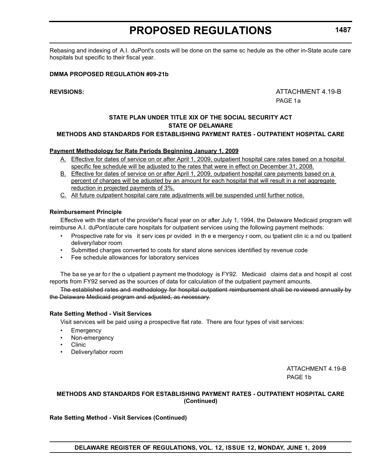Rebasing and indexing of A.I. duPont's costs will be done on the same sc hedule as the other in-State acute care hospitals but specific to their fiscal year.

#### **DMMA PROPOSED REGULATION #09-21b**

**REVISIONS:** ATTACHMENT 4.19-B PAGE 1a

### **STATE PLAN UNDER TITLE XIX OF THE SOCIAL SECURITY ACT STATE OF DELAWARE**

#### **METHODS AND STANDARDS FOR ESTABLISHING PAYMENT RATES - OUTPATIENT HOSPITAL CARE**

#### **Payment Methodology for Rate Periods Beginning January 1, 2009**

- A. Effective for dates of service on or after April 1, 2009, outpatient hospital care rates based on a hospital specific fee schedule will be adjusted to the rates that were in effect on December 31, 2008.
- B. Effective for dates of service on or after April 1, 2009, outpatient hospital care payments based on a percent of charges will be adjusted by an amount for each hospital that will result in a net aggregate reduction in projected payments of 3%.
- C. All future outpatient hospital care rate adjustments will be suspended until further notice.

#### **Reimbursement Principle**

Effective with the start of the provider's fiscal year on or after July 1, 1994, the Delaware Medicaid program will reimburse A.I. duPont/acute care hospitals for outpatient services using the following payment methods:

- Prospective rate for vis it serv ices pr ovided in th e e mergency r oom, ou tpatient clin ic a nd ou tpatient delivery/labor room
- Submitted charges converted to costs for stand alone services identified by revenue code
- Fee schedule allowances for laboratory services

The ba se ye ar fo r the o utpatient p ayment me thodology is FY92. Medicaid claims dat a and hospit al cost reports from FY92 served as the sources of data for calculation of the outpatient payment amounts.

The established rates and methodology for hospital outpatient reimbursement shall be re viewed annually by the Delaware Medicaid program and adjusted, as necessary.

#### **Rate Setting Method - Visit Services**

Visit services will be paid using a prospective flat rate. There are four types of visit services:

- **Emergency**
- Non-emergency
- Clinic
- Delivery/labor room

ATTACHMENT 4.19-B PAGE 1b

#### **METHODS AND STANDARDS FOR ESTABLISHING PAYMENT RATES - OUTPATIENT HOSPITAL CARE (Continued)**

**Rate Setting Method - Visit Services (Continued)**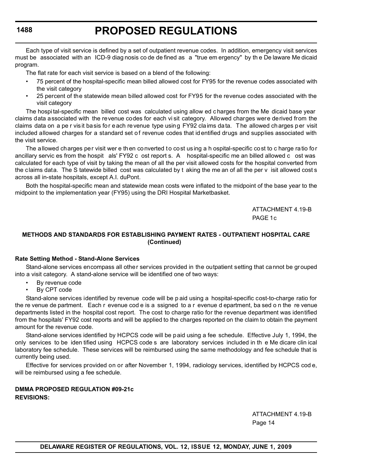# **PROPOSED REGULATIONS**

Each type of visit service is defined by a set of outpatient revenue codes. In addition, emergency visit services must be associated with an ICD-9 diag nosis co de de fined as a "true em ergency" by th e De laware Me dicaid program.

The flat rate for each visit service is based on a blend of the following:

- 75 percent of the hospital-specific mean billed allowed cost for FY95 for the revenue codes associated with the visit category
- 25 percent of the statewide mean billed allowed cost for FY95 for the revenue codes associated with the visit category

The hospi tal-specific mean billed cost was calculated using allow ed c harges from the Me dicaid base year claims data associated with the revenue codes for each vi sit category. Allowed charges were derived from the claims data on a pe r visit basis for each revenue type using FY92 claims data. The allowed charges per visit included allowed charges for a standard set of revenue codes that id entified drugs and supplies associated with the visit service.

The allowed charges per visit wer e then converted to cost using a h ospital-specific cost to c harge ratio for ancillary servic es from the hospit als' FY92 c ost report s. A hospital-specific me an billed allowed c ost was calculated for each type of visit by taking the mean of all the per visit allowed costs for the hospital converted from the claims data. The S tatewide billed cost was calculated by t aking the me an of all the per v isit allowed cost s across all in-state hospitals, except A.I. duPont.

Both the hospital-specific mean and statewide mean costs were inflated to the midpoint of the base year to the midpoint to the implementation year (FY95) using the DRI Hospital Marketbasket.

> ATTACHMENT 4.19-B PAGE 1c

#### **METHODS AND STANDARDS FOR ESTABLISHING PAYMENT RATES - OUTPATIENT HOSPITAL CARE (Continued)**

#### **Rate Setting Method - Stand-Alone Services**

Stand-alone services encompass all other services provided in the outpatient setting that cannot be grouped into a visit category. A stand-alone service will be identified one of two ways:

- By revenue code
- By CPT code

Stand-alone services identified by revenue code will be p aid using a hospital-specific cost-to-charge ratio for the re venue de partment. Each r evenue cod e is a ssigned to a r evenue d epartment, ba sed o n the re venue departments listed in the hospital cost report. The cost to charge ratio for the revenue department was identified from the hospitals' FY92 cost reports and will be applied to the charges reported on the claim to obtain the payment amount for the revenue code.

Stand-alone services identified by HCPCS code will be paid using a fee schedule. Effective July 1, 1994, the only services to be iden tified using HCPCS code s are laboratory services included in th e Me dicare clin ical laboratory fee schedule. These services will be reimbursed using the same methodology and fee schedule that is currently being used.

Effective for services provided on or after November 1, 1994, radiology services, identified by HCPCS cod e, will be reimbursed using a fee schedule.

**DMMA PROPOSED REGULATION #09-21c REVISIONS:**

> ATTACHMENT 4.19-B Page 14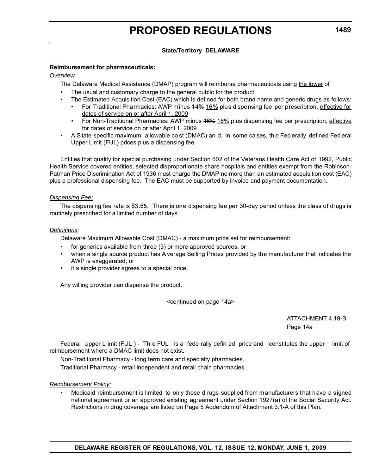### **State/Territory DELAWARE**

#### **Reimbursement for pharmaceuticals:**

#### *Overview*

The Delaware Medical Assistance (DMAP) program will reimburse pharmaceuticals using the lower of

- The usual and customary charge to the general public for the product,
- The Estimated Acquisition Cost (EAC) which is defined for both brand name and generic drugs as follows:
- For Traditional Pharmacies: AWP minus 14% 16% plus dispensing fee per prescription, effective for dates of service on or after April 1, 2009
	- For Non-Traditional Pharmacies: AWP minus 46% 18% plus dispensing fee per prescription, effective for dates of service on or after April 1, 2009
- A State-specific maximum allowable co st (DMAC) an d, in some ca ses, th e Fed erally defined Fed eral Upper Limit (FUL) prices plus a dispensing fee.

Entities that qualify for special purchasing under Section 602 of the Veterans Health Care Act of 1992, Public Health Service covered entities, selected disproportionate share hospitals and entities exempt from the Robinson-Patman Price Discrimination Act of 1936 must charge the DMAP no more than an estimated acquisition cost (EAC) plus a professional dispensing fee. The EAC must be supported by invoice and payment documentation.

#### *Dispensing Fee:*

The dispensing fee rate is \$3.65. There is one dispensing fee per 30-day period unless the class of drugs is routinely prescribed for a limited number of days.

#### *Definitions:*

Delaware Maximum Allowable Cost (DMAC) - a maximum price set for reimbursement:

- for generics available from three (3) or more approved sources, or
- when a single source product has A verage Selling Prices provided by the manufacturer that indicates the AWP is exaggerated, or
- if a single provider agrees to a special price.

Any willing provider can dispense the product.

<continued on page 14a>

ATTACHMENT 4.19-B Page 14a

Federal Upper L imit (FUL) - Th e FUL is a fede rally defin ed price and constitutes the upper limit of reimbursement where a DMAC limit does not exist.

Non-Traditional Pharmacy - long term care and specialty pharmacies.

Traditional Pharmacy - retail independent and retail chain pharmacies.

#### *Reimbursement Policy:*

• Medicaid reimbursement is limited to only those d rugs supplied from manufacturers that have a signed national agreement or an approved existing agreement under Section 1927(a) of the Social Security Act. Restrictions in drug coverage are listed on Page 5 Addendum of Attachment 3.1-A of this Plan.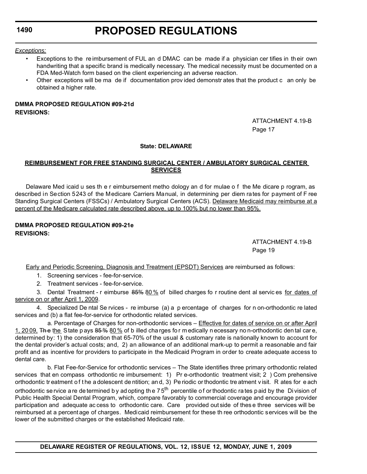#### *Exceptions:*

- Exceptions to the re imbursement of FUL an d DMAC can be made if a physician cer tifies in th eir own handwriting that a specific brand is medically necessary. The medical necessity must be documented on a FDA Med-Watch form based on the client experiencing an adverse reaction.
- Other exceptions will be ma de if documentation prov ided demonstr ates that the product c an only be obtained a higher rate.

#### **DMMA PROPOSED REGULATION #09-21d REVISIONS:**

ATTACHMENT 4.19-B Page 17

#### **State: DELAWARE**

#### **REIMBURSEMENT FOR FREE STANDING SURGICAL CENTER / AMBULATORY SURGICAL CENTER SERVICES**

Delaware Med icaid u ses th e r eimbursement metho dology an d for mulae o f the Me dicare p rogram, as described in Section 5243 of the Medicare Carriers Manual, in determining per diem rates for payment of F ree Standing Surgical Centers (FSSCs) / Ambulatory Surgical Centers (ACS). Delaware Medicaid may reimburse at a percent of the Medicare calculated rate described above, up to 100% but no lower than 95%.

### **DMMA PROPOSED REGULATION #09-21e REVISIONS:**

ATTACHMENT 4.19-B Page 19

Early and Periodic Screening, Diagnosis and Treatment (EPSDT) Services are reimbursed as follows:

1. Screening services - fee-for-service.

2. Treatment services - fee-for-service.

3. Dental Treatment - r eimburse 85% 80% of billed charges fo r routine dent al services for dates of service on or after April 1, 2009.

4. Specialized De ntal Se rvices - re imburse (a) a p ercentage of charges for n on-orthodontic re lated services and (b) a flat fee-for-service for orthodontic related services.

a. Percentage of Charges for non-orthodontic services – Effective for dates of service on or after April 1, 20 09. The the State p ays  $85\%$  80 % of b illed charges for medically n ecessary no n-orthodontic den tal care, determined by: 1) the consideration that 65-70% of the usual & customary rate is nationally known to account for the dental provider's actual costs; and, 2) an allowance of an additional mark-up to permit a reasonable and fair profit and as incentive for providers to participate in the Medicaid Program in order to create adequate access to dental care.

b. Flat Fee-for-Service for orthodontic services – The State identifies three primary orthodontic related services that en compass orthodontic re imbursement: 1) Pr e-orthodontic treatment visit; 2 ) Com prehensive orthodontic tr eatment o f t he a dolescent de ntition; an d, 3) Pe riodic or thodontic tre atment v isit. R ates for e ach orthodontic se rvice a re de termined by ad opting the  $75<sup>th</sup>$  percentile of or thodontic rates paid by the Division of Public Health Special Dental Program, which, compare favorably to commercial coverage and encourage provider participation and adequate ac cess to orthodontic care. Care provided out side of thes e three services will be reimbursed at a percent age of charges. Medicaid reimbursement for these th ree orthodontic services will be the lower of the submitted charges or the established Medicaid rate.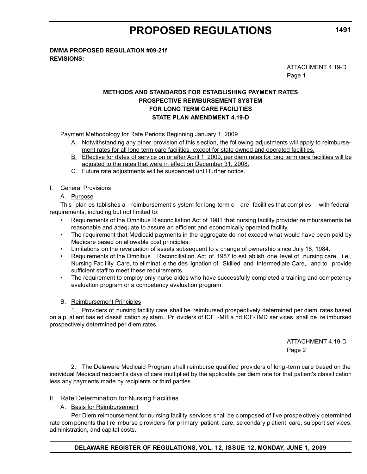**DMMA PROPOSED REGULATION #09-21f REVISIONS:**

ATTACHMENT 4.19-D

Page 1

# **METHODS AND STANDARDS FOR ESTABLISHING PAYMENT RATES PROSPECTIVE REIMBURSEMENT SYSTEM FOR LONG TERM CARE FACILITIES STATE PLAN AMENDMENT 4.19-D**

Payment Methodology for Rate Periods Beginning January 1, 2009

- A. Notwithstanding any other provision of this section, the following adjustments will apply to reimbursement rates for all long term care facilities, except for state owned and operated facilities.
- B. Effective for dates of service on or after April 1, 2009, per diem rates for long term care facilities will be adjusted to the rates that were in effect on December 31, 2008.
- C. Future rate adjustments will be suspended until further notice.

#### I. General Provisions

#### A. Purpose

This plan es tablishes a reimbursement s ystem for long-term c are facilities that complies with federal requirements, including but not limited to:

- Requirements of the Omnibus R econciliation Act of 1981 that nursing facility provider reimbursements be reasonable and adequate to assure an efficient and economically operated facility.
- The requirement that Medicaid payments in the aggregate do not exceed what would have been paid by Medicare based on allowable cost principles.
- Limitations on the revaluation of assets subsequent to a change of ownership since July 18, 1984.
- Requirements of the Omnibus Reconciliation Act of 1987 to est ablish one level of nursing care, i.e., Nursing Fac ility Care, to eliminat e the des ignation of Skilled and Intermediate Care, and to provide sufficient staff to meet these requirements.
- The requirement to employ only nurse aides who have successfully completed a training and competency evaluation program or a competency evaluation program.

#### B. Reimbursement Principles

1. Providers of nursing facility care shall be reimbursed prospectively determined per diem rates based on a p atient bas ed classif ication sy stem. Pr oviders of ICF -MR a nd ICF- IMD ser vices shall be re imbursed prospectively determined per diem rates.

> ATTACHMENT 4.19-D Page 2

2. The Delaware Medicaid Program shall reimburse qualified providers of long -term care based on the individual Medicaid recipient's days of care multiplied by the applicable per diem rate for that patient's classification less any payments made by recipients or third parties.

#### II. Rate Determination for Nursing Facilities

#### A. Basis for Reimbursement

Per Diem reimbursement for nu rsing facility services shall be c omposed of five prospe ctively determined rate com ponents tha t re imburse p roviders for p rimary patient care, se condary p atient care, su pport ser vices, administration, and capital costs.

**DELAWARE REGISTER OF REGULATIONS, VOL. 12, ISSUE 12, MONDAY, JUNE 1, 2009**

**1491**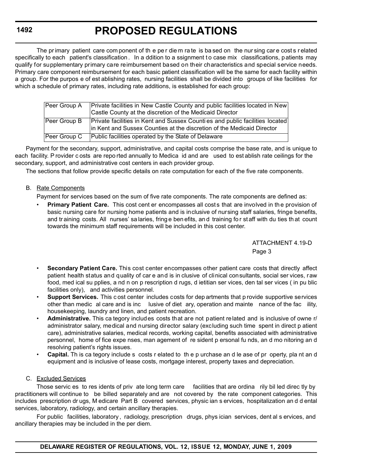# **PROPOSED REGULATIONS**

The primary patient care com ponent of the per die m ra te is ba sed on the nur sing care costs related specifically to each patient's classification. In a ddition to a ssignment to case mix classifications, patients may qualify for supplementary primary care reimbursement based on their characteristics and special service needs. Primary care component reimbursement for each basic patient classification will be the same for each facility within a group. For the purpos e of est ablishing rates, nursing facilities shall be divided into groups of like facilities for which a schedule of primary rates, including rate additions, is established for each group:

| Peer Group A | Private facilities in New Castle County and public facilities located in New                                                                            |
|--------------|---------------------------------------------------------------------------------------------------------------------------------------------------------|
|              | Castle County at the discretion of the Medicaid Director                                                                                                |
| Peer Group B | Private facilities in Kent and Sussex Counti es and public facilities located<br>in Kent and Sussex Counties at the discretion of the Medicaid Director |
|              |                                                                                                                                                         |
| Peer Group C | Public facilities operated by the State of Delaware                                                                                                     |

Payment for the secondary, support, administrative, and capital costs comprise the base rate, and is unique to each facility. P rovider c osts are repo rted annually to Medica id and are used to est ablish rate ceilings for the secondary, support, and administrative cost centers in each provider group.

The sections that follow provide specific details on rate computation for each of the five rate components.

### B. Rate Components

Payment for services based on the sum of five rate components. The rate components are defined as:

**Primary Patient Care.** This cost cent er encompasses all costs that are involved in the provision of basic nursing care for nursing home patients and is inclusive of nursing staff salaries, fringe benefits, and training costs. All nurses' sa laries, fring e ben efits, and training for st aff with du ties that count towards the minimum staff requirements will be included in this cost center.

> ATTACHMENT 4.19-D Page 3

- **Secondary Patient Care.** This cost center encompasses other patient care costs that directly affect patient health status and quality of car e and is in clusive of clinical consultants, social ser vices, raw food, med ical su pplies, a nd n on p rescription d rugs, d ietitian ser vices, den tal ser vices ( in pu blic facilities only), and activities personnel.
- **Support Services.** This c ost center includes costs for dep artments that p rovide supportive services other than medic al care and is inc lusive of diet ary, operation and mainte nance of the fac ility, housekeeping, laundry and linen, and patient recreation.
- **Administrative.** This ca tegory includes costs that are not patient related and is inclusive of owne r/ administrator salary, medical and nursing director salary (excluding such time spent in direct p atient care), administrative salaries, medical records, working capital, benefits associated with administrative personnel, home of fice expe nses, man agement of re sident p ersonal fu nds, an d mo nitoring an d resolving patient's rights issues.
- **Capital.** Th is ca tegory include s costs r elated to th e p urchase an d le ase of pr operty, pla nt an d equipment and is inclusive of lease costs, mortgage interest, property taxes and depreciation.

### C. Excluded Services

Those servic es to res idents of priv ate long term care facilities that are ordina rily bil led direc tly by practitioners will continue to be billed separately and are not covered by the rate component categories. This includes prescription dr ugs, M edicare Part B covered services, physic ian s ervices, hospitalization an d d ental services, laboratory, radiology, and certain ancillary therapies.

For public facilities, laboratory , radiology, prescription drugs, phys ician services, dent al s ervices, and ancillary therapies may be included in the per diem.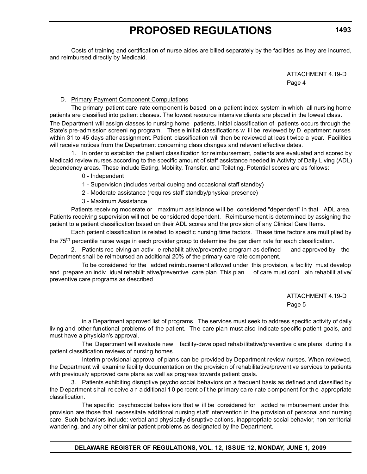Costs of training and certification of nurse aides are billed separately by the facilities as they are incurred, and reimbursed directly by Medicaid.

> ATTACHMENT 4.19-D Page 4

### D. Primary Payment Component Computations

The primary patient care rate component is based on a patient index system in which all nursing home patients are classified into patient classes. The lowest resource intensive clients are placed in the lowest class.

The Department will assign classes to nursing home patients. Initial classification of patients occurs through the State's pre-admission screeni ng program. Thes e initial classifications w ill be reviewed by D epartment nurses within 31 to 45 days after assignment. Patient classification will then be reviewed at leas t twice a year. Facilities will receive notices from the Department concerning class changes and relevant effective dates.

1. In order to establish the patient classification for reimbursement, patients are evaluated and scored by Medicaid review nurses according to the specific amount of staff assistance needed in Activity of Daily Living (ADL) dependency areas. These include Eating, Mobility, Transfer, and Toileting. Potential scores are as follows:

0 - Independent

- 1 Supervision (includes verbal cueing and occasional staff standby)
- 2 Moderate assistance (requires staff standby/physical presence)
- 3 Maximum Assistance

Patients receiving moderate or maximum ass istance w ill be considered "dependent" in that ADL area. Patients receiving supervision will not be considered dependent. Reimbursement is determined by assigning the patient to a patient classification based on their ADL scores and the provision of any Clinical Care Items.

Each patient classification is related to specific nursing time factors. These time factors are multiplied by the 75<sup>th</sup> percentile nurse wage in each provider group to determine the per diem rate for each classification.

2. Patients rec eiving an activ e rehabilit ative/preventive program as defined and approved by the Department shall be reimbursed an additional 20% of the primary care rate component.

To be considered for the added reimbursement allowed under this provision, a facility must develop and prepare an indiv idual rehabilit ative/preventive care plan. This plan of care must cont ain rehabilit ative/ preventive care programs as described

> ATTACHMENT 4.19-D Page 5

in a Department approved list of programs. The services must seek to address specific activity of daily living and other functional problems of the patient. The care plan must also indicate specific patient goals, and must have a physician's approval.

The Department will evaluate new facility-developed rehab ilitative/preventive c are plans during it s patient classification reviews of nursing homes.

Interim provisional approval of plans can be provided by Department review nurses. When reviewed, the Department will examine facility documentation on the provision of rehabilitative/preventive services to patients with previously approved care plans as well as progress towards patient goals.

3. Patients exhibiting disruptive psycho social behaviors on a frequent basis as defined and classified by the D epartment s hall re ceive a n a dditional 1 0 pe rcent o f t he pr imary ca re r ate c omponent f or th e appropriate classification.

The specific psychosocial behav iors that w ill be considered for added re imbursement under this provision are those that necessitate additional nursing st aff intervention in the provision of personal and nursing care. Such behaviors include: verbal and physically disruptive actions, inappropriate social behavior, non-territorial wandering, and any other similar patient problems as designated by the Department.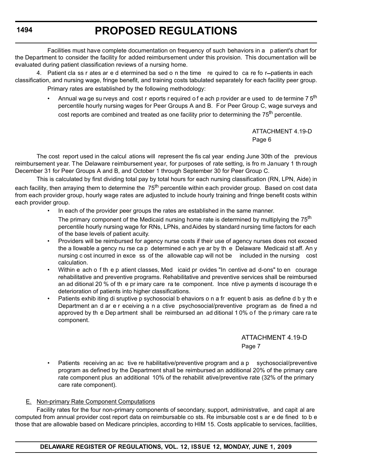Facilities must have complete documentation on frequency of such behaviors in a p atient's chart for the Department to consider the facility for added reimbursement under this provision. This documentation will be evaluated during patient classification reviews of a nursing home.

4. Patient cla ss r ates ar e d etermined ba sed o n the time re quired to ca re fo r-patients in each classification, and nursing wage, fringe benefit, and training costs tabulated separately for each facility peer group. Primary rates are established by the following methodology:

> Annual wa ge su rveys and cost r eports r equired o f e ach p rovider ar e used to de termine 7  $5<sup>th</sup>$ percentile hourly nursing wages for Peer Groups A and B. For Peer Group C, wage surveys and cost reports are combined and treated as one facility prior to determining the 75<sup>th</sup> percentile.

> > ATTACHMENT 4.19-D Page 6

The cost report used in the calcul ations will represent the fis cal year ending June 30th of the previous reimbursement year. The Delaware reimbursement year, for purposes of rate setting, is fro m January 1 th rough December 31 for Peer Groups A and B, and October 1 through September 30 for Peer Group C.

This is calculated by first dividing total pay by total hours for each nursing classification (RN, LPN, Aide) in each facility, then arraying them to determine the 75<sup>th</sup> percentile within each provider group. Based on cost data from each provider group, hourly wage rates are adjusted to include hourly training and fringe benefit costs within each provider group.

In each of the provider peer groups the rates are established in the same manner.

The primary component of the Medicaid nursing home rate is determined by multiplying the 75<sup>th</sup> percentile hourly nursing wage for RNs, LPNs, and Aides by standard nursing time factors for each of the base levels of patient acuity.

- Providers will be reimbursed for agency nurse costs if their use of agency nurses does not exceed the a llowable a gency nu rse ca p determined e ach ye ar by th e Delaware Medicaid st aff. An y nursing c ost incurred in exce ss of the allowable cap will not be included in the nursing cost calculation.
- Within e ach o f th e p atient classes, Med icaid pr ovides "In centive ad d-ons" to en courage rehabilitative and preventive programs. Rehabilitative and preventive services shall be reimbursed an ad ditional 20 % of th e pr imary care ra te component. Ince ntive p ayments d iscourage th e deterioration of patients into higher classifications.
- Patients exhib iting di sruptive p sychosocial b ehaviors o n a fr equent b asis as define d b y th e Department an d ar e r eceiving a n a ctive psychosocial/preventive program as de fined a nd approved by th e Dep artment shall be reimbursed an ad ditional 1 0% o f the p rimary care ra te component.

ATTACHMENT 4.19-D Page 7

Patients receiving an ac tive re habilitative/preventive program and a p sychosocial/preventive program as defined by the Department shall be reimbursed an additional 20% of the primary care rate component plus an additional 10% of the rehabilit ative/preventive rate (32% of the primary care rate component).

#### E. Non-primary Rate Component Computations

Facility rates for the four non-primary components of secondary, support, administrative, and capit al are computed from annual provider cost report data on reimbursable co sts. Re imbursable cost s ar e de fined to b e those that are allowable based on Medicare principles, according to HIM 15. Costs applicable to services, facilities,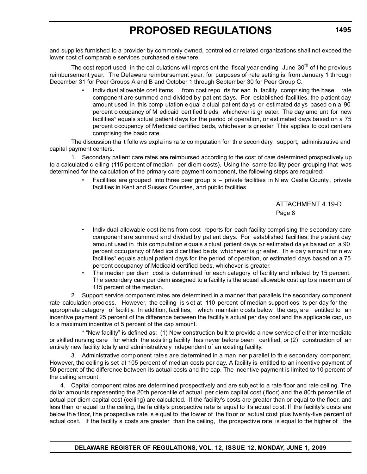and supplies furnished to a provider by commonly owned, controlled or related organizations shall not exceed the lower cost of comparable services purchased elsewhere.

The cost report used in the cal culations will repres ent the fiscal year ending June  $30<sup>th</sup>$  of the previous reimbursement year. The Delaware reimbursement year, for purposes of rate setting is from January 1 th rough December 31 for Peer Groups A and B and October 1 through September 30 for Peer Group C.

> • Individual allowable cost items from cost repo rts for eac h facility comprising the base rate component are summed and divided by patient days. For established facilities, the p atient day amount used in this comp utation e qual a ctual patient da ys or estimated da ys based o n a 90 percent o ccupancy of M edicaid certified b eds, whichever is gr eater. The day amo unt for new facilities<sup>1</sup> equals actual patient days for the period of operation, or estimated days based on a 75 percent occupancy of Medicaid certified beds, whichever is gr eater. This applies to cost cent ers comprising the basic rate.

The discussion tha t follo ws expla ins ra te co mputation for th e secon dary, support, administrative and capital payment centers.

1. Secondary patient care rates are reimbursed according to the cost of care determined prospectively up to a calculated c eiling (115 percent of median per diem costs). Using the same fac ility peer grouping that was determined for the calculation of the primary care payment component, the following steps are required:

> Facilities are grouped into three peer group s - private facilities in N ew Castle County, private facilities in Kent and Sussex Counties, and public facilities.

> > ATTACHMENT 4.19-D Page 8

- Individual allowable cost items from cost reports for each facility compri sing the secondary care component are summed and divided by patient days. For established facilities, the p atient day amount used in this com putation e quals a ctual patient da ys or estimate d da ys based on a 90 percent occu pancy of Med icaid cer tified be ds, wh ichever is gr eater. Th e da y a mount for n ew facilities<sup>1</sup> equals actual patient days for the period of operation, or estimated days based on a 75 percent occupancy of Medicaid certified beds, whichever is greater.
- The median per diem cost is determined for each category of facility and inflated by 15 percent. The secondary care per diem assigned to a facility is the actual allowable cost up to a maximum of 115 percent of the median.

2. Support service component rates are determined in a manner that parallels the secondary component rate calculation proc ess. However, the ceiling is s et at 110 percent of median support cos ts per day for the appropriate category of facilit y. In addition, facilities, which maintain c osts below the cap, are entitled to an incentive payment 25 percent of the difference between the facility's actual per day cost and the applicable cap, up to a maximum incentive of 5 percent of the cap amount.

\* "New facility" is defined as: (1) New construction built to provide a new service of either intermediate or skilled nursing care for which the exis ting facility has never before been certified, or (2) construction of an entirely new facility totally and administratively independent of an existing facility.

3. Administrative comp onent rate s ar e de termined in a man ner parallel to th e secon dary component. However, the ceiling is set at 105 percent of median costs per day. A facility is entitled to an incentive payment of 50 percent of the difference between its actual costs and the cap. The incentive payment is limited to 10 percent of the ceiling amount.

4. Capital component rates are determined prospectively and are subject to a rate floor and rate ceiling. The dollar amounts representing the 20th percentile of actual per diem capital cost ( floor) and the 80th percentile of actual per diem capital cost (ceiling) are calculated. If the facility's costs are greater than or equal to the floor, and less than or equal to the ceiling, the fa cility's prospective rate is equal to its actual co st. If the facility's costs are below the floor, the prospective rate is e qual to the lower of the floor or actual cost plus twenty-five percent of actual cost. If the facility' s costs are greater than the ceiling, the prospective rate is equal to the higher of the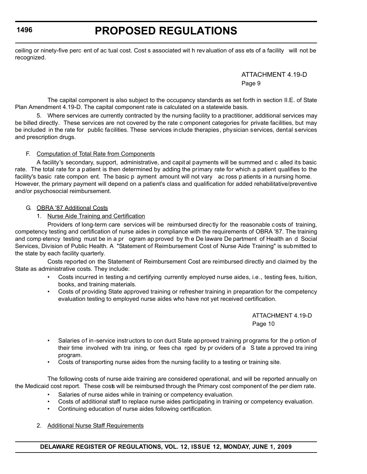# **PROPOSED REGULATIONS**

ceiling or ninety-five perc ent of ac tual cost. Cost s associated wit h rev aluation of ass ets of a facility will not be recognized.

> ATTACHMENT 4.19-D Page 9

The capital component is also subject to the occupancy standards as set forth in section II.E. of State Plan Amendment 4.19-D. The capital component rate is calculated on a statewide basis.

5. Where services are currently contracted by the nursing facility to a practitioner, additional services may be billed directly. These services are not covered by the rate c omponent categories for private facilities, but may be included in the rate for public facilities. These services include therapies, physician services, dental services and prescription drugs.

### F. Computation of Total Rate from Components

A facility's secondary, support, administrative, and capit al payments will be summed and c alled its basic rate. The total rate for a patient is then determined by adding the primary rate for which a patient qualifies to the facility's basic rate compon ent. The basic p ayment amount will not vary ac ross p atients in a nursing home. However, the primary payment will depend on a patient's class and qualification for added rehabilitative/preventive and/or psychosocial reimbursement.

### G. OBRA '87 Additional Costs

### 1. Nurse Aide Training and Certification

Providers of long-term care services will be reimbursed directly for the reasonable costs of training, competency testing and certification of nurse aides in compliance with the requirements of OBRA '87. The training and comp etency testing must be in a pr ogram ap proved by th e De laware De partment of Health an d Social Services, Division of Public Health. A "Statement of Reimbursement Cost of Nurse Aide Training" is submitted to the state by each facility quarterly.

Costs reported on the Statement of Reimbursement Cost are reimbursed directly and claimed by the State as administrative costs. They include:

- Costs incurred in testing a nd certifying currently employed nurse aides, i.e., testing fees, tuition, books, and training materials.
- Costs of providing State approved training or refresher training in preparation for the competency evaluation testing to employed nurse aides who have not yet received certification.

ATTACHMENT 4.19-D Page 10

- Salaries of in-service instructors to con duct State approved training programs for the p ortion of their time involved with tra ining, or fees cha rged by pr oviders of a S tate a pproved tra ining program.
- Costs of transporting nurse aides from the nursing facility to a testing or training site.

The following costs of nurse aide training are considered operational, and will be reported annually on the Medicaid cost report. These costs will be reimbursed through the Primary cost component of the per diem rate.

- Salaries of nurse aides while in training or competency evaluation.
- Costs of additional staff to replace nurse aides participating in training or competency evaluation.
- Continuing education of nurse aides following certification.

#### 2. Additional Nurse Staff Requirements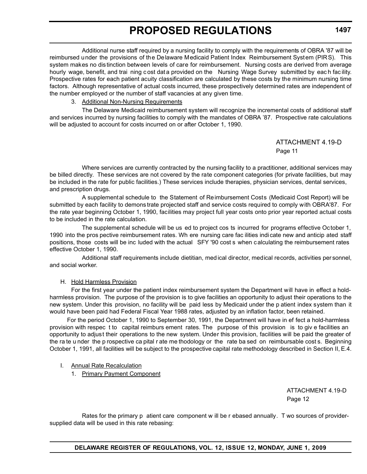Additional nurse staff required by a nursing facility to comply with the requirements of OBRA '87 will be reimbursed under the provisions of the Delaware Medicaid Patient Index Reimbursement System (PIRS). This system makes no distinction between levels of care for reimbursement. Nursing costs are derived from average hourly wage, benefit, and trai ning cost dat a provided on the Nursing Wage Survey submitted by each facility. Prospective rates for each patient acuity classification are calculated by these costs by the minimum nursing time factors. Although representative of actual costs incurred, these prospectively determined rates are independent of the number employed or the number of staff vacancies at any given time.

### 3. Additional Non-Nursing Requirements

The Delaware Medicaid reimbursement system will recognize the incremental costs of additional staff and services incurred by nursing facilities to comply with the mandates of OBRA '87. Prospective rate calculations will be adjusted to account for costs incurred on or after October 1, 1990.

> ATTACHMENT 4.19-D Page 11

Where services are currently contracted by the nursing facility to a practitioner, additional services may be billed directly. These services are not covered by the rate component categories (for private facilities, but may be included in the rate for public facilities.) These services include therapies, physician services, dental services, and prescription drugs.

A supplemental schedule to the Statement of Reimbursement Costs (Medicaid Cost Report) will be submitted by each facility to demons trate projected staff and service costs required to comply with OBRA'87. For the rate year beginning October 1, 1990, facilities may project full year costs onto prior year reported actual costs to be included in the rate calculation.

The supplemental schedule will be us ed to project cos ts incurred for programs effective October 1, 1990 into the pros pective reimbursement rates. Wh ere nursing care fac ilities indi cate new and anticip ated staff positions, those costs will be inc luded with the actual SFY '90 cost s when calculating the reimbursement rates effective October 1, 1990.

Additional staff requirements include dietitian, medical director, medical records, activities personnel, and social worker.

#### H. Hold Harmless Provision

For the first year under the patient index reimbursement system the Department will have in effect a holdharmless provision. The purpose of the provision is to give facilities an opportunity to adjust their operations to the new system. Under this provision, no facility will be paid less by Medicaid under the p atient index system than it would have been paid had Federal Fiscal Year 1988 rates, adjusted by an inflation factor, been retained.

 For the period October 1, 1990 to September 30, 1991, the Department will have in ef fect a hold-harmless provision with respec t to capital reimburs ement rates. The purpose of this provision is to giv e facilities an opportunity to adjust their operations to the new system. Under this provision, facilities will be paid the greater of the ra te u nder the p rospective ca pital r ate me thodology or the rate ba sed on reimbursable cost s. Beginning October 1, 1991, all facilities will be subject to the prospective capital rate methodology described in Section II, E.4.

#### I. Annual Rate Recalculation

1. Primary Payment Component

ATTACHMENT 4.19-D Page 12

Rates for the primary p atient care component w ill be r ebased annually. T wo sources of providersupplied data will be used in this rate rebasing: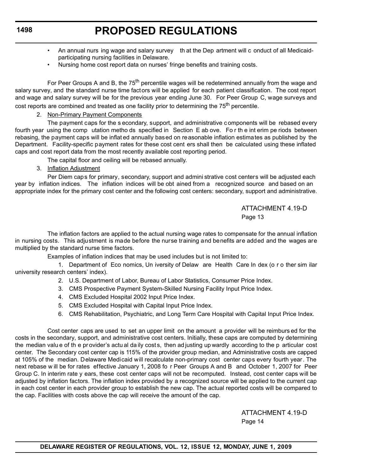# **PROPOSED REGULATIONS**

- An annual nurs ing wage and salary survey th at the Dep artment will c onduct of all Medicaidparticipating nursing facilities in Delaware.
- Nursing home cost report data on nurses' fringe benefits and training costs.

For Peer Groups A and B, the 75<sup>th</sup> percentile wages will be redetermined annually from the wage and salary survey, and the standard nurse time factors will be applied for each patient classification. The cost report and wage and salary survey will be for the previous year ending June 30. For Peer Group C, wage surveys and cost reports are combined and treated as one facility prior to determining the 75<sup>th</sup> percentile.

### 2. Non-Primary Payment Components

The payment caps for the s econdary, support, and administrative c omponents will be rebased every fourth year using the comp utation metho ds specified in Section E ab ove. Fo r th e int erim pe riods between rebasing, the payment caps will be inflat ed annually based on reasonable inflation estimates as published by the Department. Facility-specific payment rates for these cost cent ers shall then be calculated using these inflated caps and cost report data from the most recently available cost reporting period.

The capital floor and ceiling will be rebased annually.

3. Inflation Adjustment

Per Diem caps for primary, secondary, support and admini strative cost centers will be adjusted each year by inflation indices. The inflation indices will be obt ained from a recognized source and based on an appropriate index for the primary cost center and the following cost centers: secondary, support and administrative.

> ATTACHMENT 4.19-D Page 13

The inflation factors are applied to the actual nursing wage rates to compensate for the annual inflation in nursing costs. This adjustment is made before the nurse training and benefits are added and the wages are multiplied by the standard nurse time factors.

Examples of inflation indices that may be used includes but is not limited to:

1. Department of Eco nomics, Un iversity of Delaw are Health Care In dex (o r o ther sim ilar university research centers' index).

- 2. U.S. Department of Labor, Bureau of Labor Statistics, Consumer Price Index.
- 3. CMS Prospective Payment System-Skilled Nursing Facility Input Price Index.
- 4. CMS Excluded Hospital 2002 Input Price Index.
- 5. CMS Excluded Hospital with Capital Input Price Index.
- 6. CMS Rehabilitation, Psychiatric, and Long Term Care Hospital with Capital Input Price Index.

Cost center caps are used to set an upper limit on the amount a provider will be reimburs ed for the costs in the secondary, support, and administrative cost centers. Initially, these caps are computed by determining the median value of the provider's actual daily costs, then ad justing up wardly according to the p articular cost center. The Secondary cost center cap is 115% of the provider group median, and Administrative costs are capped at 105% of the median. Delaware Medicaid will recalculate non-primary cost center caps every fourth year. The next rebase w ill be for rates effective January 1, 2008 fo r Peer Groups A and B and October 1, 2007 for Peer Group C. In interim rate y ears, these cost center caps will not be recomputed. Instead, cost center caps will be adjusted by inflation factors. The inflation index provided by a recognized source will be applied to the current cap in each cost center in each provider group to establish the new cap. The actual reported costs will be compared to the cap. Facilities with costs above the cap will receive the amount of the cap.

> ATTACHMENT 4.19-D Page 14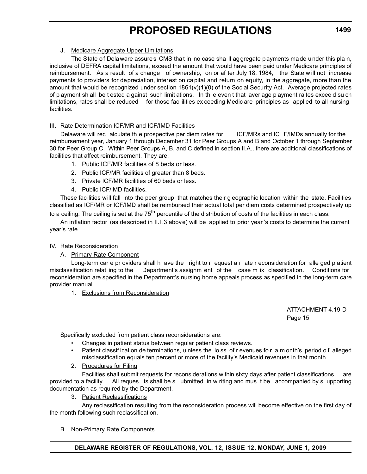#### J. Medicare Aggregate Upper Limitations

The State of Delaware assures CMS that in no case sha ll aggregate payments made under this pla n, inclusive of DEFRA capital limitations, exceed the amount that would have been paid under Medicare principles of reimbursement. As a result of a change of ownership, on or af ter July 18, 1984, the State w ill not increase payments to providers for depreciation, interest on ca pital and return on equity, in the aggregate, more than the amount that would be recognized under section 1861(v)(1)(0) of the Social Security Act. Average projected rates of p ayment sh all be t ested a gainst such limit ations. In th e even t that aver age p ayment ra tes excee d su ch limitations, rates shall be reduced for those fac ilities ex ceeding Medic are principles as applied to all nursing facilities.

### III. Rate Determination ICF/MR and ICF/IMD Facilities

Delaware will rec alculate th e prospective per diem rates for ICF/MRs and IC F/IMDs annually for the reimbursement year, January 1 through December 31 for Peer Groups A and B and October 1 through September 30 for Peer Group C. Within Peer Groups A, B, and C defined in section II.A., there are additional classifications of facilities that affect reimbursement. They are:

- 1. Public ICF/MR facilities of 8 beds or less.
- 2. Public ICF/MR facilities of greater than 8 beds.
- 3. Private ICF/MR facilities of 60 beds or less.
- 4. Public ICF/IMD facilities.

These facilities will fall into the peer group that matches their g eographic location within the state. Facilities classified as ICF/MR or ICF/IMD shall be reimbursed their actual total per diem costs determined prospectively up to a ceiling. The ceiling is set at the  $75<sup>th</sup>$  percentile of the distribution of costs of the facilities in each class.

An inflation factor (as described in II.I.3 above) will be applied to prior year 's costs to determine the current year's rate.

#### IV. Rate Reconsideration

# A. Primary Rate Component

Long-term car e pr oviders shall h ave the right to r equest a r ate r econsideration for alle ged p atient misclassification relat ing to the Department's assignm ent of the case m ix classification**.** Conditions for reconsideration are specified in the Department's nursing home appeals process as specified in the long-term care provider manual.

1. Exclusions from Reconsideration

ATTACHMENT 4.19-D Page 15

Specifically excluded from patient class reconsiderations are:

- Changes in patient status between regular patient class reviews.
- Patient classification de terminations, u nless the lo ss of r evenues for a m onth's period of alleged misclassification equals ten percent or more of the facility's Medicaid revenues in that month.
- 2. Procedures for Filing

Facilities shall submit requests for reconsiderations within sixty days after patient classifications are provided to a facility . All reques ts shall be s ubmitted in w riting and mus t be accompanied by s upporting documentation as required by the Department.

3. Patient Reclassifications

Any reclassification resulting from the reconsideration process will become effective on the first day of the month following such reclassification.

B. Non-Primary Rate Components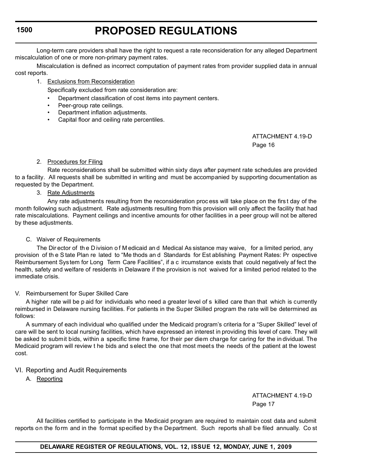Long-term care providers shall have the right to request a rate reconsideration for any alleged Department miscalculation of one or more non-primary payment rates.

Miscalculation is defined as incorrect computation of payment rates from provider supplied data in annual cost reports.

### 1. Exclusions from Reconsideration

Specifically excluded from rate consideration are:

- Department classification of cost items into payment centers.
- Peer-group rate ceilings.
- Department inflation adjustments.
- Capital floor and ceiling rate percentiles.

ATTACHMENT 4.19-D Page 16

### 2. Procedures for Filing

Rate reconsiderations shall be submitted within sixty days after payment rate schedules are provided to a facility. All requests shall be submitted in writing and must be accompanied by supporting documentation as requested by the Department.

3. Rate Adjustments

Any rate adjustments resulting from the reconsideration proc ess will take place on the firs t day of the month following such adjustment. Rate adjustments resulting from this provision will only affect the facility that had rate miscalculations. Payment ceilings and incentive amounts for other facilities in a peer group will not be altered by these adjustments.

#### C. Waiver of Requirements

The Director of the D ivision of M edicaid and Medical As sistance may waive, for a limited period, any provision of th e S tate Plan re lated to "Me thods an d Standards for Est ablishing Payment Rates: Pr ospective Reimbursement System for Long Term Care Facilities", if a c ircumstance exists that could negatively af fect the health, safety and welfare of residents in Delaware if the provision is not waived for a limited period related to the immediate crisis.

#### V. Reimbursement for Super Skilled Care

A higher rate will be p aid for individuals who need a greater level of s killed care than that which is currently reimbursed in Delaware nursing facilities. For patients in the Super Skilled program the rate will be determined as follows:

A summary of each individual who qualified under the Medicaid program's criteria for a "Super Skilled" level of care will be sent to local nursing facilities, which have expressed an interest in providing this level of care. They will be asked to submit bids, within a specific time frame, for their per diem charge for caring for the in dividual. The Medicaid program will review t he bids and s elect the one that most meets the needs of the patient at the lowest cost.

# VI. Reporting and Audit Requirements

A. Reporting

ATTACHMENT 4.19-D Page 17

All facilities certified to participate in the Medicaid program are required to maintain cost data and submit reports on the form and in the format specified by the Department. Such reports shall be filed annually. Co st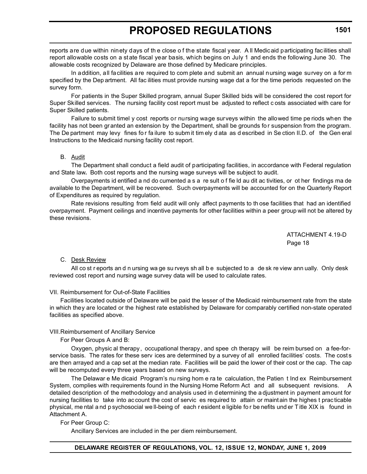reports are due within ninety days of th e close o f the state fiscal year. A ll Medicaid participating facilities shall report allowable costs on a state fiscal year basis, which begins on July 1 and ends the following June 30. The allowable costs recognized by Delaware are those defined by Medicare principles.

In addition, all facilities are required to com plete and submit an annual nursing wage survey on a for m specified by the Dep artment. All fac ilities must provide nursing wage dat a for the time periods requested on the survey form.

For patients in the Super Skilled program, annual Super Skilled bids will be considered the cost report for Super Skilled services. The nursing facility cost report must be adjusted to reflect c osts associated with care for Super Skilled patients.

Failure to submit timel y cost reports or nursing wage surveys within the allowed time pe riods when the facility has not been granted an extension by the Department, shall be grounds for suspension from the program. The De partment may levy fines fo r fa ilure to subm it tim ely d ata as d escribed in Se ction II.D. of the Gen eral Instructions to the Medicaid nursing facility cost report.

### B. Audit

The Department shall conduct a field audit of participating facilities, in accordance with Federal regulation and State law**.** Both cost reports and the nursing wage surveys will be subject to audit.

Overpayments id entified a nd do cumented a s a re sult o f fie ld au dit ac tivities, or ot her findings ma de available to the Department, will be recovered. Such overpayments will be accounted for on the Quarterly Report of Expenditures as required by regulation.

Rate revisions resulting from field audit will only affect payments to th ose facilities that had an identified overpayment. Payment ceilings and incentive payments for other facilities within a peer group will not be altered by these revisions.

> ATTACHMENT 4.19-D Page 18

C. Desk Review

All co st r eports an d n ursing wa ge su rveys sh all b e subjected to a de sk re view ann ually. Only desk reviewed cost report and nursing wage survey data will be used to calculate rates.

#### VII. Reimbursement for Out-of-State Facilities

Facilities located outside of Delaware will be paid the lesser of the Medicaid reimbursement rate from the state in which they are located or the highest rate established by Delaware for comparably certified non-state operated facilities as specified above.

#### VIII.Reimbursement of Ancillary Service

For Peer Groups A and B:

Oxygen, physic al therapy, occupational therapy, and spee ch therapy will be reim bursed on a fee-forservice basis. The rates for these serv ices are determined by a survey of all enrolled facilities' costs. The costs are then arrayed and a cap set at the median rate. Facilities will be paid the lower of their cost or the cap. The cap will be recomputed every three years based on new surveys.

The Delawar e Me dicaid Program's nu rsing hom e ra te calculation, the Patien t Ind ex Reimbursement System, complies with requirements found in the Nursing Home Reform Act and all subsequent revisions. A detailed description of the methodology and analysis used in d etermining the a djustment in payment amount for nursing facilities to take into ac count the cost of servic es required to attain or maintain the highes t prac ticable physical, me ntal a nd p sychosocial we ll-being of each r esident e ligible fo r be nefits und er T itle XIX is found in Attachment A.

# For Peer Group C:

Ancillary Services are included in the per diem reimbursement.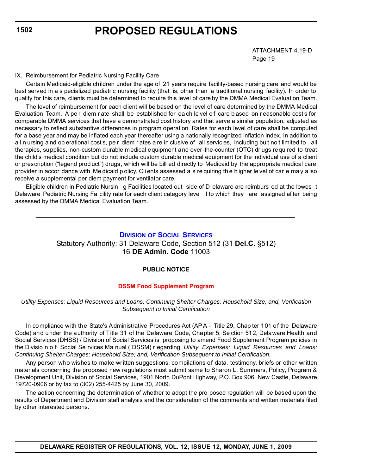# **PROPOSED REGULATIONS**

ATTACHMENT 4.19-D Page 19

#### IX. Reimbursement for Pediatric Nursing Facility Care

Certain Medicaid-eligible children under the age of 21 years require facility-based nursing care and would be best served in a s pecialized pediatric nursing facility (that is, other than a traditional nursing facility). In order to qualify for this care, clients must be determined to require this level of care by the DMMA Medical Evaluation Team.

The level of reimbursement for each client will be based on the level of care determined by the DMMA Medical Evaluation Team. A per diem rate shall be established for ea ch le vel of care b ased on reasonable cost s for comparable DMMA services that have a demonstrated cost history and that serve a similar population, adjusted as necessary to reflect substantive differences in program operation. Rates for each level of care shall be computed for a base year and may be inflated each year thereafter using a nationally recognized inflation index. In addition to all n ursing a nd op erational cost s, pe r diem r ates a re in clusive of all servic es, including but not limited to all therapies, supplies, non-custom durable medical equipment and over-the-counter (OTC) dr ugs required to treat the child's medical condition but do not include custom durable medical equipment for the individual use of a client or prescription ("legend prod uct") drugs, which will be bill ed directly to Medicaid by the appropriate medical care provider in accor dance with Me dicaid p olicy. Cli ents assessed a s re quiring th e h igher le vel of car e ma y a lso receive a supplemental per diem payment for ventilator care.

Eligible children in Pediatric Nursin g Facilities located out side of D elaware are reimburs ed at the lowes t Delaware Pediatric Nursing Fa cility rate for each client category leve l to which they are assigned af ter being assessed by the DMMA Medical Evaluation Team.

### **DIVISION [OF SOCIAL SERVICES](http://www.dhss.delaware.gov/dhss/dmma/)**

Statutory Authority: 31 Delaware Code, Section 512 (31 **Del.C.** §512) 16 **DE Admin. Code** 11003

#### **PUBLIC NOTICE**

#### **[DSSM Food Supplement Program](#page-3-0)**

#### *Utility Expenses; Liquid Resources and Loans; Continuing Shelter Charges; Household Size; and, Verification Subsequent to Initial Certification*

In compliance with the State's Administrative Procedures Act (AP A - Title 29, Chap ter 101 of the Delaware Code) and under the authority of Title 31 of the Delaware Code, Chapter 5, Se ction 512, Delaware Health and Social Services (DHSS) / Division of Social Services is proposing to amend Food Supplement Program policies in the Divisio n o f Social Se rvices Ma nual ( DSSM) r egarding *Utility Expenses; Liquid Resources and Loans; Continuing Shelter Charges; Household Size; and, Verification Subsequent to Initial Certification.*

Any person who wishes to make written suggestions, compilations of data, testimony, briefs or other written materials concerning the proposed new regulations must submit same to Sharon L. Summers, Policy, Program & Development Unit, Division of Social Services, 1901 North DuPont Highway, P.O. Box 906, New Castle, Delaware 19720-0906 or by fax to (302) 255-4425 by June 30, 2009.

The action concerning the determination of whether to adopt the pro posed regulation will be based upon the results of Department and Division staff analysis and the consideration of the comments and written materials filed by other interested persons.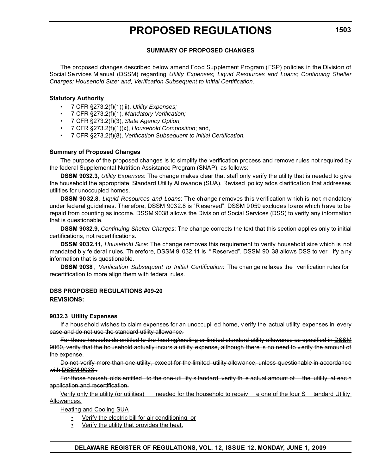#### **SUMMARY OF PROPOSED CHANGES**

The proposed changes described below amend Food Supplement Program (FSP) policies in the Division of Social Se rvices M anual (DSSM) regarding *Utility Expenses; Liquid Resources and Loans; Continuing Shelter Charges; Household Size; and, Verification Subsequent to Initial Certification*.

#### **Statutory Authority**

- 7 CFR §273.2(f)(1)(iii), *Utility Expenses;*
- 7 CFR §273.2(f)(1), *Mandatory Verification;*
- 7 CFR §273.2(f)(3), *State Agency Option,*
- 7 CFR §273.2(f)(1)(x), *Household Composition*; and,
- 7 CFR §273.2(f)(8), *Verification Subsequent to Initial Certification.*

#### **Summary of Proposed Changes**

The purpose of the proposed changes is to simplify the verification process and remove rules not required by the federal Supplemental Nutrition Assistance Program (SNAP), as follows:

**DSSM 9032.3**, *Utility Expenses*: The change makes clear that staff only verify the utility that is needed to give the household the appropriate Standard Utility Allowance (SUA). Revised policy adds clarification that addresses utilities for unoccupied homes.

**DSSM 9032.8**, *Liquid Resources and Loans*: The change removes this v erification w hich is not mandatory under federal guidelines. Therefore, DSSM 9032.8 is "R eserved". DSSM 9 059 excludes loans which h ave to be repaid from counting as income. DSSM 9038 allows the Division of Social Services (DSS) to verify any information that is questionable.

**DSSM 9032.9**, *Continuing Shelter Charges*: The change corrects the text that this section applies only to initial certifications, not recertifications.

**DSSM 9032.11,** *Household Size*: The change removes this requirement to verify household size which is not mandated b y fe deral r ules. Th erefore, DSSM 9 032.11 is "Reserved". DSSM 90 38 allows DSS to ver ify a ny information that is questionable.

**DSSM 9038** , *Verification Subsequent to Initial Certification*: The chan ge re laxes the verification rules for recertification to more align them with federal rules.

#### **DSS PROPOSED REGULATIONS #09-20 REVISIONS:**

#### **9032.3 Utility Expenses**

If a hous ehold wishes to claim expenses for an unoccupi ed home, v erify the actual utility expenses in every case and do not use the standard utility allowance.

For those households entitled to the heating/cooling or limited standard utility allowance as specified in [DSSM](file:///\\DHSSOPUS01\Online%20Help\Policy\mergedProjects\DSS_Policy_Manual\9060_Income_Deductions.htm)  [9060](file:///\\DHSSOPUS01\Online%20Help\Policy\mergedProjects\DSS_Policy_Manual\9060_Income_Deductions.htm), verify that the household actually incurs a utility expense, although there is no need to verify the amount of the expense.

Do not verify more than one utility, except for the limited utility allowance, unless questionable in accordance with DSSM 9033.

For those househ olds entitled to the one uti lity s tandard, verify th e actual amount of the utility at eac h application and recertification.

Verify only the utility (or utilities) needed for the household to receiv e one of the four S tandard Utility Allowances.

Heating and Cooling SUA

- Verify the electric bill for air conditioning, or
- Verify the utility that provides the heat.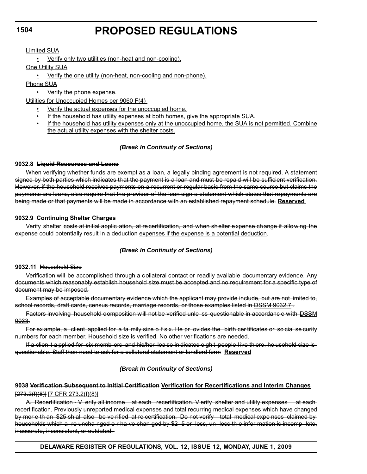### Limited SUA

• Verify only two utilities (non-heat and non-cooling).

One Utility SUA

• Verify the one utility (non-heat, non-cooling and non-phone).

Phone SUA

• Verify the phone expense.

Utilities for Unoccupied Homes per 9060 F(4)

- Verify the actual expenses for the unoccupied home.
- If the household has utility expenses at both homes, give the appropriate SUA.
- If the household has utility expenses only at the unoccupied home, the SUA is not permitted. Combine the actual utility expenses with the shelter costs.

# *(Break In Continuity of Sections)*

### **9032.8 Liquid Resources and Loans**

When verifying whether funds are exempt as a loan, a legally binding agreement is not required. A statement signed by both parties which indicates that the payment is a loan and must be repaid will be sufficient verification. However, if the household receives payments on a recurrent or regular basis from the same source but claims the payments are loans, also require that the provider of the loan sign a statement which states that repayments are being made or that payments will be made in accordance with an established repayment schedule. **Reserved** 

# **9032.9 Continuing Shelter Charges**

Verify shelter costs at initial applic ation, at recertification, and when shelter expense change if allowing the expense could potentially result in a deduction expenses if the expense is a potential deduction.

# *(Break In Continuity of Sections)*

# **9032.11** Household Size

Verification will be accomplished through a collateral contact or readily available documentary evidence. Any documents which reasonably establish household size must be accepted and no requirement for a specific type of document may be imposed.

Examples of acceptable documentary evidence which the applicant may provide include, but are not limited to, school records, draft cards, census records, marriage records, or those examples listed in **DSSM 9032.7**.

Factors involving household composition will not be verified unle ss questionable in accordance with DSSM 9033.

For ex ample, a client applied for a fa mily size o f six. He pr ovides the birth cer tificates or so cial se curity numbers for each member. Household size is verified. No other verifications are needed.

If a clien t a pplied for six memb ers and his/her lea se in dicates eigh t people l ive th ere, ho usehold size is questionable. Staff then need to ask for a collateral statement or landlord form **Reserved**

# *(Break In Continuity of Sections)*

# **9038 Verification Subsequent to Initial Certification Verification for Recertifications and Interim Changes** [273.2(f)(8)] [7 CFR 273.2(f)(8)]

A. Recertification V erify all income at each recertification. V erify shelter and utility expenses at eachrecertification. Previously unreported medical expenses and total recurring medical expenses which have changed by mor e th an \$25 sh all also be ve rified at re certification. Do not verify total medical expe nses claimed by households which a re uncha nged o r ha ve chan ged by \$2 5 or less, un less th e infor mation is incomp lete, inaccurate, inconsistent, or outdated.

**DELAWARE REGISTER OF REGULATIONS, VOL. 12, ISSUE 12, MONDAY, JUNE 1, 2009**

# **1504**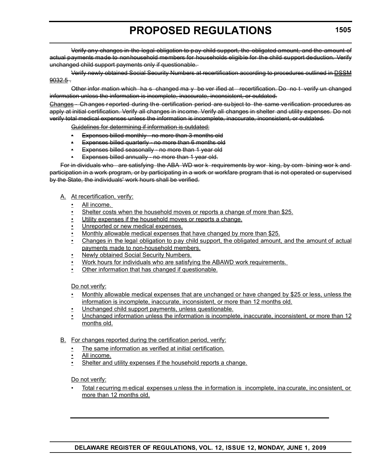Verify any changes in the legal obligation to pay child support, the obligated amount, and the amount of actual payments made to nonhousehold members for households eligible for the child support deduction. Verify unchanged child support payments only if questionable.

Verify newly obtained Social Security Numbers at recertification according to procedures outlined in [DSSM](file:///\\DHSSOPUS01\Online%20Help\Policy\mergedProjects\DSS_Policy_Manual\9032_5_Social_Security_Numbers.htm)   $9032.5 9032.5 -$ 

Other infor mation which ha s changed ma y be ver ified at recertification. Do no t verify un changed information unless the information is incomplete, inaccurate, inconsistent, or outdated.

Changes - Changes reported during the certification period are subject to the same verification procedures as apply at initial certification. Verify all changes in income. Verify all changes in shelter and utility expenses. Do not verify total medical expenses unless the information is incomplete, inaccurate, inconsistent, or outdated.

Guidelines for determining if information is outdated:

- Expenses billed monthly no more than 3 months old
- Expenses billed quarterly no more than 6 months old
- Expenses billed seasonally no more than 1 year old
- Expenses billed annually no more than 1 year old.

For in dividuals who are satisfying the ABA WD wor k requirements by wor king, by com bining wor k and participation in a work program, or by participating in a work or workfare program that is not operated or supervised by the State, the individuals' work hours shall be verified.

#### A. At recertification, verify:

- All income.
- Shelter costs when the household moves or reports a change of more than \$25.
- Utility expenses if the household moves or reports a change.
- Unreported or new medical expenses.
- Monthly allowable medical expenses that have changed by more than \$25.
- Changes in the legal obligation to pay child support, the obligated amount, and the amount of actual payments made to non-household members.
- Newly obtained Social Security Numbers.
- Work hours for individuals who are satisfying the ABAWD work requirements.
- Other information that has changed if questionable.

Do not verify:

- Monthly allowable medical expenses that are unchanged or have changed by \$25 or less, unless the information is incomplete, inaccurate, inconsistent, or more than 12 months old.
- Unchanged child support payments, unless questionable.
- Unchanged information unless the information is incomplete, inaccurate, inconsistent, or more than 12 months old.
- B. For changes reported during the certification period, verify:
	- The same information as verified at initial certification.
	- All income.
	- Shelter and utility expenses if the household reports a change.

Do not verify:

• Total r ecurring m edical expenses u nless the in formation is incomplete, ina ccurate, inc onsistent, or more than 12 months old.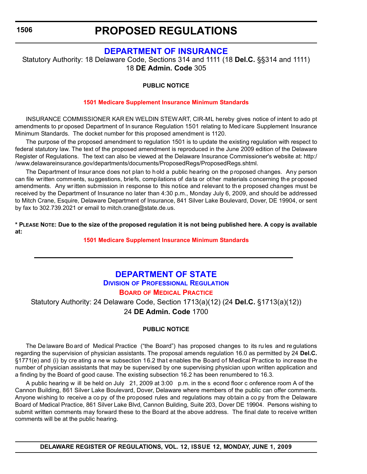# **PROPOSED REGULATIONS**

# **[DEPARTMENT OF INSURANCE](http://www.delawareinsurance.gov/)**

Statutory Authority: 18 Delaware Code, Sections 314 and 1111 (18 **Del.C.** §§314 and 1111) 18 **DE Admin. Code** 305

# **PUBLIC NOTICE**

### **[1501 Medicare Supplement Insurance Minimum Standards](#page-3-0)**

INSURANCE COMMISSIONER KAR EN WELDIN STEWART, CIR-ML hereby gives notice of intent to ado pt amendments to pr oposed Department of In surance Regulation 1501 relating to Med icare Supplement Insurance Minimum Standards. The docket number for this proposed amendment is 1120.

The purpose of the proposed amendment to regulation 1501 is to update the existing regulation with respect to federal statutory law. The text of the proposed amendment is reproduced in the June 2009 edition of the Delaware Register of Regulations. The text can also be viewed at the Delaware Insurance Commissioner's website at: http:/ /www.delawareinsurance.gov/departments/documents/ProposedRegs/ProposedRegs.shtml.

The Department of Insurance does not plan to hold a public hearing on the proposed changes. Any person can file written comments, suggestions, briefs, compilations of data or other materials concerning the proposed amendments. Any wr itten submission in response to this notice and relevant to th e proposed changes must be received by the Department of Insurance no later than 4:30 p.m., Monday July 6, 2009, and should be addressed to Mitch Crane, Esquire, Delaware Department of Insurance, 841 Silver Lake Boulevard, Dover, DE 19904, or sent by fax to 302.739.2021 or email to mitch.crane@state.de.us.

**\* PLEASE NOTE: Due to the size of the proposed regulation it is not being published here. A copy is available at:**

### **[1501 Medicare Supplement Insurance Minimum Standards](http://regulations.delaware.gov/register/june2009/proposed/12 DE Reg 1506 06-01-09.htm)**

# **[DEPARTMENT OF STATE](http://sos.delaware.gov/default.shtml) DIVISION [OF PROFESSIONAL REGULATION](http://dpr.delaware.gov/default.shtml)**

# **BOARD [OF MEDICAL PRACTICE](#page-3-0)**

Statutory Authority: 24 Delaware Code, Section 1713(a)(12) (24 **Del.C.** §1713(a)(12)) 24 **DE Admin. Code** 1700

# **PUBLIC NOTICE**

The De laware Bo ard of Medical Practice ("the Board") has proposed changes to its ru les and re gulations regarding the supervision of physician assistants. The proposal amends regulation 16.0 as permitted by 24 **Del.C.** §1771(e) and (i) by cre ating a ne w subsection 16.2 that enables the Board of Medical Practice to increase the number of physician assistants that may be supervised by one supervising physician upon written application and a finding by the Board of good cause. The existing subsection 16.2 has been renumbered to 16.3.

A public hearing w ill be held on July 21, 2009 at 3:00 p.m. in the s econd floor c onference room A of the Cannon Building, 861 Silver Lake Boulevard, Dover, Delaware where members of the public can offer comments. Anyone wishing to receive a co py of the proposed rules and regulations may obtain a co py from the Delaware Board of Medical Practice, 861 Silver Lake Blvd, Cannon Building, Suite 203, Dover DE 19904. Persons wishing to submit written comments may forward these to the Board at the above address. The final date to receive written comments will be at the public hearing.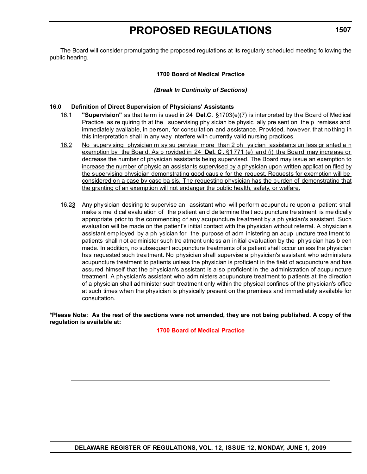The Board will consider promulgating the proposed regulations at its regularly scheduled meeting following the public hearing.

#### **1700 Board of Medical Practice**

#### *(Break In Continuity of Sections)*

#### **16.0 Definition of Direct Supervision of Physicians' Assistants**

- 16.1 **"Supervision"** as that te rm is used in 24 **Del.C.** §1703(e)(7) is interpreted by th e Board of Med ical Practice as re quiring th at the supervising phy sician be physic ally pre sent on the p remises and immediately available, in pe rson, for consultation and assistance. Provided, however, that no thing in this interpretation shall in any way interfere with currently valid nursing practices.
- 16.2 No supervising physician m ay su pervise more than 2 ph ysician assistants un less gr anted a n exemption by the Boar d. As p rovided in 24 **Del. C .** §1 771 (e) an d (i) th e Boa rd may incre ase or decrease the number of physician assistants being supervised. The Board may issue an exemption to increase the number of physician assistants supervised by a physician upon written application filed by the supervising physician demonstrating good caus e for the request. Requests for exemption will be considered on a case by case ba sis. The requesting physician has the burden of demonstrating that the granting of an exemption will not endanger the public health, safety, or welfare.
- 16.23 Any physician desiring to supervise an assistant who will perform acupunctu re upon a patient shall make a me dical evalu ation of the p atient an d de termine tha t acu puncture tre atment is me dically appropriate prior to the commencing of any acupuncture treatment by a ph ysician's assistant. Such evaluation will be made on the patient's initial contact with the physician without referral. A physician's assistant emp loyed by a ph ysician for the purpose of adm inistering an acup uncture trea tment to patients shall n ot ad minister such tre atment unle ss a n in itial eva luation by the ph ysician has b een made. In addition, no subsequent acupuncture treatments of a patient shall occur unless the physician has requested such trea tment. No physician shall supervise a physician's assistant who administers acupuncture treatment to patients unless the physician is proficient in the field of acupuncture and has assured himself that the physician's assistant is also proficient in the administration of acupu ncture treatment. A physician's assistant who administers acupuncture treatment to patients at the direction of a physician shall administer such treatment only within the physical confines of the physician's office at such times when the physician is physically present on the premises and immediately available for consultation.

**\*Please Note: As the rest of the sections were not amended, they are not being published. A copy of the regulation is available at:**

**[1700 Board of Medical Practice](http://regulations.delaware.gov/register/june2009/proposed/12 DE Reg 1506a 06-01-09.htm)**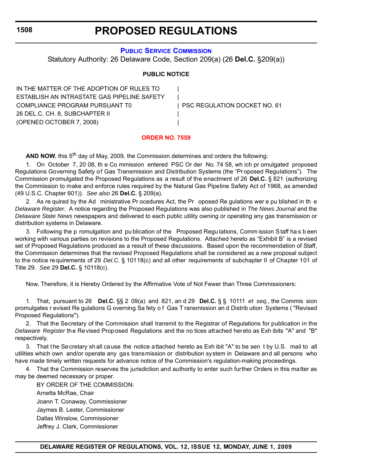# **PROPOSED REGULATIONS**

### **[PUBLIC SERVICE COMMISSION](http://depsc.delaware.gov/default.shtml)**

Statutory Authority: 26 Delaware Code, Section 209(a) (26 **Del.C.** §209(a))

### **PUBLIC NOTICE**

IN THE MATTER OF THE ADOPTION OF RULES TO | ESTABLISH AN INTRASTATE GAS PIPELINE SAFETY | COMPLIANCE PROGRAM PURSUANT T0 | PSC REGULATION DOCKET NO. 61 26 DEL.C. CH. 8, SUBCHAPTER II | (OPENED OCTOBER 7, 2008) |

### **[ORDER NO. 7559](#page-3-0)**

**AND NOW**, this 5<sup>th</sup> day of May, 2009, the Commission determines and orders the following:

1. On October 7, 20 08, th e Co mmission entered PSC Or der No. 74 58, wh ich pr omulgated proposed Regulations Governing Safety of Gas Transmission and Distribution Systems (the "Pr oposed Regulations"). The Commission promulgated the Proposed Regulations as a result of the enactment of 26 **Del.C.** § 821 (authorizing the Commission to make and enforce rules required by the Natural Gas Pipeline Safety Act of 1968, as amended (49 U.S.C. Chapter 601)). *See also* 26 **Del.C.** § 209(a).

2. As re quired by the Ad ministrative Pr ocedures Act, the Pr oposed Re gulations wer e pu blished in th e *Delaware Register*. A notice regarding the Proposed Regulations was also published in *The News Journal* and the *Delaware State News* newspapers and delivered to each public utility owning or operating any gas transmission or distribution systems in Delaware.

3. Following the p romulgation and pu blication of the Proposed Regu lations, Comm ission S taff ha s b een working with various parties on revisions to the Proposed Regulations. Attached hereto as "Exhibit B" is a revised set of Proposed Regulations produced as a result of these discussions. Based upon the recommendation of Staff, the Commission determines that the revised Proposed Regulations shall be considered as a new proposal subject to the notice requirements of 29 *Del.C.* § 10118(c) and all other requirements of subchapter II of Chapter 101 of Title 29. *See* 29 **Del.C.** § 10118(c).

Now, Therefore, it is Hereby Ordered by the Affirmative Vote of Not Fewer than Three Commissioners:

1. That, pursuant to 26 **Del.C.** §§ 2 09(a) and 821, an d 29 **Del.C.** § § 10111 *et seq.*, the Commis sion promulgates r evised Re gulations G overning Sa fety o f Gas T ransmission an d Distrib ution Systems ( "Revised Proposed Regulations").

2. That the Secretary of the Commission shall transmit to the Registrar of Regulations for publication in the *Delaware Register* the Revised Proposed Regulations and the no tices attached hereto as Exh ibits "A" and "B" respectively.

3. That the Secretary shall cause the notice attached hereto as Exh ibit "A" to be sen t by U.S. mail to all utilities which own and/or operate any gas transmission or distribution system in Delaware and all persons who have made timely written requests for advance notice of the Commission's regulation-making proceedings.

4. That the Commission reserves the jurisdiction and authority to enter such further Orders in this matter as may be deemed necessary or proper.

BY ORDER OF THE COMMISSION: Arnetta McRae, Chair Joann T. Conaway, Commissioner Jaymes B. Lester, Commissioner Dallas Winslow, Commissioner Jeffrey J. Clark, Commissioner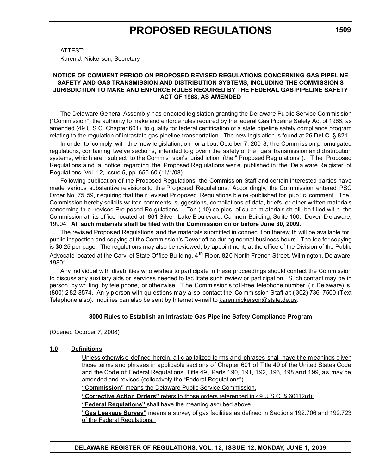ATTEST:

Karen J. Nickerson, Secretary

#### **NOTICE OF COMMENT PERIOD ON PROPOSED REVISED REGULATIONS CONCERNING GAS PIPELINE SAFETY AND GAS TRANSMISSION AND DISTRIBUTION SYSTEMS, INCLUDING THE COMMISSION'S JURISDICTION TO MAKE AND ENFORCE RULES REQUIRED BY THE FEDERAL GAS PIPELINE SAFETY ACT OF 1968, AS AMENDED**

The Delaware General Assembly has enacted legislation granting the Del aware Public Service Commis sion ("Commission") the authority to make and enforce rules required by the federal Gas Pipeline Safety Act of 1968, as amended (49 U.S.C. Chapter 601), to qualify for federal certification of a state pipeline safety compliance program relating to the regulation of intrastate gas pipeline transportation. The new legislation is found at 26 **Del.C.** § 821.

In or der to co mply with th e new le gislation, o n or a bout Octo ber 7, 200 8, th e Comm ission pr omulgated regulations, con taining twelve sections, intended to g overn the safety of the gas transmission and distribution systems, whic h are subject to the Commis sion's jurisd iction (the " Proposed Reg ulations"). T he Proposed Regulations a nd a notice regarding the Proposed Reg ulations wer e published in the Dela ware Re gister of Regulations, Vol. 12, Issue 5, pp. 655-60 (11/1/08).

Following publication of the Proposed Regulations, the Commission Staff and certain interested parties have made various substantive re visions to th e Pro posed Regulations. Accor dingly, the Co mmission entered PSC Order No. 75 59, r equiring that the r evised Pr oposed Regulations b e re -published for pub lic comment. The Commission hereby solicits written comments, suggestions, compilations of data, briefs, or other written materials concerning th e revised Pro posed Re gulations. Ten ( 10) co pies of su ch m aterials sh all be f iled wit h the Commission at its of fice located at 861 Silver Lake Boulevard, Ca nnon Building, Su ite 100, Dover, D elaware, 19904. **All such materials shall be filed with the Commission on or before June 30, 2009.** 

The revised Proposed Regulations and the materials submitted in connec tion therewith will be available for public inspection and copying at the Commission's Dover office during normal business hours. The fee for copying is \$0.25 per page. The regulations may also be reviewed, by appointment, at the office of the Division of the Public Advocate located at the Carv el State Office Building, 4<sup>th</sup> Floor, 820 North French Street, Wilmington, Delaware 19801.

Any individual with disabilities who wishes to participate in these proceedings should contact the Commission to discuss any auxiliary aids or services needed to facilitate such review or participation. Such contact may be in person, by wr iting, by tele phone, or othe rwise. T he Commission's toll-free telephone number (in Delaware) is (800) 2 82-8574. An y p erson with qu estions ma y a lso contact the Co mmission S taff a t ( 302) 736 -7500 (Text Telephone also). Inquiries can also be sent by Internet e-mail to [karen.nickerson@state.de.us.](mailto:knickerson@state.de.us )

#### **8000 Rules to Establish an Intrastate Gas Pipeline Safety Compliance Program**

(Opened October 7, 2008)

#### **1.0 Definitions**

Unless otherwis e defined herein, all c apitalized te rms a nd phrases shall have t he m eanings g iven those terms and phrases in applicable sections of Chapter 601 of Title 49 of the United States Code and the Code of Federal Regulations, Title 49, Parts 190, 191, 192, 193, 198 and 199, as may be amended and revised (collectively the "Federal Regulations").

**"Commission"** means the Delaware Public Service Commission.

**"Corrective Action Orders"** refers to those orders referenced in 49 U.S.C. § 60112(d).

**"Federal Regulations"** shall have the meaning ascribed above.

**"Gas Leakage Survey"** means a survey of gas facilities as defined in Sections 192.706 and 192.723 of the Federal Regulations.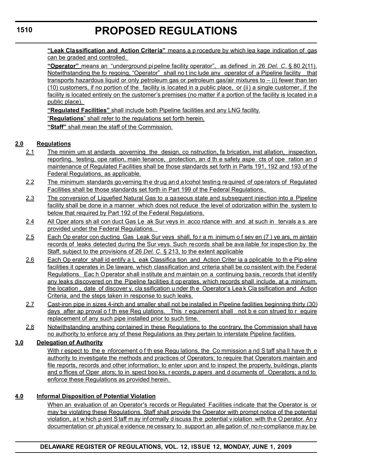# **PROPOSED REGULATIONS**

**"Leak Classification and Action Criteria"** means a p rocedure by which lea kage indication of gas can be graded and controlled.

**"Operator"** means an "underground pi peline facility operator", as defined in 26 *Del. C*. § 80 2(11). Notwithstanding the fo regoing, "Operator" shall no t inc lude any operator of a Pipeline facility that transports hazardous liquid or only petroleum gas or petroleum gas/air mixtures to – (i) fewer than ten (10) customers, if no portion of the facility is located in a public place, or (ii) a single customer, if the facility is located entirely on the customer's premises (no matter if a portion of the facility is located in a public place).

**"Regulated Facilities"** shall include both Pipeline facilities and any LNG facility.

"**Regulations**" shall refer to the regulations set forth herein.

**"Staff"** shall mean the staff of the Commission.

# **2.0 Regulations**

- 2.1 The minim um st andards governing the design, co nstruction, fa brication, inst allation, inspection, reporting, testing, ope ration, main tenance, protection, an d th e safety aspe cts of ope ration an d maintenance of Regulated Facilities shall be those standards set forth in Parts 191, 192 and 193 of the Federal Regulations, as applicable.
- 2.2 The minimum standards governing the drug and alcohol testing required of operators of Regulated Facilities shall be those standards set forth in Part 199 of the Federal Regulations.
- 2.3 The conversion of Liquefied Natural Gas to a gaseous state and subsequent injection into a Pipeline facility shall be done in a manner which does not reduce the level of odorization within the system to below that required by Part 192 of the Federal Regulations.
- 2.4 All Oper ators sh all con duct Gas Le ak Sur veys in acco rdance with and at such in tervals a s are provided under the Federal Regulations.
- 2.5 Each Op erator con ducting Gas Leak Sur veys shall, fo r a m inimum o f sev en (7) ye ars, m aintain records of leaks detected during the Sur veys. Such records shall be ava ilable for inspection by the Staff, subject to the provisions of 26 *Del. C.* § 213, to the extent applicable
- 2.6 Each Op erator shall id entify a L eak Classifica tion and Action Criter ia a pplicable to the Pip eline facilities it operates in De laware, which classification and criteria shall be co nsistent with the Federal Regulations. Eac h Operator shall institute and maintain on a continuing basis, records that identify any leaks discovered on the Pipeline facilities it operates, which records shall include, at a minimum, the location , date of discover y, cla ssification u nder th e Operator's Lea k Cla ssification and Action Criteria, and the steps taken in response to such leaks.
- 2.7 Cast-iron pipe in sizes 4-inch and smaller shall not be installed in Pipeline facilities beginning thirty (30) days after ap proval o f th ese Reg ulations. This r equirement shall not b e con strued to r equire replacement of any such pipe installed prior to such time.
- 2.8 Notwithstanding anything contained in these Regulations to the contrary, the Commission shall have no authority to enforce any of these Regulations as they pertain to interstate Pipeline facilities.

# **3.0 Delegation of Authority**

With r espect to the e nforcement o f th ese Regu lations, the Co mmission a nd S taff sha ll have th e authority to investigate the methods and practices of Operators; to require that Operators maintain and file reports, records and other information; to enter upon and to inspect the property, buildings, plants and o ffices of Oper ators; to in spect boo ks, r ecords, p apers and d ocuments of Operators; a nd to enforce these Regulations as provided herein.

# **4.0 Informal Disposition of Potential Violation**

When an evaluation of an Operator's records or Regulated Facilities indicate that the Operator is or may be violating these Regulations, Staff shall provide the Operator with prompt notice of the potential violation, a t w hich p oint Staff m ay inf ormally d iscuss th e potential v iolation with th e O perator. An y documentation or physical evidence necessary to support an alle gation of no n-compliance m ay be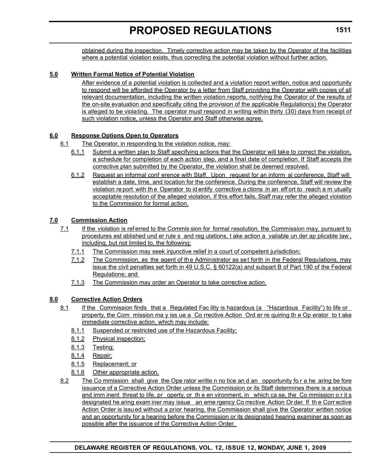obtained during the inspection. Timely corrective action may be taken by the Operator of the facilities where a potential violation exists, thus correcting the potential violation without further action.

# **5.0 Written Formal Notice of Potential Violation**

After evidence of a potential violation is collected and a violation report written, notice and opportunity to respond will be afforded the Operator by a letter from Staff providing the Operator with copies of all relevant documentation, including the written violation reports, notifying the Operator of the results of the on-site evaluation and specifically citing the provision of the applicable Regulation(s) the Operator is alleged to be violating. The operator must respond in writing within thirty (30) days from receipt of such violation notice, unless the Operator and Staff otherwise agree.

### **6.0 Response Options Open to Operators**

- 6.1 The Operator, in responding to the violation notice, may:
	- 6.1.1 Submit a written plan to Staff specifying actions that the Operator will take to correct the violation, a schedule for completion of each action step, and a final date of completion. If Staff accepts the corrective plan submitted by the Operator, the violation shall be deemed resolved.
	- 6.1.2 Request an informal conf erence with Staff. Upon request for an inform al conference, Staff will establish a date, time, and location for the conference. During the conference, Staff will review the violation re port with the Operator to id entify corrective a ctions in an eff ort to reach a m utually acceptable resolution of the alleged violation. If this effort fails, Staff may refer the alleged violation to the Commission for formal action.

# **7.0 Commission Action**

- 7.1 If the violation is referred to the Commis sion for formal resolution, the Commission may, pursuant to procedures est ablished und er rule s and reg ulations, t ake action a vailable un der ap plicable law , including, but not limited to, the following:
	- 7.1.1 The Commission may seek injunctive relief in a court of competent jurisdiction;
	- 7.1.2 The Commission, as the agent of the Administrator as set forth in the Federal Regulations, may issue the civil penalties set forth in 49 U.S.C. § 60122(a) and subpart B of Part 190 of the Federal Regulations; and
	- 7.1.3 The Commission may order an Operator to take corrective action.

# **8.0 Corrective Action Orders**

- 8.1 If the Commission finds that a Regulated Fac ility is hazardous (a "Hazardous Facility") to life or property, the Com mission ma y iss ue a Co rrective Action Ord er re quiring th e Op erator to t ake immediate corrective action, which may include:
	- 8.1.1 Suspended or restricted use of the Hazardous Facility;
	- 8.1.2 Physical inspection;
	- 8.1.3 Testing;
	- 8.1.4 Repair;
	- 8.1.5 Replacement; or
	- 8.1.6 Other appropriate action.
- 8.2 The Co mmission shall give the Ope rator writte n no tice an d an opportunity fo r a he aring be fore issuance of a Corrective Action Order unless the Commission or its Staff determines there is a serious and imm inent threat to life, pr operty, or the en vironment, in which ca se, the Co mmission o r it s designated he aring exam iner may issue an eme rgency Co rrective Action Or der. If th e Corr ective Action Order is issued without a prior hearing, the Commission shall give the Operator written notice and an opportunity for a hearing before the Commission or its designated hearing examiner as soon as possible after the issuance of the Corrective Action Order.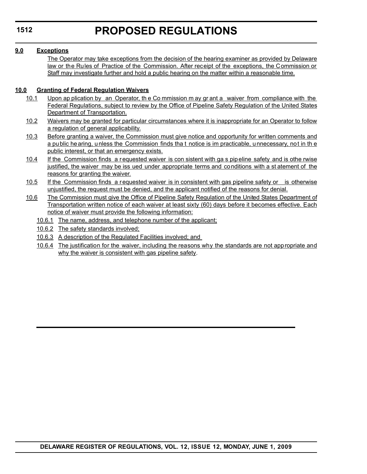### **9.0 Exceptions**

The Operator may take exceptions from the decision of the hearing examiner as provided by Delaware law or the Rules of Practice of the Commission. After receipt of the exceptions, the Commission or Staff may investigate further and hold a public hearing on the matter within a reasonable time.

### **10.0 Granting of Federal Regulation Waivers**

- 10.1 Upon ap plication by an Operator, th e Co mmission m ay gr ant a waiver from compliance with the Federal Regulations, subject to review by the Office of Pipeline Safety Regulation of the United States Department of Transportation.
- 10.2 Waivers may be granted for particular circumstances where it is inappropriate for an Operator to follow a regulation of general applicability.
- 10.3 Before granting a waiver, the Commission must give notice and opportunity for written comments and a public hearing, unless the Commission finds tha t notice is im practicable, unnecessary, not in th e public interest, or that an emergency exists.
- 10.4 If the Commission finds a requested waiver is con sistent with ga s pipeline safety and is othe rwise justified, the waiver may be iss ued under appropriate terms and conditions with a st atement of the reasons for granting the waiver.
- 10.5 If the Commission finds a requested waiver is in consistent with gas pipeline safety or is otherwise unjustified, the request must be denied, and the applicant notified of the reasons for denial.
- 10.6 The Commission must give the Office of Pipeline Safety Regulation of the United States Department of Transportation written notice of each waiver at least sixty (60) days before it becomes effective. Each notice of waiver must provide the following information:
	- 10.6.1 The name, address, and telephone number of the applicant;
	- 10.6.2 The safety standards involved;
	- 10.6.3 A description of the Regulated Facilities involved; and
	- 10.6.4 The justification for the waiver, including the reasons why the standards are not appropriate and why the waiver is consistent with gas pipeline safety.

**1512**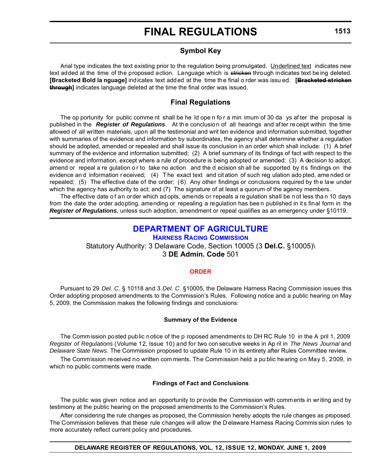# **FINAL REGULATIONS**

# **Symbol Key**

Arial type indicates the text existing prior to the regulation being promulgated. Underlined text indicates new text added at the time of the proposed action. Language which is stricken through indicates text being deleted. **[Bracketed Bold la nguage]** indicates text added at the time the final o rder was issu ed. **[Bracketed stricken through]** indicates language deleted at the time the final order was issued.

# **Final Regulations**

The op portunity for public comme nt shall be he ld ope n fo r a min imum of 30 da ys af ter the proposal is published in the *Register of Regulations*. At the conclusion of all hearings and after receipt within the time allowed of all written materials, upon all the testimonial and writ ten evidence and information submitted, together with summaries of the evidence and information by subordinates, the agency shall determine whether a regulation should be adopted, amended or repealed and shall issue its conclusion in an order which shall include: (1) A brief summary of the evidence and information submitted; (2) A brief summary of its findings of fact with respect to the evidence and information, except where a rule of procedure is being adopted or amended; (3) A decision to adopt, amend or repeal a re gulation or to take no action and the d ecision sh all be supported by its findings on the evidence an d information r eceived; (4) The exact text and cit ation of such regulation ado pted, ame nded or repealed; (5) The effective date of the order; ( 6) Any other findings or conclusions required by th e law under which the agency has authority to act; and (7) The signature of at least a quorum of the agency members.

The effective date o f an order which ad opts, amends or repeals a re gulation shall be n ot less tha n 10 days from the date the order adopting, amending or repealing a regulation has bee n published in it s final form in the *Register of Regulations*, unless such adoption, amendment or repeal qualifies as an emergency under §10119.

# **[DEPARTMENT OF AGRICULTURE](http://dda.delaware.gov/default.shtml)**

**[HARNESS RACING COMMISSION](http://dda.delaware.gov/default.shtml)** Statutory Authority: 3 Delaware Code, Section 10005 (3 **Del.C.** §10005)\ 3 **DE Admin. Code** 501

#### **[ORDER](#page-3-0)**

Pursuant to 29 *Del. C*. § 10118 and 3 *Del. C*. §10005, the Delaware Harness Racing Commission issues this Order adopting proposed amendments to the Commission's Rules. Following notice and a public hearing on May 5, 2009, the Commission makes the following findings and conclusions:

#### **Summary of the Evidence**

The Commission posted public notice of the p roposed amendments to DH RC Rule 10 in the A pril 1, 2009 *Register of Regulations* (Volume 12, Issue 10) and for two con secutive weeks in Ap ril in *The News Journal* and *Delaware State News*. The Commission proposed to update Rule 10 in its entirety after Rules Committee review.

The Commission received no written com ments. The Commission held a pu blic hearing on May 5, 2009, in which no public comments were made.

#### **Findings of Fact and Conclusions**

The public was given notice and an opportunity to provide the Commission with comments in writing and by testimony at the public hearing on the proposed amendments to the Commission's Rules.

After considering the rule changes as proposed, the Commission hereby adopts the rule changes as proposed. The Commission believes that these rule changes will allow the D elaware Harness Racing Commis sion rules to more accurately reflect current policy and procedures.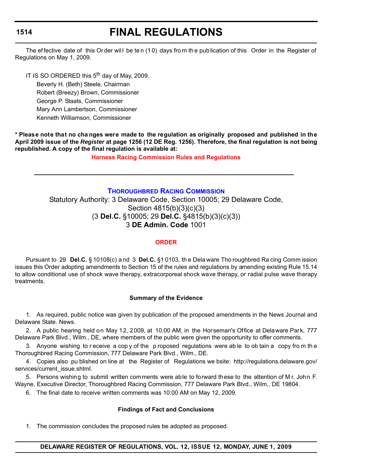# **FINAL REGULATIONS**

The effective date of this Order will be ten (10) days from the publication of this Order in the Register of Regulations on May 1, 2009.

IT IS SO ORDERED this 5<sup>th</sup> day of May, 2009.

Beverly H. (Beth) Steele, Chairman Robert (Breezy) Brown, Commissioner George P. Staats, Commissioner Mary Ann Lambertson, Commissioner Kenneth Williamson, Commissioner

**\* Please note that no cha nges were made to the regulation as originally proposed and published in the April 2009 issue of the** *Register* **at page 1256 (12 DE Reg. 1256). Therefore, the final regulation is not being republished. A copy of the final regulation is available at:**

**[Harness Racing Commission Rules and Regulations](http://regulations.delaware.gov/register/june2009/final/12 DE Reg 1513 06-01-09.htm)**

### **[THOROUGHBRED RACING COMMISSION](http://dda.delaware.gov/default.shtml)**

Statutory Authority: 3 Delaware Code, Section 10005; 29 Delaware Code, Section 4815(b)(3)(c)(3) (3 **Del.C.** §10005; 29 **Del.C.** §4815(b)(3)(c)(3)) 3 **DE Admin. Code** 1001

#### **[ORDER](#page-3-0)**

Pursuant to 29 **Del.C.** § 10108(c) a nd 3 **Del.C.** §1 0103, th e Dela ware Tho roughbred Ra cing Comm ission issues this Order adopting amendments to Section 15 of the rules and regulations by amending existing Rule 15.14 to allow conditional use of shock wave therapy, extracorporeal shock wave therapy, or radial pulse wave therapy treatments.

#### **Summary of the Evidence**

1. As required, public notice was given by publication of the proposed amendments in the News Journal and Delaware State. News.

2. A public hearing held on May 12, 2009, at 10:00 AM, in the Horseman's Office at Delaware Park, 777 Delaware Park Blvd., Wilm., DE, where members of the public were given the opportunity to offer comments.

3. Anyone wishing to r eceive a cop y of the p roposed regulations were ab le to ob tain a copy fro m th e Thoroughbred Racing Commission, 777 Delaware Park Blvd., Wilm., DE.

4. Copies also pu blished on line at the Register of Regulations we bsite: http://regulations.delaware.gov/ services/current\_issue.shtml.

5. Persons wishing to submit written comments were able to forward these to the attention of M r. John F. Wayne, Executive Director, Thoroughbred Racing Commission, 777 Delaware Park Blvd., Wilm., DE 19804.

6. The final date to receive written comments was 10:00 AM on May 12, 2009.

#### **Findings of Fact and Conclusions**

1. The commission concludes the proposed rules be adopted as proposed.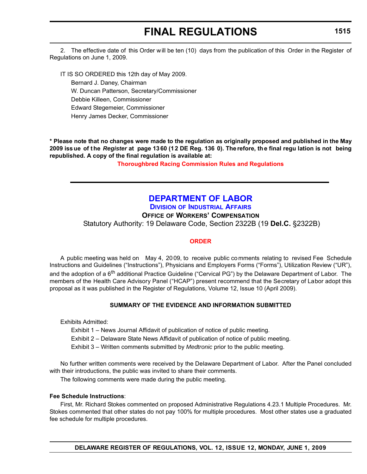# **FINAL REGULATIONS**

2. The effective date of this Order will be ten (10) days from the publication of this Order in the Register of Regulations on June 1, 2009.

IT IS SO ORDERED this 12th day of May 2009.

Bernard J. Daney, Chairman W. Duncan Patterson, Secretary/Commissioner

Debbie Killeen, Commissioner

Edward Stegemeier, Commissioner

Henry James Decker, Commissioner

**\* Please note that no changes were made to the regulation as originally proposed and published in the May 2009 iss ue of t he** *Register* **at page 1360 (12 DE Reg. 136 0). Therefore, the final regu lation is not being republished. A copy of the final regulation is available at:**

**[Thoroughbred Racing Commission Rules and Regulations](http://regulations.delaware.gov/register/june2009/final/12 DE Reg 1514 06-01-09.htm)**

# **[DEPARTMENT OF LABOR](http://www.delawareworks.com/divisionsDOL.shtml)**

**DIVISION [OF INDUSTRIAL AFFAIRS](http://www.delawareworks.com/industrialaffairs/welcome.shtml) OFFICE OF WORKERS' COMPENSATION**

Statutory Authority: 19 Delaware Code, Section 2322B (19 **Del.C.** §2322B)

# **[ORDER](#page-3-0)**

A public meeting was held on May 4, 20 09, to receive public co mments relating to revised Fee Schedule Instructions and Guidelines ("Instructions"), Physicians and Employers Forms ("Forms"), Utilization Review ("UR"), and the adoption of a 6<sup>th</sup> additional Practice Guideline ("Cervical PG") by the Delaware Department of Labor. The members of the Health Care Advisory Panel ("HCAP") present recommend that the Secretary of Labor adopt this proposal as it was published in the Register of Regulations, Volume 12, Issue 10 (April 2009).

# **SUMMARY OF THE EVIDENCE AND INFORMATION SUBMITTED**

Exhibits Admitted:

Exhibit 1 – News Journal Affidavit of publication of notice of public meeting.

Exhibit 2 – Delaware State News Affidavit of publication of notice of public meeting.

Exhibit 3 – Written comments submitted by *Medtronic* prior to the public meeting.

No further written comments were received by the Delaware Department of Labor. After the Panel concluded with their introductions, the public was invited to share their comments.

The following comments were made during the public meeting.

# **Fee Schedule Instructions**:

First, Mr. Richard Stokes commented on proposed Administrative Regulations 4.23.1 Multiple Procedures. Mr. Stokes commented that other states do not pay 100% for multiple procedures. Most other states use a graduated fee schedule for multiple procedures.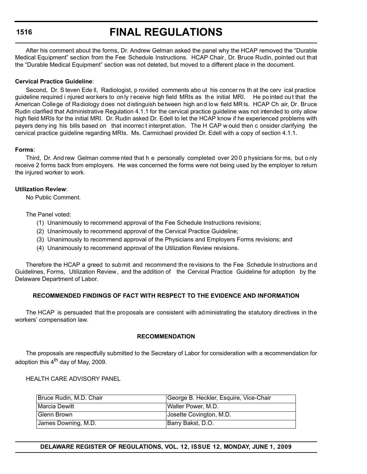# **FINAL REGULATIONS**

After his comment about the forms, Dr. Andrew Gelman asked the panel why the HCAP removed the "Durable Medical Equipment" section from the Fee Schedule Instructions. HCAP Chair, Dr. Bruce Rudin, pointed out that the "Durable Medical Equipment" section was not deleted, but moved to a different place in the document.

#### **Cervical Practice Guideline**:

Second, Dr. S teven Ede ll, Radiologist, p rovided comments abo ut his concer ns th at the cerv ical practice guideline required i njured wor kers to on ly r eceive high field MRIs as th e initial MRI. He po inted ou t that the American College of Radiology does not distinguish between high and low field MRIs. HCAP Ch air, Dr. Bruce Rudin clarified that Administrative Regulation 4.1.1 for the cervical practice guideline was not intended to only allow high field MRIs for the initial MRI. Dr. Rudin asked Dr. Edell to let the HCAP know if he experienced problems with payers deny ing his bills based on that incorrec t interpret ation. The H CAP w ould then c onsider clarifying the cervical practice guideline regarding MRIs. Ms. Carmichael provided Dr. Edell with a copy of section 4.1.1.

### **Forms**:

Third, Dr. And rew Gelman comme nted that h e personally completed over 20 0 p hysicians for ms, but o nly receive 2 forms back from employers. He was concerned the forms were not being used by the employer to return the injured worker to work.

#### **Utilization Review**:

No Public Comment.

The Panel voted:

- (1) Unanimously to recommend approval of the Fee Schedule Instructions revisions;
- (2) Unanimously to recommend approval of the Cervical Practice Guideline;
- (3) Unanimously to recommend approval of the Physicians and Employers Forms revisions; and
- (4) Unanimously to recommend approval of the Utilization Review revisions.

Therefore the HCAP a greed to submit and recommend the revisions to the Fee Schedule Instructions and Guidelines, Forms, Utilization Review, and the addition of the Cervical Practice Guideline for adoption by the Delaware Department of Labor.

### **RECOMMENDED FINDINGS OF FACT WITH RESPECT TO THE EVIDENCE AND INFORMATION**

The HCAP is persuaded that the proposals are consistent with administrating the statutory directives in the workers' compensation law.

#### **RECOMMENDATION**

The proposals are respectfully submitted to the Secretary of Labor for consideration with a recommendation for adoption this  $4<sup>th</sup>$  day of May, 2009.

HEALTH CARE ADVISORY PANEL

| Bruce Rudin, M.D. Chair | George B. Heckler, Esquire, Vice-Chair |
|-------------------------|----------------------------------------|
| <b>IMarcia Dewitt</b>   | Walter Power, M.D.                     |
| Glenn Brown             | Josette Covington, M.D.                |
| James Downing, M.D.     | Barry Bakst, D.O.                      |

**DELAWARE REGISTER OF REGULATIONS, VOL. 12, ISSUE 12, MONDAY, JUNE 1, 2009**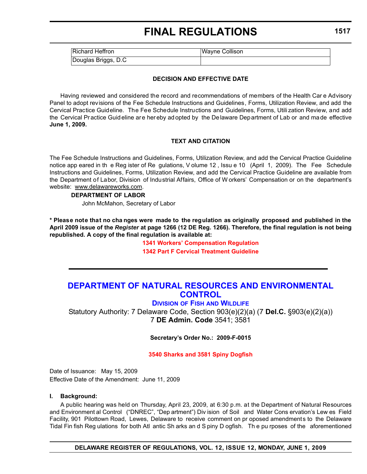# **FINAL REGULATIONS**

| <b>Richard Heffron</b> | <b>Wayne Collison</b> |
|------------------------|-----------------------|
| Douglas Briggs, D.C    |                       |

#### **DECISION AND EFFECTIVE DATE**

Having reviewed and considered the record and recommendations of members of the Health Car e Advisory Panel to adopt revisions of the Fee Schedule Instructions and Guidelines, Forms, Utilization Review, and add the Cervical Practice Guideline. The Fee Schedule Instructions and Guidelines, Forms, Utili zation Review, and add the Cervical Practice Guideline are hereby adopted by the De laware Department of Lab or and ma de effective **June 1, 2009.**

#### **TEXT AND CITATION**

The Fee Schedule Instructions and Guidelines, Forms, Utilization Review, and add the Cervical Practice Guideline notice app eared in th e Reg ister of Re gulations, V olume 12 , Issu e 10 (April 1, 2009). The Fee Schedule Instructions and Guidelines, Forms, Utilization Review, and add the Cervical Practice Guideline are available from the Department of Labor, Division of Industrial Affairs, Office of W orkers' Compensation or on the department's website: [www.delawareworks.com](http://www.delawareworks.com).

#### **DEPARTMENT OF LABOR**

John McMahon, Secretary of Labor

**\* Please note that no cha nges were made to the regulation as originally proposed and published in the April 2009 issue of the** *Register* **at page 1266 (12 DE Reg. 1266). Therefore, the final regulation is not being republished. A copy of the final regulation is available at:**

#### **[1341 Workers' Compensation Regulation](http://regulations.delaware.gov/register/june2009/final/12 DE Reg 1515 06-01-09.htm) [1342 Part F Cervical Treatment Guideline](http://regulations.delaware.gov/register/june2009/final/12 DE Reg 1515a 06-01-09.htm)**

# **[DEPARTMENT OF NATURAL RESOURCES AND ENVIRONMENTAL](http://attorneygeneral.delaware.gov/)  CONTROL**

**DIVISION OF FISH [AND WILDLIFE](http://attorneygeneral.delaware.gov/office/fraud.shtml)**

Statutory Authority: 7 Delaware Code, Section 903(e)(2)(a) (7 **Del.C.** §903(e)(2)(a)) 7 **DE Admin. Code** 3541; 3581

**Secretary's Order No.: 2009-F-0015**

**[3540 Sharks and 3581 Spiny Dogfish](#page-3-0)**

Date of Issuance: May 15, 2009 Effective Date of the Amendment: June 11, 2009

#### **I. Background:**

A public hearing was held on Thursday, April 23, 2009, at 6:30 p.m. at the Department of Natural Resources and Environment al Control ("DNREC", "Dep artment") Div ision of Soil and Water Cons ervation's Lew es Field Facility, 901 Pilottown Road, Lewes, Delaware to receive comment on pr oposed amendments to the Delaware Tidal Fin fish Reg ulations for both Atl antic Sh arks an d S piny D ogfish. Th e pu rposes of the aforementioned

**DELAWARE REGISTER OF REGULATIONS, VOL. 12, ISSUE 12, MONDAY, JUNE 1, 2009**

**1517**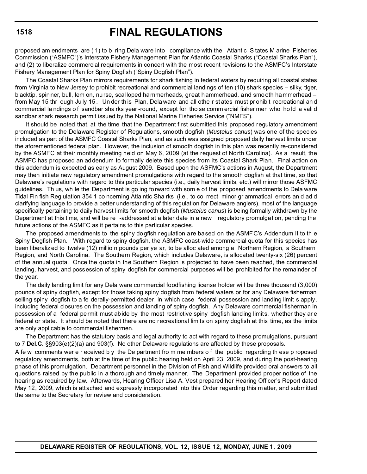# **FINAL REGULATIONS**

proposed am endments are ( 1) to b ring Dela ware into compliance with the Atlantic S tates M arine Fisheries Commission ("ASMFC")'s Interstate Fishery Management Plan for Atlantic Coastal Sharks ("Coastal Sharks Plan"), and (2) to liberalize commercial requirements in concert with the most recent revisions to the ASMFC's Interstate Fishery Management Plan for Spiny Dogfish ("Spiny Dogfish Plan").

The Coastal Sharks Plan mirrors requirements for shark fishing in federal waters by requiring all coastal states from Virginia to New Jersey to prohibit recreational and commercial landings of ten (10) shark species – silky, tiger, blacktip, spinner, bull, lem on, nurse, scalloped hammerheads, great hammerhead, and smooth hammerhead – from May 15 thr ough Ju ly 15 . Un der th is Plan, Dela ware and all othe r st ates must pr ohibit recreational an d commercial la ndings o f sandbar sha rks year -round, except for tho se comm ercial fisher men who ho ld a vali d sandbar shark research permit issued by the National Marine Fisheries Service ("NMFS").

It should be noted that, at the time that the Department first submitted this proposed regulatory amendment promulgation to the Delaware Register of Regulations, smooth dogfish (*Mustelus canus*) was one of the species included as part of the ASMFC Coastal Sharks Plan, and as such was assigned proposed daily harvest limits under the aforementioned federal plan. However, the inclusion of smooth dogfish in this plan was recently re-considered by the ASMFC at their monthly meeting held on May 6, 2009 (at the request of North Carolina). As a result, the ASMFC has proposed an addendum to formally delete this species from its Coastal Shark Plan. Final action on this addendum is expected as early as August 2009. Based upon the ASFMC's actions in August, the Department may then initiate new regulatory amendment promulgations with regard to the smooth dogfish at that time, so that Delaware's regulations with regard to this particular species (i.e., daily harvest limits, etc.) will mirror those ASFMC guidelines. Th us, while the Department is go ing forward with som e of the proposed amendments to Dela ware Tidal Fin fish Reg ulation 354 1 co ncerning Atla ntic Sha rks (i.e., to co rrect minor gr ammatical errors an d ad d clarifying language to provide a better understanding of this regulation for Delaware anglers), most of the language specifically pertaining to daily harvest limits for smooth dogfish (*Mustelus canus*) is being formally withdrawn by the Department at this time, and will be re -addressed at a later date in a new regulatory promulgation, pending the future actions of the ASMFC as it pertains to this particular species.

The proposed amendments to the spiny dogfish regulation are based on the ASMFC's Addendum II to th e Spiny Dogfish Plan. With regard to spiny dogfish, the ASMFC coast-wide commercial quota for this species has been liberaliz ed to twelve (12) millio n pounds per ye ar, to be alloc ated among a Northern Region, a Southern Region, and North Carolina. The Southern Region, which includes Delaware, is allocated twenty-six (26) percent of the annual quota. Once the quota in the Southern Region is projected to have been reached, the commercial landing, harvest, and possession of spiny dogfish for commercial purposes will be prohibited for the remainder of the year.

The daily landing limit for any Dela ware commercial foodfishing license holder will be three thousand (3,000) pounds of spiny dogfish, except for those taking spiny dogfish from federal waters or for any Delaware fisherman selling spiny dogfish to a fe derally-permitted dealer, in which case federal possession and landing limit s apply, including federal closures on the possession and landing of spiny dogfish. Any Delaware commercial fisherman in possession of a federal permit must abide by the most restrictive spiny dogfish landing limits, whether they ar e federal or state. It should be noted that there are no recreational limits on spiny dogfish at this time, as the limits are only applicable to commercial fishermen.

The Department has the statutory basis and legal authority to act with regard to these promulgations, pursuant to 7 **Del.C.** §§903(e)(2)(a) and 903(f). No other Delaware regulations are affected by these proposals.

A fe w comments wer e r eceived b y the De partment fro m me mbers o f the public regarding th ese p roposed regulatory amendments, both at the time of the public hearing held on April 23, 2009, and during the post-hearing phase of this promulgation. Department personnel in the Division of Fish and Wildlife provided oral answers to all questions raised by the public in a thorough and timely manner. The Department provided proper notice of the hearing as required by law. Afterwards, Hearing Officer Lisa A. Vest prepared her Hearing Officer's Report dated May 12, 2009, which is attached and expressly incorporated into this Order regarding this matter, and submitted the same to the Secretary for review and consideration.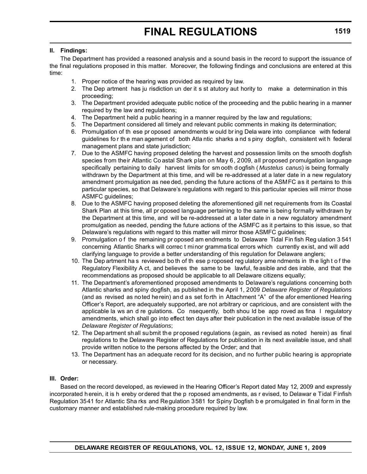#### **II. Findings:**

The Department has provided a reasoned analysis and a sound basis in the record to support the issuance of the final regulations proposed in this matter. Moreover, the following findings and conclusions are entered at this time:

- 1. Proper notice of the hearing was provided as required by law.
- 2. The Dep artment has ju risdiction un der it s st atutory aut hority to make a determination in this proceeding;
- 3. The Department provided adequate public notice of the proceeding and the public hearing in a manner required by the law and regulations;
- 4. The Department held a public hearing in a manner required by the law and regulations;
- 5. The Department considered all timely and relevant public comments in making its determination;
- 6. Promulgation of th ese pr oposed amendments w ould br ing Dela ware into compliance with federal guidelines fo r th e man agement of both Atla ntic sharks a nd s piny dogfish, consistent wit h federal management plans and state jurisdiction;
- 7. Due to the ASMFC having proposed deleting the harvest and possession limits on the smooth dogfish species from their Atlantic Co astal Shark plan on May 6, 2009, all proposed promulgation language specifically pertaining to daily harvest limits for sm ooth d ogfish ( *Mustelus canus*) is being formally withdrawn by the Department at this time, and will be re-addressed at a later date in a new regulatory amendment promulgation as nee ded, pending the future actions of the ASMFC as it pertains to this particular species, so that Delaware's regulations with regard to this particular species will mirror those ASMFC guidelines;
- 8. Due to the ASMFC having proposed deleting the aforementioned gill net requirements from its Coastal Shark Plan at this time, all pr oposed language pertaining to the same is being formally withdrawn by the Department at this time, and will be re-addressed at a later date in a new regulatory amendment promulgation as needed, pending the future actions of the ASMFC as it pertains to this issue, so that Delaware's regulations with regard to this matter will mirror those ASMFC guidelines;
- 9. Promulgation of the remaining proposed am endments to Delaware Tidal Fin fish Regulation 3541 concerning Atlantic Sharks will correc t minor gramma tical errors which currently exist, and will add clarifying language to provide a better understanding of this regulation for Delaware anglers;
- 10. The Dep artment ha s reviewed bo th of th ese p roposed reg ulatory ame ndments in th e ligh t o f the Regulatory Flexibility A ct, and believes the same to be lawful, fe asible and des irable, and that the recommendations as proposed should be applicable to all Delaware citizens equally;
- 11. The Department's aforementioned proposed amendments to Delaware's regulations concerning both Atlantic sharks and spiny dogfish, as published in the April 1, 2009 *Delaware Register of Regulations* (and as revised as noted herein) and as set forth in Attachment "A" of the afor ementioned Hearing Officer's Report, are adequately supported, are not arbitrary or capricious, and are consistent with the applicable la ws an d re gulations. Co nsequently, both shou ld be app roved as fina l regulatory amendments, which shall go into effect ten days after their publication in the next available issue of the *Delaware Register of Regulations*;
- 12. The Department shall submit the proposed regulations (again, as revised as noted herein) as final regulations to the Delaware Register of Regulations for publication in its next available issue, and shall provide written notice to the persons affected by the Order; and that
- 13. The Department has an adequate record for its decision, and no further public hearing is appropriate or necessary.

### **III. Order:**

Based on the record developed, as reviewed in the Hearing Officer's Report dated May 12, 2009 and expressly incorporated herein, it is h ereby ordered that the p roposed amendments, as r evised, to Delawar e Tidal Finfish Regulation 3541 for Atlantic Sha rks and Regulation 3581 for Spiny Dogfish b e promulgated in final form in the customary manner and established rule-making procedure required by law.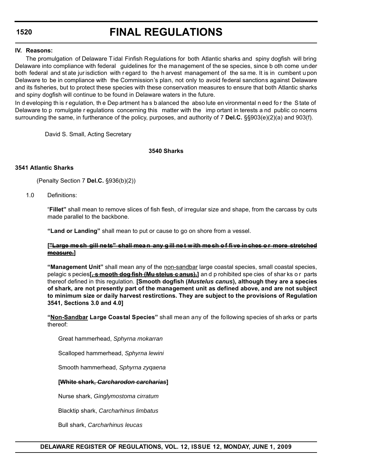# **FINAL REGULATIONS**

#### **IV. Reasons:**

The promulgation of Delaware T idal Finfish Regulations for both Atlantic sharks and spiny dogfish will bring Delaware into compliance with federal guidelines for the management of the se species, since b oth come under both federal and st ate jur isdiction with r egard to the h arvest management of the sa me. It is in cumbent u pon Delaware to be in compliance with the Commission's plan, not only to avoid federal sanctions against Delaware and its fisheries, but to protect these species with these conservation measures to ensure that both Atlantic sharks and spiny dogfish will continue to be found in Delaware waters in the future.

In d eveloping th is r egulation, th e Dep artment ha s b alanced the abso lute en vironmental n eed fo r the S tate of Delaware to p romulgate r egulations concerning this matter with the imp ortant in terests a nd public co ncerns surrounding the same, in furtherance of the policy, purposes, and authority of 7 **Del.C.** §§903(e)(2)(a) and 903(f).

David S. Small, Acting Secretary

#### **3540 Sharks**

#### **3541 Atlantic Sharks**

(Penalty Section 7 **Del.C.** §936(b)(2))

1.0 Definitions:

"**Fillet"** shall mean to remove slices of fish flesh, of irregular size and shape, from the carcass by cuts made parallel to the backbone.

**"Land or Landing"** shall mean to put or cause to go on shore from a vessel.

#### **["Large me sh gill ne ts" shall mea n any g ill ne t w ith me sh o f fi ve in ches o r more stretched measure.]**

**"Management Unit"** shall mean any of the non-sandbar large coastal species, small coastal species, pelagic s pecies**[, s mooth dog fish (Mu stelus c anus),]** an d p rohibited spe cies of shar ks o r parts thereof defined in this regulation. **[Smooth dogfish (***Mustelus canus***), although they are a species of shark, are not presently part of the management unit as defined above, and are not subject to minimum size or daily harvest restirctions. They are subject to the provisions of Regulation 3541, Sections 3.0 and 4.0]**

**"Non-Sandbar Large Coastal Species"** shall mean any of the following species of sh arks or parts thereof:

Great hammerhead, *Sphyrna mokarran*

Scalloped hammerhead, *Sphyrna lewini*

Smooth hammerhead, *Sphyrna zyqaena*

#### **[White shark,** *Carcharodon carcharias***]**

Nurse shark, *Ginglymostoma cirratum*

Blacktip shark, *Carcharhinus limbatus*

Bull shark, *Carcharhinus leucas*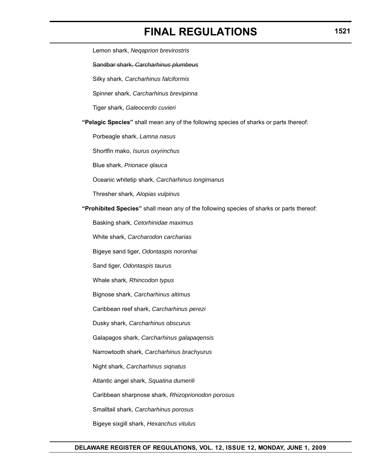# **FINAL REGULATIONS**

Lemon shark, *Neqaprion brevirostris* Sandbar shark, *Carcharhinus plumbeus* Silky shark, *Carcharhinus falciformis* Spinner shark, *Carcharhinus brevipinna* Tiger shark, *Galeocerdo cuvieri* **"Pelagic Species"** shall mean any of the following species of sharks or parts thereof: Porbeagle shark, *Lamna nasus* Shortfin mako, *Isurus oxyrinchus* Blue shark, *Prionace qlauca* Oceanic whitetip shark, *Carcharhinus longimanus* Thresher shark, *Alopias vulpinus* **"Prohibited Species"** shall mean any of the following species of sharks or parts thereof: Basking shark, *Cetorhinidae maximus* White shark, *Carcharodon carcharias* Bigeye sand tiger, *Odontaspis noronhai* Sand tiger, *Odontaspis taurus* Whale shark, *Rhincodon typus* Bignose shark, *Carcharhinus altimus* Caribbean reef shark, *Carcharhinus perezi* Dusky shark, *Carcharhinus obscurus* Galapagos shark, *Carcharhinus galapaqensis* Narrowtooth shark, *Carcharhinus brachyurus* Night shark, *Carcharhinus siqnatus* Atlantic angel shark, *Squatina dumerili* Caribbean sharpnose shark, *Rhizoprionodon porosus* Smalltail shark, *Carcharhinus porosus* Bigeye sixgill shark, *Hexanchus vitulus*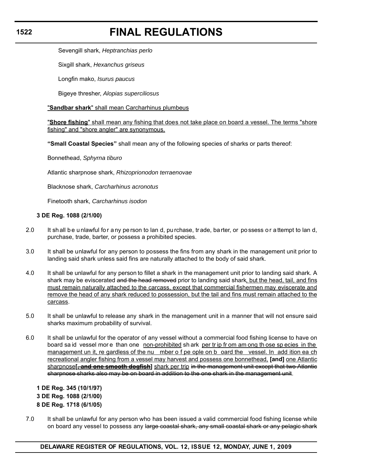# **FINAL REGULATIONS**

Sevengill shark, *Heptranchias perlo*

Sixgill shark, *Hexanchus griseus*

Longfin mako, *Isurus paucus*

Bigeye thresher, *Alopias superciliosus*

"**Sandbar shark**" shall mean Carcharhinus plumbeus

"**Shore fishing**" shall mean any fishing that does not take place on board a vessel. The terms "shore fishing" and "shore angler" are synonymous.

**"Small Coastal Species"** shall mean any of the following species of sharks or parts thereof:

Bonnethead, *Sphyrna tiburo*

Atlantic sharpnose shark, *Rhizoprionodon terraenovae*

Blacknose shark, *Carcharhinus acronotus*

Finetooth shark, *Carcharhinus isodon*

#### **3 DE Reg. 1088 (2/1/00)**

- 2.0 It sh all be unlawful for a ny pe rson to lan d, purchase, trade, barter, or possess or attempt to lan d, purchase, trade, barter, or possess a prohibited species.
- 3.0 It shall be unlawful for any person to possess the fins from any shark in the management unit prior to landing said shark unless said fins are naturally attached to the body of said shark.
- 4.0 It shall be unlawful for any person to fillet a shark in the management unit prior to landing said shark. A shark may be eviscerated and the head removed prior to landing said shark, but the head, tail, and fins must remain naturally attached to the carcass, except that commercial fishermen may eviscerate and remove the head of any shark reduced to possession, but the tail and fins must remain attached to the carcass.
- 5.0 It shall be unlawful to release any shark in the management unit in a manner that will not ensure said sharks maximum probability of survival.
- 6.0 It shall be unlawful for the operator of any vessel without a commercial food fishing license to have on board sa id vessel more than one non-prohibited sh ark per tr ip fr om am ong th ose sp ecies in the management un it, re gardless of the nu mber o f pe ople on b oard the vessel. In add ition ea ch recreational angler fishing from a vessel may harvest and possess one bonnethead, **[and]** one Atlantic sharpnose**[, and one smooth dogfish]** shark per trip in the management unit except that two Atlantic sharpnose sharks also may be on board in addition to the one shark in the management unit.

**1 DE Reg. 345 (10/1/97) 3 DE Reg. 1088 (2/1/00) 8 DE Reg. 1718 (6/1/05)**

7.0 It shall be unlawful for any person who has been issued a valid commercial food fishing license while on board any vessel to possess any large coastal shark, any small coastal shark or any pelagic shark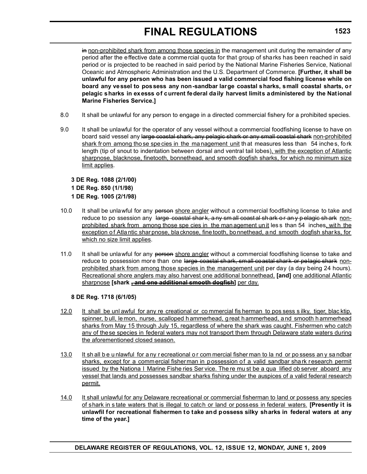# **FINAL REGULATIONS**

in non-prohibited shark from among those species in the management unit during the remainder of any period after the effective date a commercial quota for that group of sharks has been reached in said period or is projected to be reached in said period by the National Marine Fisheries Service, National Oceanic and Atmospheric Administration and the U.S. Department of Commerce. **[Further, it shall be unlawful for any person who has been issued a valid commercial food fishing license while on board any vessel to possess any non-sandbar large coastal sharks, small coastal sharts, or pelagic sharks in exesss of current federal daily harvest limits administered by the National Marine Fisheries Service.]**

- 8.0 It shall be unlawful for any person to engage in a directed commercial fishery for a prohibited species.
- 9.0 It shall be unlawful for the operator of any vessel without a commercial foodfishing license to have on board said vessel any large coastal shark, any pelagic shark or any small coastal shark non-prohibited shark from among tho se species in the ma nagement unit that measures less than 54 inches, fork length (tip of snout to indentation between dorsal and ventral tail lobes), with the exception of Atlantic sharpnose, blacknose, finetooth, bonnethead, and smooth dogfish sharks, for which no minimum size limit applies.

# **3 DE Reg. 1088 (2/1/00) 1 DE Reg. 850 (1/1/98) 1 DE Reg. 1005 (2/1/98)**

- 10.0 It shall be unlawful for any person shore angler without a commercial foodfishing license to take and reduce to po ssession any large coastal shar k, a ny sm all coast al sh ark o r an y p elagic sh ark nonprohibited shark from among those spe cies in the man agement un it les s than 54 inches, wit h the exception of Atlantic shar pnose, bla cknose, fine tooth, bo nnethead, and smooth dogfish shar ks, for which no size limit applies.
- 11.0 It shall be unlawful for any person shore angler without a commercial foodfishing license to take and reduce to possession more than one large coastal shark, small coastal shark or pelagic shark nonprohibited shark from among those species in the management unit per day (a day being 24 hours). Recreational shore anglers may also harvest one additional bonnethead, **[and]** one additional Atlantic sharpnose **[shark , and one additional smooth dogfish]** per day.

# **8 DE Reg. 1718 (6/1/05)**

- 12.0 It shall be unl awful for any re creational or co mmercial fis herman to pos sess s ilky, tiger, blac ktip, spinner, b ull, le mon, nurse, scalloped h ammerhead, g reat h ammerhead, a nd smooth h ammerhead sharks from May 15 through July 15, regardless of where the shark was caught. Fishermen who catch any of these species in federal waters may not transport them through Delaware state waters during the aforementioned closed season.
- 13.0 It sh all b e u nlawful for a ny r ecreational o r com mercial fisher man to la nd or po ssess an y sa ndbar sharks, except for a commercial fisherman in possession of a valid sandbar shark research permit issued by the Nationa I Marine Fishe ries Ser vice. The re mu st be a qua lified ob server aboard any vessel that lands and possesses sandbar sharks fishing under the auspices of a valid federal research permit.
- 14.0 It shall unlawful for any Delaware recreational or commercial fisherman to land or possess any species of shark in s tate waters that is illegal to catch or land or possess in federal waters. **[Presently it is unlawfil for recreational fishermen to take and possess silky sharks in federal waters at any time of the year.]**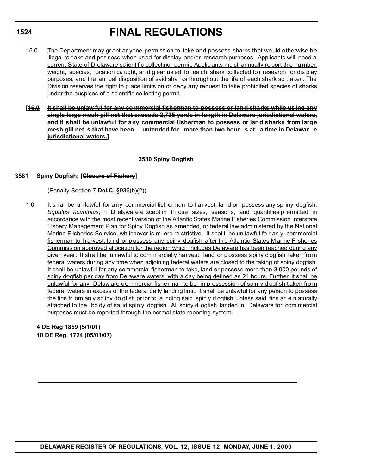# **FINAL REGULATIONS**

- 15.0 The Department may gr ant anyone permission to take and possess sharks that would otherwise be illegal to t ake and pos sess when used for display and/or research purposes. Applicants will need a current State of D elaware sc ientific collecting permit. Applic ants mu st annually re port th e nu mber, weight, species, location ca ught, and g ear us ed for ea ch shark collected for research or dis play purposes, and the annual disposition of said sha rks throughout the life of each shark so t aken. The Division reserves the right to place limits on or deny any request to take prohibited species of sharks under the auspices of a scientific collecting permit.
- **[16.0 It shall be unlaw ful for any co mmercial fisherman to possess or lan d sharks while us ing any single large mesh gill net that exceeds 2,735 yards in length in Delaware jurisdictional waters, and it shall be unlawful for any commercial fisherman to possess or land sharks from large mesh gill net s that have been untended for more than two hour s at a time in Delawar e jurisdictional waters.]**

### **3580 Spiny Dogfish**

#### **3581 Spiny Dogfish; [Closure of Fishery]**

(Penalty Section 7 **Del.C.** §936(b)(2))

1.0 It sh all be un lawful for a ny commercial fish erman to ha rvest, lan d or possess any sp iny dogfish, *Squalus acanthias*, in D elaware e xcept in th ose sizes, seasons, and quantities p ermitted in accordance with the most recent version of the Atlantic States Marine Fisheries Commission Interstate Fishery Management Plan for Spiny Dogfish as amended, or federal law administered by the National Marine F isheries Se rvice, wh ichever is m ore re strictive. It shall be un lawful for an y commercial fisherman to h arvest, la nd or p ossess any spiny dogfish after th e Atla ntic States M arine F isheries Commission approved allocation for the region which includes Delaware has been reached during any given year. It shall be unlawful to comm ercially ha rvest, land or possess s piny dogfish taken from federal waters during any time when adjoining federal waters are closed to the taking of spiny dogfish. It shall be unlawful for any commercial fisherman to take, land or possess more than 3,000 pounds of spiny dogfish per day from Delaware waters, with a day being defined as 24 hours. Further, it shall be unlawful for any Delaw are c ommercial fishe rman to be in p ossession of spin y d ogfish t aken fro m federal waters in excess of the federal daily landing limit. It shall be unlawful for any person to possess the fins fr om an y sp iny do gfish pr ior to la nding said spin y d ogfish unless said fins ar e n aturally attached to the bo dy of sa id spin y dogfish. All spiny d ogfish landed in Delaware for com mercial purposes must be reported through the normal state reporting system.

**4 DE Reg 1859 (5/1/01) 10 DE Reg. 1724 (05/01/07)**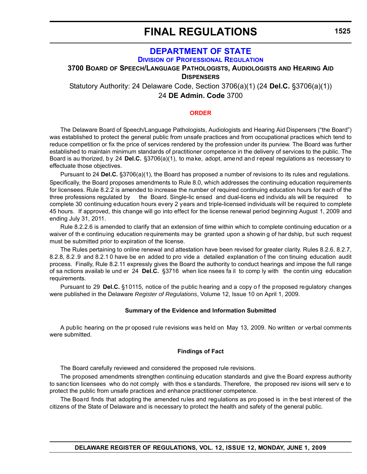## **FINAL REGULATIONS**

### **[DEPARTMENT OF STATE](http://sos.delaware.gov/default.shtml) DIVISION [OF PROFESSIONAL REGULATION](http://dpr.delaware.gov/default.shtml)**

**3700 BOARD OF SPEECH/LANGUAGE PATHOLOGISTS, AUDIOLOGISTS AND HEARING AID**

**DISPENSERS**

Statutory Authority: 24 Delaware Code, Section 3706(a)(1) (24 **Del.C.** §3706(a)(1))

24 **DE Admin. Code** 3700

### **[ORDER](#page-3-0)**

The Delaware Board of Speech/Language Pathologists, Audiologists and Hearing Aid Dispensers ("the Board") was established to protect the general public from unsafe practices and from occupational practices which tend to reduce competition or fix the price of services rendered by the profession under its purview. The Board was further established to maintain minimum standards of practitioner competence in the delivery of services to the public. The Board is au thorized, by 24 **Del.C.** §3706(a)(1), to make, adopt, amend and repeal regulations as necessary to effectuate those objectives.

Pursuant to 24 **Del.C.** §3706(a)(1), the Board has proposed a number of revisions to its rules and regulations. Specifically, the Board proposes amendments to Rule 8.0, which addresses the continuing education requirements for licensees. Rule 8.2.2 is amended to increase the number of required continuing education hours for each of the three professions regulated by the Board. Single-lic ensed and dual-licens ed individu als will be required complete 30 continuing education hours every 2 years and triple-licensed individuals will be required to complete 45 hours. If approved, this change will go into effect for the license renewal period beginning August 1, 2009 and ending July 31, 2011.

Rule 8.2.2.6 is amended to clarify that an extension of time within which to complete continuing education or a waiver of th e continuing education requirements may be granted upon a showin g of har dship, but such request must be submitted prior to expiration of the license.

The Rules pertaining to online renewal and attestation have been revised for greater clarity. Rules 8.2.6, 8.2.7, 8.2.8, 8.2 .9 and 8.2.1 0 have be en added to pro vide a detailed explanation o f the con tinuing education audit process. Finally, Rule 8.2.11 expressly gives the Board the authority to conduct hearings and impose the full range of sa nctions availab le und er 24 **Del.C.** §3716 when lice nsees fa il to comp ly with the contin uing education requirements.

Pursuant to 29 **Del.C.** §10115, notice of the public hearing and a copy o f the proposed regulatory changes were published in the Delaware *Register of Regulations*, Volume 12, Issue 10 on April 1, 2009.

### **Summary of the Evidence and Information Submitted**

A public hearing on the pr oposed rule revisions was held on May 13, 2009. No written or verbal comments were submitted.

#### **Findings of Fact**

The Board carefully reviewed and considered the proposed rule revisions.

The proposed amendments strengthen continuing education standards and give the Board express authority to sanction licensees who do not comply with thos e standards. Therefore, the proposed rev isions will serv e to protect the public from unsafe practices and enhance practitioner competence.

The Board finds that adopting the amended rules and regulations as pro posed is in the best interest of the citizens of the State of Delaware and is necessary to protect the health and safety of the general public.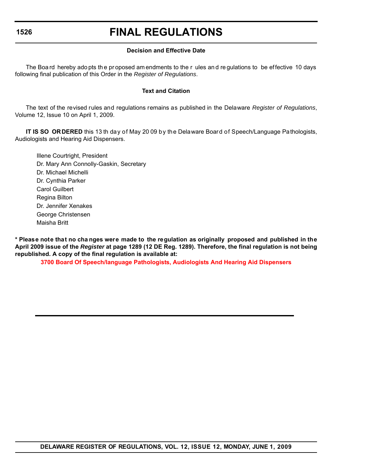### **1526**

## **FINAL REGULATIONS**

### **Decision and Effective Date**

The Boa rd hereby ado pts th e pr oposed am endments to the r ules an d re gulations to be ef fective 10 days following final publication of this Order in the *Register of Regulations*.

### **Text and Citation**

The text of the revised rules and regulations remains as published in the Delaware *Register of Regulations*, Volume 12, Issue 10 on April 1, 2009.

**IT IS SO ORDERED** this 13 th day of May 20 09 by the Delaware Board of Speech/Language Pathologists, Audiologists and Hearing Aid Dispensers.

Illene Courtright, President Dr. Mary Ann Connolly-Gaskin, Secretary Dr. Michael Michelli Dr. Cynthia Parker Carol Guilbert Regina Bilton Dr. Jennifer Xenakes George Christensen Maisha Britt

**\* Please note that no cha nges were made to the regulation as originally proposed and published in the April 2009 issue of the** *Register* **at page 1289 (12 DE Reg. 1289). Therefore, the final regulation is not being republished. A copy of the final regulation is available at:**

**[3700 Board Of Speech/language Pathologists, Audiologists And Hearing Aid Dispensers](http://regulations.delaware.gov/register/june2009/final/12 DE Reg 1525 06-01-09.htm)**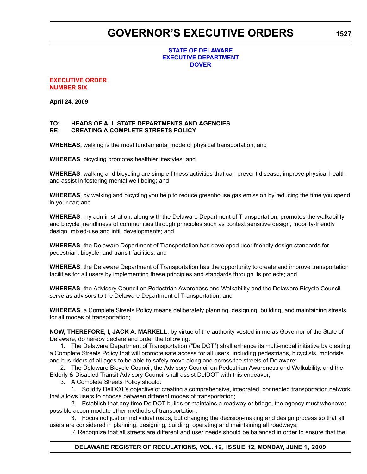## **GOVERNOR'S EXECUTIVE ORDERS**

### **STATE OF DELAWARE [EXECUTIVE DEPARTMENT](http://governor.delaware.gov/) DOVER**

### **[EXECUTIVE ORDER](#page-4-0) NUMBER SIX**

**April 24, 2009**

### **TO: HEADS OF ALL STATE DEPARTMENTS AND AGENCIES CREATING A COMPLETE STREETS POLICY**

**WHEREAS,** walking is the most fundamental mode of physical transportation; and

**WHEREAS**, bicycling promotes healthier lifestyles; and

**WHEREAS**, walking and bicycling are simple fitness activities that can prevent disease, improve physical health and assist in fostering mental well-being; and

**WHEREAS**, by walking and bicycling you help to reduce greenhouse gas emission by reducing the time you spend in your car; and

**WHEREAS**, my administration, along with the Delaware Department of Transportation, promotes the walkability and bicycle friendliness of communities through principles such as context sensitive design, mobility-friendly design, mixed-use and infill developments; and

**WHEREAS**, the Delaware Department of Transportation has developed user friendly design standards for pedestrian, bicycle, and transit facilities; and

**WHEREAS**, the Delaware Department of Transportation has the opportunity to create and improve transportation facilities for all users by implementing these principles and standards through its projects; and

**WHEREAS**, the Advisory Council on Pedestrian Awareness and Walkability and the Delaware Bicycle Council serve as advisors to the Delaware Department of Transportation; and

**WHEREAS**, a Complete Streets Policy means deliberately planning, designing, building, and maintaining streets for all modes of transportation;

**NOW, THEREFORE, I, JACK A. MARKELL**, by virtue of the authority vested in me as Governor of the State of Delaware, do hereby declare and order the following:

1. The Delaware Department of Transportation ("DelDOT") shall enhance its multi-modal initiative by creating a Complete Streets Policy that will promote safe access for all users, including pedestrians, bicyclists, motorists and bus riders of all ages to be able to safely move along and across the streets of Delaware;

2. The Delaware Bicycle Council, the Advisory Council on Pedestrian Awareness and Walkability, and the Elderly & Disabled Transit Advisory Council shall assist DelDOT with this endeavor;

3. A Complete Streets Policy should:

1. Solidify DelDOT's objective of creating a comprehensive, integrated, connected transportation network that allows users to choose between different modes of transportation;

2. Establish that any time DelDOT builds or maintains a roadway or bridge, the agency must whenever possible accommodate other methods of transportation.

3. Focus not just on individual roads, but changing the decision-making and design process so that all users are considered in planning, designing, building, operating and maintaining all roadways;

4.Recognize that all streets are different and user needs should be balanced in order to ensure that the

**1527**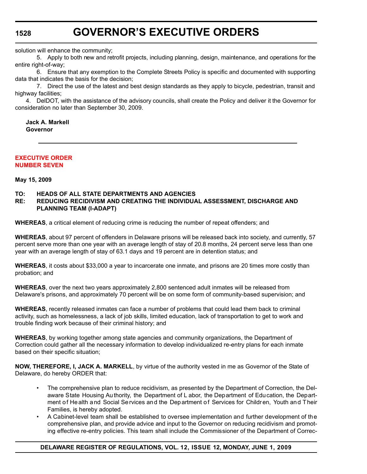**1528**

# **GOVERNOR'S EXECUTIVE ORDERS**

solution will enhance the community;

5. Apply to both new and retrofit projects, including planning, design, maintenance, and operations for the entire right-of-way;

6. Ensure that any exemption to the Complete Streets Policy is specific and documented with supporting data that indicates the basis for the decision;

7. Direct the use of the latest and best design standards as they apply to bicycle, pedestrian, transit and highway facilities;

4. DelDOT, with the assistance of the advisory councils, shall create the Policy and deliver it the Governor for consideration no later than September 30, 2009.

**Jack A. Markell Governor**

### **[EXECUTIVE ORDER](#page-4-0) NUMBER SEVEN**

**May 15, 2009**

### **TO: HEADS OF ALL STATE DEPARTMENTS AND AGENCIES**

### **RE: REDUCING RECIDIVISM AND CREATING THE INDIVIDUAL ASSESSMENT, DISCHARGE AND PLANNING TEAM (I-ADAPT)**

**WHEREAS**, a critical element of reducing crime is reducing the number of repeat offenders; and

**WHEREAS**, about 97 percent of offenders in Delaware prisons will be released back into society, and currently, 57 percent serve more than one year with an average length of stay of 20.8 months, 24 percent serve less than one year with an average length of stay of 63.1 days and 19 percent are in detention status; and

**WHEREAS**, it costs about \$33,000 a year to incarcerate one inmate, and prisons are 20 times more costly than probation; and

**WHEREAS**, over the next two years approximately 2,800 sentenced adult inmates will be released from Delaware's prisons, and approximately 70 percent will be on some form of community-based supervision; and

**WHEREAS**, recently released inmates can face a number of problems that could lead them back to criminal activity, such as homelessness, a lack of job skills, limited education, lack of transportation to get to work and trouble finding work because of their criminal history; and

**WHEREAS**, by working together among state agencies and community organizations, the Department of Correction could gather all the necessary information to develop individualized re-entry plans for each inmate based on their specific situation;

**NOW, THEREFORE, I, JACK A. MARKELL**, by virtue of the authority vested in me as Governor of the State of Delaware, do hereby ORDER that:

- The comprehensive plan to reduce recidivism, as presented by the Department of Correction, the Delaware State Housing Authority, the Department of L abor, the Department of Education, the Department of He alth and Social Se rvices and the Department of Services for Children, Youth and Their Families, is hereby adopted.
- A Cabinet-level team shall be established to oversee implementation and further development of the comprehensive plan, and provide advice and input to the Governor on reducing recidivism and promoting effective re-entry policies. This team shall include the Commissioner of the Department of Correc-

### **DELAWARE REGISTER OF REGULATIONS, VOL. 12, ISSUE 12, MONDAY, JUNE 1, 2009**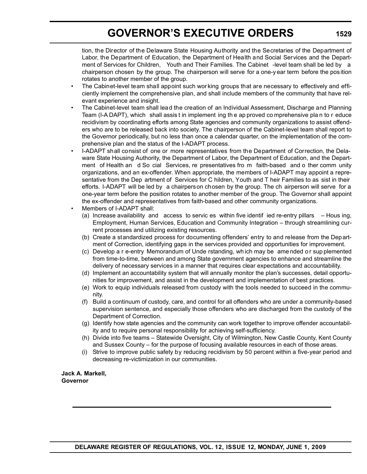# **GOVERNOR'S EXECUTIVE ORDERS**

tion, the Director of the Delaware State Housing Authority and the Secretaries of the Department of Labor, the Department of Education, the Department of Health and Social Services and the Department of Services for Children, Youth and Their Families. The Cabinet -level team shall be led by a chairperson chosen by the group. The chairperson will serve for a one-y ear term before the position rotates to another member of the group.

- The Cabinet-level team shall appoint such wor king groups that are necessary to effectively and efficiently implement the comprehensive plan, and shall include members of the community that have relevant experience and insight.
- The Cabinet-level team shall lead the creation of an Individual Assessment, Discharge and Planning Team (I-A DAPT), which shall assis t in implement ing th e ap proved co mprehensive pla n to r educe recidivism by coordinating efforts among State agencies and community organizations to assist offenders who are to be released back into society. The chairperson of the Cabinet-level team shall report to the Governor periodically, but no less than once a calendar quarter, on the implementation of the comprehensive plan and the status of the I-ADAPT process.
- I-ADAPT shall consist of one or more representatives from the Department of Correction, the Delaware State Housing Authority, the Department of Labor, the Department of Education, and the Department of Health an d So cial Services, re presentatives fro m faith-based and o ther comm unity organizations, and an ex-offender. When appropriate, the members of I-ADAPT may appoint a representative from the Dep artment of Services for C hildren, Youth and T heir Families to as sist in their efforts. I-ADAPT will be led by a chairperson chosen by the group. The ch airperson will serve for a one-year term before the position rotates to another member of the group. The Governor shall appoint the ex-offender and representatives from faith-based and other community organizations.
- Members of I-ADAPT shall:
	- (a) Increase availability and access to servic es within five identif ied re-entry pillars Hous ing, Employment, Human Services, Education and Community Integration – through streamlining current processes and utilizing existing resources.
	- (b) Create a standardized process for documenting offenders' entry to and release from the Department of Correction, identifying gaps in the services provided and opportunities for improvement.
	- (c) Develop a r e-entry Memorandum of Unde rstanding, wh ich may be ame nded o r sup plemented from time-to-time, between and among State government agencies to enhance and streamline the delivery of necessary services in a manner that requires clear expectations and accountability.
	- (d) Implement an accountability system that will annually monitor the plan's successes, detail opportunities for improvement, and assist in the development and implementation of best practices.
	- (e) Work to equip individuals released from custody with the tools needed to succeed in the community.
	- (f) Build a continuum of custody, care, and control for all offenders who are under a community-based supervision sentence, and especially those offenders who are discharged from the custody of the Department of Correction.
	- (g) Identify how state agencies and the community can work together to improve offender accountability and to require personal responsibility for achieving self-sufficiency.
	- (h) Divide into five teams Statewide Oversight, City of Wilmington, New Castle County, Kent County and Sussex County – for the purpose of focusing available resources in each of those areas.
	- (i) Strive to improve public safety by reducing recidivism by 50 percent within a five-year period and decreasing re-victimization in our communities.

**Jack A. Markell, Governor**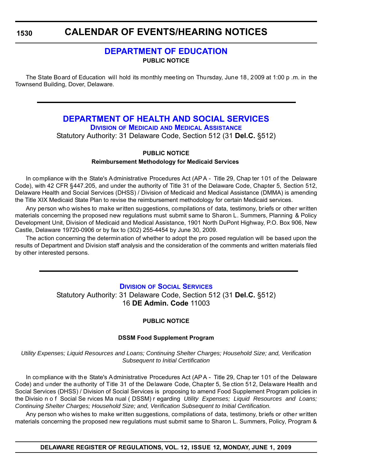**1530**

## **CALENDAR OF EVENTS/HEARING NOTICES**

### **[DEPARTMENT OF EDUCATION](http://www.doe.k12.de.us/) PUBLIC NOTICE**

The State Board of Education will hold its monthly meeting on Thursday, June 18, 2009 at 1:00 p .m. in the Townsend Building, Dover, Delaware.

### **[DEPARTMENT OF HEALTH AND SOCIAL SERVICES](http://www.dhss.delaware.gov/dhss/index.html) DIVISION OF MEDICAID [AND MEDICAL ASSISTANCE](http://www.dhss.delaware.gov/dhss/dmma/)**

Statutory Authority: 31 Delaware Code, Section 512 (31 **Del.C.** §512)

### **PUBLIC NOTICE**

### **Reimbursement Methodology for Medicaid Services**

In compliance with the State's Administrative Procedures Act (AP A - Title 29, Chap ter 101 of the Delaware Code), with 42 CFR §447.205, and under the authority of Title 31 of the Delaware Code, Chapter 5, Section 512, Delaware Health and Social Services (DHSS) / Division of Medicaid and Medical Assistance (DMMA) is amending the Title XIX Medicaid State Plan to revise the reimbursement methodology for certain Medicaid services.

Any person who wishes to make written suggestions, compilations of data, testimony, briefs or other written materials concerning the proposed new regulations must submit same to Sharon L. Summers, Planning & Policy Development Unit, Division of Medicaid and Medical Assistance, 1901 North DuPont Highway, P.O. Box 906, New Castle, Delaware 19720-0906 or by fax to (302) 255-4454 by June 30, 2009.

The action concerning the determination of whether to adopt the pro posed regulation will be based upon the results of Department and Division staff analysis and the consideration of the comments and written materials filed by other interested persons.

### **DIVISION [OF SOCIAL SERVICES](http://www.dhss.delaware.gov/dhss/dmma/)**

Statutory Authority: 31 Delaware Code, Section 512 (31 **Del.C.** §512) 16 **DE Admin. Code** 11003

### **PUBLIC NOTICE**

### **DSSM Food Supplement Program**

*Utility Expenses; Liquid Resources and Loans; Continuing Shelter Charges; Household Size; and, Verification Subsequent to Initial Certification*

In compliance with the State's Administrative Procedures Act (AP A - Title 29, Chap ter 101 of the Delaware Code) and under the authority of Title 31 of the Delaware Code, Chapter 5, Se ction 512, Delaware Health and Social Services (DHSS) / Division of Social Services is proposing to amend Food Supplement Program policies in the Divisio n o f Social Se rvices Ma nual ( DSSM) r egarding *Utility Expenses; Liquid Resources and Loans; Continuing Shelter Charges; Household Size; and, Verification Subsequent to Initial Certification.*

Any person who wishes to make written suggestions, compilations of data, testimony, briefs or other written materials concerning the proposed new regulations must submit same to Sharon L. Summers, Policy, Program &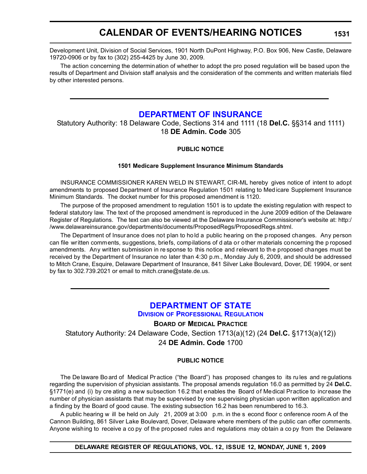## **CALENDAR OF EVENTS/HEARING NOTICES**

Development Unit, Division of Social Services, 1901 North DuPont Highway, P.O. Box 906, New Castle, Delaware 19720-0906 or by fax to (302) 255-4425 by June 30, 2009.

The action concerning the determination of whether to adopt the pro posed regulation will be based upon the results of Department and Division staff analysis and the consideration of the comments and written materials filed by other interested persons.

### **[DEPARTMENT OF INSURANCE](http://www.delawareinsurance.gov/)**

Statutory Authority: 18 Delaware Code, Sections 314 and 1111 (18 **Del.C.** §§314 and 1111) 18 **DE Admin. Code** 305

### **PUBLIC NOTICE**

### **1501 Medicare Supplement Insurance Minimum Standards**

INSURANCE COMMISSIONER KAREN WELD IN STEWART, CIR-ML hereby gives notice of intent to adopt amendments to proposed Department of Insurance Regulation 1501 relating to Med icare Supplement Insurance Minimum Standards. The docket number for this proposed amendment is 1120.

The purpose of the proposed amendment to regulation 1501 is to update the existing regulation with respect to federal statutory law. The text of the proposed amendment is reproduced in the June 2009 edition of the Delaware Register of Regulations. The text can also be viewed at the Delaware Insurance Commissioner's website at: http:/ /www.delawareinsurance.gov/departments/documents/ProposedRegs/ProposedRegs.shtml.

The Department of Insurance does not plan to hold a public hearing on the proposed changes. Any person can file written comments, suggestions, briefs, compilations of d ata or other materials concerning the p roposed amendments. Any written submission in re sponse to this notice and relevant to th e proposed changes must be received by the Department of Insurance no later than 4:30 p.m., Monday July 6, 2009, and should be addressed to Mitch Crane, Esquire, Delaware Department of Insurance, 841 Silver Lake Boulevard, Dover, DE 19904, or sent by fax to 302.739.2021 or email to mitch.crane@state.de.us.

## **[DEPARTMENT OF STATE](http://sos.delaware.gov/default.shtml)**

**DIVISION [OF PROFESSIONAL REGULATION](http://dpr.delaware.gov/default.shtml)**

**BOARD OF MEDICAL PRACTICE**

Statutory Authority: 24 Delaware Code, Section 1713(a)(12) (24 **Del.C.** §1713(a)(12))

24 **DE Admin. Code** 1700

### **PUBLIC NOTICE**

The De laware Bo ard of Medical Pr actice ("the Board") has proposed changes to its ru les and re gulations regarding the supervision of physician assistants. The proposal amends regulation 16.0 as permitted by 24 **Del.C.** §1771(e) and (i) by cre ating a new subsection 16.2 that enables the Board of Medical Practice to increase the number of physician assistants that may be supervised by one supervising physician upon written application and a finding by the Board of good cause. The existing subsection 16.2 has been renumbered to 16.3.

A public hearing w ill be held on July 21, 2009 at 3:00 p.m. in the s econd floor c onference room A of the Cannon Building, 861 Silver Lake Boulevard, Dover, Delaware where members of the public can offer comments. Anyone wishing to receive a co py of the proposed rules and regulations may obtain a co py from the Delaware

**DELAWARE REGISTER OF REGULATIONS, VOL. 12, ISSUE 12, MONDAY, JUNE 1, 2009**